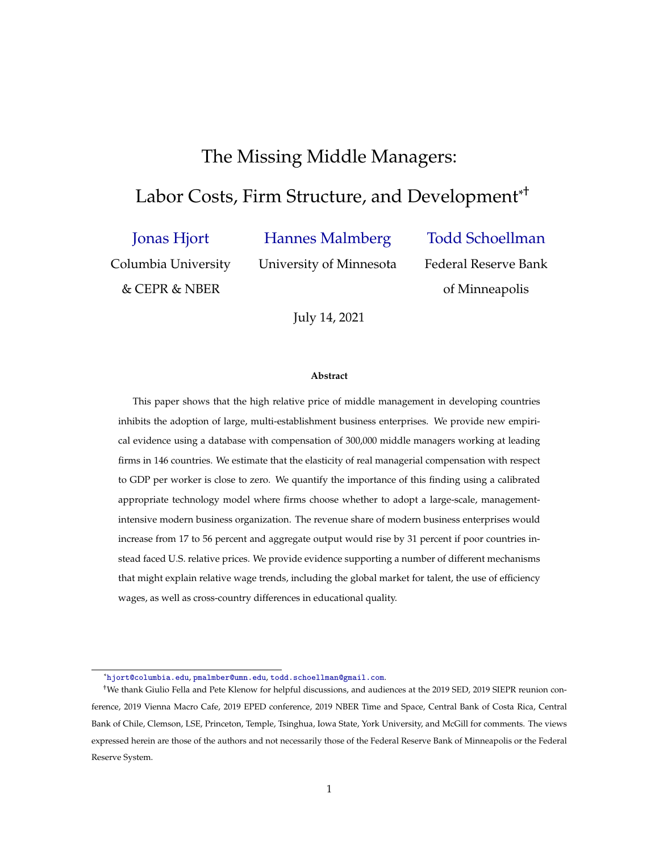# The Missing Middle Managers:

# <span id="page-0-0"></span>Labor Costs, Firm Structure, and Development<sup>\*†</sup>

[Jonas Hjort](https://sites.google.com/site/jonashjort/)

[Hannes Malmberg](https://sites.google.com/site/hannesmalmbergweb/)

[Todd Schoellman](https://sites.google.com/view/toddschoellman/)

Columbia University

& CEPR & NBER

University of Minnesota

of Minneapolis

Federal Reserve Bank

July 14, 2021

#### **Abstract**

This paper shows that the high relative price of middle management in developing countries inhibits the adoption of large, multi-establishment business enterprises. We provide new empirical evidence using a database with compensation of 300,000 middle managers working at leading firms in 146 countries. We estimate that the elasticity of real managerial compensation with respect to GDP per worker is close to zero. We quantify the importance of this finding using a calibrated appropriate technology model where firms choose whether to adopt a large-scale, managementintensive modern business organization. The revenue share of modern business enterprises would increase from 17 to 56 percent and aggregate output would rise by 31 percent if poor countries instead faced U.S. relative prices. We provide evidence supporting a number of different mechanisms that might explain relative wage trends, including the global market for talent, the use of efficiency wages, as well as cross-country differences in educational quality.

<sup>\*</sup>[hjort@columbia.edu](mailto:hjort@columbia.edu), [pmalmber@umn.edu](mailto:pmalmber@umn.edu), [todd.schoellman@gmail.com](mailto:todd.schoellman@gmail.com).

<sup>†</sup>We thank Giulio Fella and Pete Klenow for helpful discussions, and audiences at the 2019 SED, 2019 SIEPR reunion conference, 2019 Vienna Macro Cafe, 2019 EPED conference, 2019 NBER Time and Space, Central Bank of Costa Rica, Central Bank of Chile, Clemson, LSE, Princeton, Temple, Tsinghua, Iowa State, York University, and McGill for comments. The views expressed herein are those of the authors and not necessarily those of the Federal Reserve Bank of Minneapolis or the Federal Reserve System.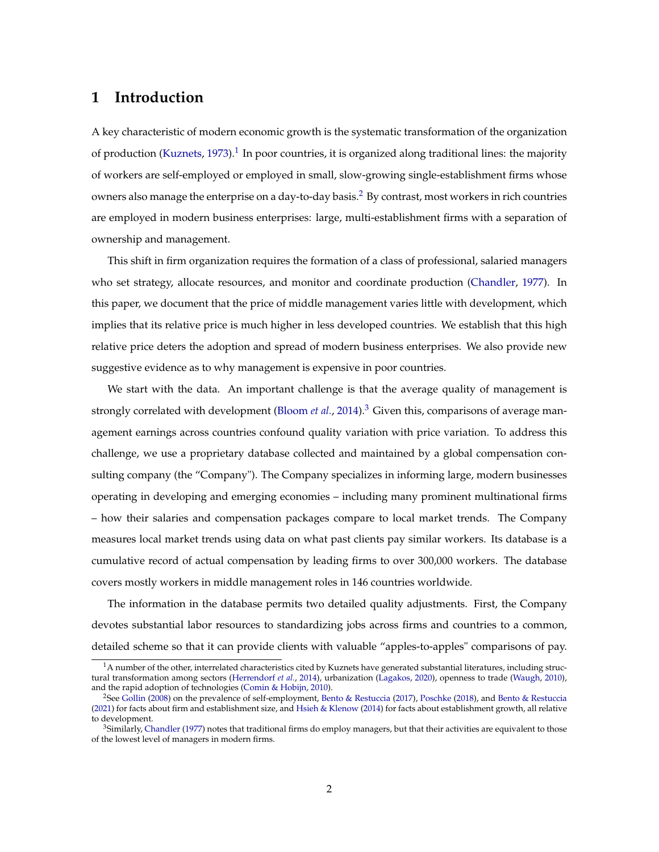## **1 Introduction**

A key characteristic of modern economic growth is the systematic transformation of the organization of production [\(Kuznets,](#page-39-0) [1973\)](#page-39-0).<sup>[1](#page-0-0)</sup> In poor countries, it is organized along traditional lines: the majority of workers are self-employed or employed in small, slow-growing single-establishment firms whose owners also manage the enterprise on a day-to-day basis.<sup>[2](#page-0-0)</sup> By contrast, most workers in rich countries are employed in modern business enterprises: large, multi-establishment firms with a separation of ownership and management.

This shift in firm organization requires the formation of a class of professional, salaried managers who set strategy, allocate resources, and monitor and coordinate production [\(Chandler,](#page-37-0) [1977\)](#page-37-0). In this paper, we document that the price of middle management varies little with development, which implies that its relative price is much higher in less developed countries. We establish that this high relative price deters the adoption and spread of modern business enterprises. We also provide new suggestive evidence as to why management is expensive in poor countries.

We start with the data. An important challenge is that the average quality of management is strongly correlated with development [\(Bloom](#page-36-0) *et al.*, [2014\)](#page-36-0).[3](#page-0-0) Given this, comparisons of average management earnings across countries confound quality variation with price variation. To address this challenge, we use a proprietary database collected and maintained by a global compensation consulting company (the "Company"). The Company specializes in informing large, modern businesses operating in developing and emerging economies – including many prominent multinational firms – how their salaries and compensation packages compare to local market trends. The Company measures local market trends using data on what past clients pay similar workers. Its database is a cumulative record of actual compensation by leading firms to over 300,000 workers. The database covers mostly workers in middle management roles in 146 countries worldwide.

The information in the database permits two detailed quality adjustments. First, the Company devotes substantial labor resources to standardizing jobs across firms and countries to a common, detailed scheme so that it can provide clients with valuable "apples-to-apples" comparisons of pay.

 $1A$  number of the other, interrelated characteristics cited by Kuznets have generated substantial literatures, including structural transformation among sectors [\(Herrendorf](#page-39-1) *et al.*, [2014\)](#page-39-1), urbanization [\(Lagakos,](#page-39-2) [2020\)](#page-39-2), openness to trade [\(Waugh,](#page-40-0) [2010\)](#page-40-0), and the rapid adoption of technologies [\(Comin & Hobijn,](#page-37-1) [2010\)](#page-37-1).

<sup>2</sup>See [Gollin](#page-38-0) [\(2008\)](#page-38-0) on the prevalence of self-employment, [Bento & Restuccia](#page-36-1) [\(2017\)](#page-36-1), [Poschke](#page-40-1) [\(2018\)](#page-40-1), and [Bento & Restuccia](#page-36-2) [\(2021\)](#page-36-2) for facts about firm and establishment size, and [Hsieh & Klenow](#page-39-3) [\(2014\)](#page-39-3) for facts about establishment growth, all relative to development.

<sup>&</sup>lt;sup>3</sup>Similarly, [Chandler](#page-37-0) [\(1977\)](#page-37-0) notes that traditional firms do employ managers, but that their activities are equivalent to those of the lowest level of managers in modern firms.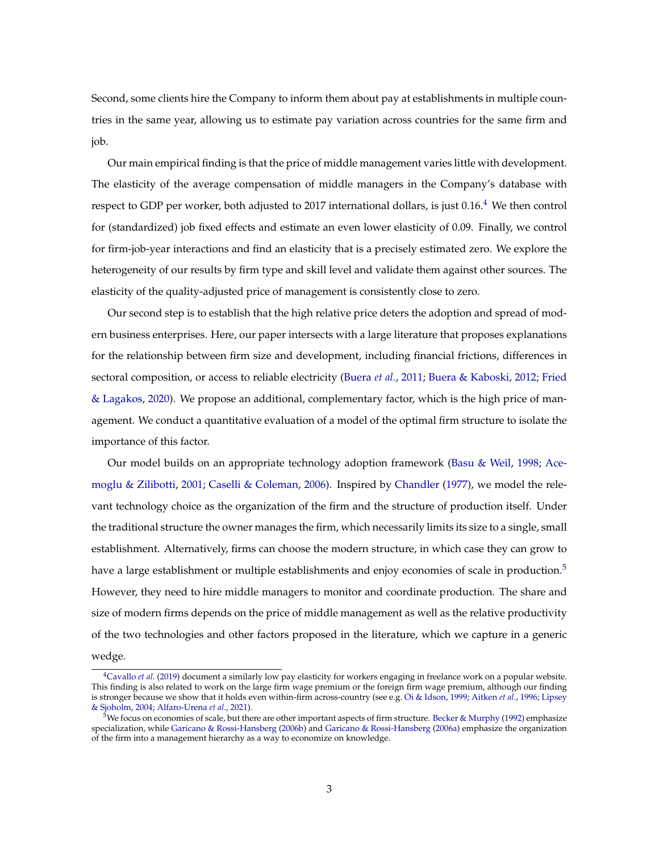Second, some clients hire the Company to inform them about pay at establishments in multiple countries in the same year, allowing us to estimate pay variation across countries for the same firm and job.

Our main empirical finding is that the price of middle management varies little with development. The elasticity of the average compensation of middle managers in the Company's database with respect to GDP per worker, both adjusted to 2017 international dollars, is just 0.16.<sup>[4](#page-0-0)</sup> We then control for (standardized) job fixed effects and estimate an even lower elasticity of 0.09. Finally, we control for firm-job-year interactions and find an elasticity that is a precisely estimated zero. We explore the heterogeneity of our results by firm type and skill level and validate them against other sources. The elasticity of the quality-adjusted price of management is consistently close to zero.

Our second step is to establish that the high relative price deters the adoption and spread of modern business enterprises. Here, our paper intersects with a large literature that proposes explanations for the relationship between firm size and development, including financial frictions, differences in sectoral composition, or access to reliable electricity [\(Buera](#page-37-2) *et al.*, [2011;](#page-37-2) [Buera & Kaboski,](#page-37-3) [2012;](#page-37-3) [Fried](#page-38-1) [& Lagakos,](#page-38-1) [2020\)](#page-38-1). We propose an additional, complementary factor, which is the high price of management. We conduct a quantitative evaluation of a model of the optimal firm structure to isolate the importance of this factor.

Our model builds on an appropriate technology adoption framework [\(Basu & Weil,](#page-36-3) [1998;](#page-36-3) [Ace](#page-35-0)[moglu & Zilibotti,](#page-35-0) [2001;](#page-35-0) [Caselli & Coleman,](#page-37-4) [2006\)](#page-37-4). Inspired by [Chandler](#page-37-0) [\(1977\)](#page-37-0), we model the relevant technology choice as the organization of the firm and the structure of production itself. Under the traditional structure the owner manages the firm, which necessarily limits its size to a single, small establishment. Alternatively, firms can choose the modern structure, in which case they can grow to have a large establishment or multiple establishments and enjoy economies of scale in production.<sup>[5](#page-0-0)</sup> However, they need to hire middle managers to monitor and coordinate production. The share and size of modern firms depends on the price of middle management as well as the relative productivity of the two technologies and other factors proposed in the literature, which we capture in a generic wedge.

<sup>4</sup>[Cavallo](#page-37-5) *et al.* [\(2019\)](#page-37-5) document a similarly low pay elasticity for workers engaging in freelance work on a popular website. This finding is also related to work on the large firm wage premium or the foreign firm wage premium, although our finding is stronger because we show that it holds even within-firm across-country (see e.g. [Oi & Idson,](#page-40-2) [1999;](#page-40-2) [Aitken](#page-35-1) *et al.*, [1996;](#page-35-1) [Lipsey](#page-39-4) [& Sjoholm,](#page-39-4) [2004;](#page-39-4) [Alfaro-Urena](#page-35-2) *et al.*, [2021\)](#page-35-2).

 $5$ We focus on economies of scale, but there are other important aspects of firm structure. [Becker & Murphy](#page-36-4) [\(1992\)](#page-36-4) emphasize specialization, while [Garicano & Rossi-Hansberg](#page-38-2) [\(2006b\)](#page-38-2) and [Garicano & Rossi-Hansberg](#page-38-3) [\(2006a\)](#page-38-3) emphasize the organization of the firm into a management hierarchy as a way to economize on knowledge.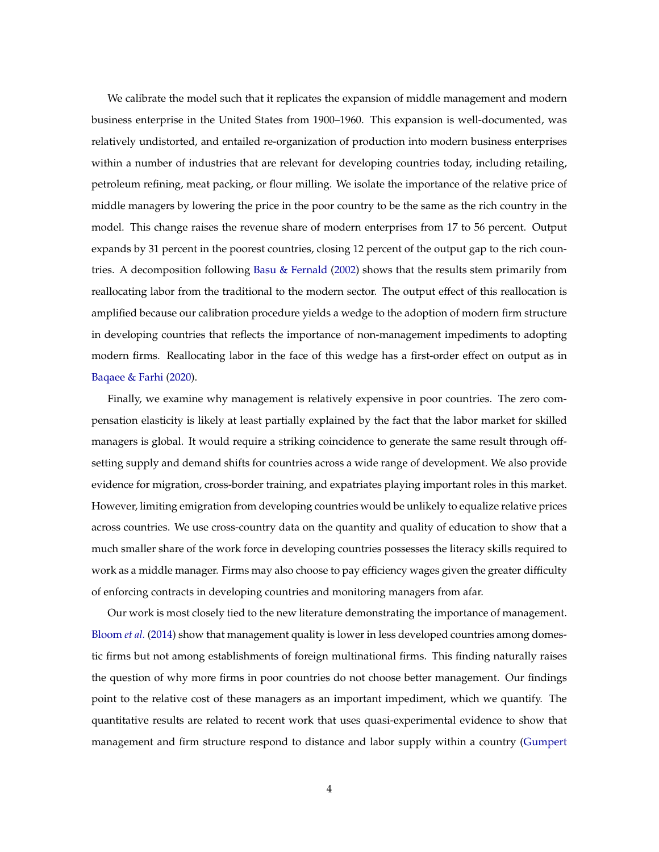We calibrate the model such that it replicates the expansion of middle management and modern business enterprise in the United States from 1900–1960. This expansion is well-documented, was relatively undistorted, and entailed re-organization of production into modern business enterprises within a number of industries that are relevant for developing countries today, including retailing, petroleum refining, meat packing, or flour milling. We isolate the importance of the relative price of middle managers by lowering the price in the poor country to be the same as the rich country in the model. This change raises the revenue share of modern enterprises from 17 to 56 percent. Output expands by 31 percent in the poorest countries, closing 12 percent of the output gap to the rich countries. A decomposition following [Basu & Fernald](#page-36-5) [\(2002\)](#page-36-5) shows that the results stem primarily from reallocating labor from the traditional to the modern sector. The output effect of this reallocation is amplified because our calibration procedure yields a wedge to the adoption of modern firm structure in developing countries that reflects the importance of non-management impediments to adopting modern firms. Reallocating labor in the face of this wedge has a first-order effect on output as in [Baqaee & Farhi](#page-35-3) [\(2020\)](#page-35-3).

Finally, we examine why management is relatively expensive in poor countries. The zero compensation elasticity is likely at least partially explained by the fact that the labor market for skilled managers is global. It would require a striking coincidence to generate the same result through offsetting supply and demand shifts for countries across a wide range of development. We also provide evidence for migration, cross-border training, and expatriates playing important roles in this market. However, limiting emigration from developing countries would be unlikely to equalize relative prices across countries. We use cross-country data on the quantity and quality of education to show that a much smaller share of the work force in developing countries possesses the literacy skills required to work as a middle manager. Firms may also choose to pay efficiency wages given the greater difficulty of enforcing contracts in developing countries and monitoring managers from afar.

Our work is most closely tied to the new literature demonstrating the importance of management. [Bloom](#page-36-0) *et al.* [\(2014\)](#page-36-0) show that management quality is lower in less developed countries among domestic firms but not among establishments of foreign multinational firms. This finding naturally raises the question of why more firms in poor countries do not choose better management. Our findings point to the relative cost of these managers as an important impediment, which we quantify. The quantitative results are related to recent work that uses quasi-experimental evidence to show that management and firm structure respond to distance and labor supply within a country [\(Gumpert](#page-38-4)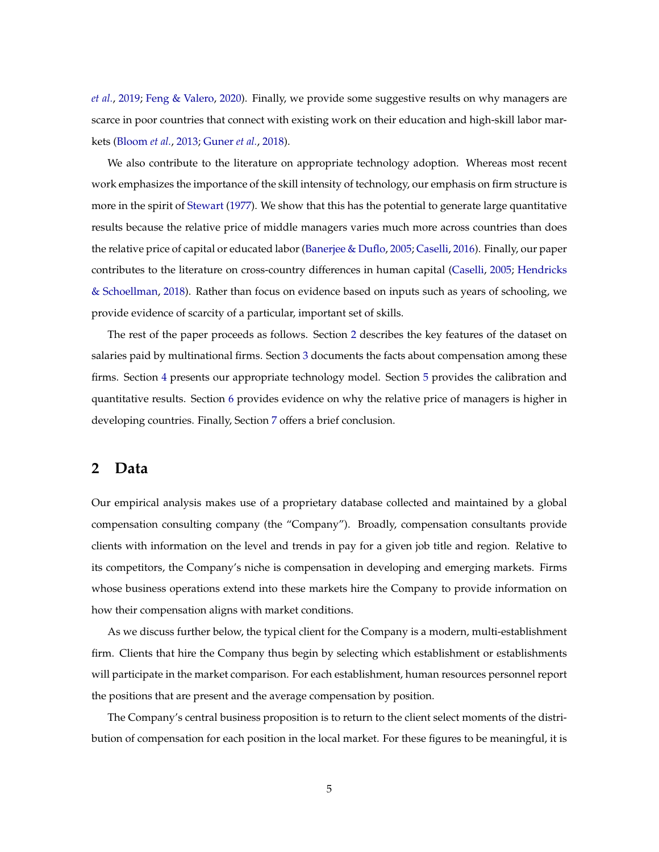*[et al.](#page-38-4)*, [2019;](#page-38-4) [Feng & Valero,](#page-38-5) [2020\)](#page-38-5). Finally, we provide some suggestive results on why managers are scarce in poor countries that connect with existing work on their education and high-skill labor markets [\(Bloom](#page-36-6) *et al.*, [2013;](#page-36-6) [Guner](#page-38-6) *et al.*, [2018\)](#page-38-6).

We also contribute to the literature on appropriate technology adoption. Whereas most recent work emphasizes the importance of the skill intensity of technology, our emphasis on firm structure is more in the spirit of [Stewart](#page-40-3) [\(1977\)](#page-40-3). We show that this has the potential to generate large quantitative results because the relative price of middle managers varies much more across countries than does the relative price of capital or educated labor [\(Banerjee & Duflo,](#page-35-4) [2005;](#page-35-4) [Caselli,](#page-37-6) [2016\)](#page-37-6). Finally, our paper contributes to the literature on cross-country differences in human capital [\(Caselli,](#page-37-7) [2005;](#page-37-7) [Hendricks](#page-38-7) [& Schoellman,](#page-38-7) [2018\)](#page-38-7). Rather than focus on evidence based on inputs such as years of schooling, we provide evidence of scarcity of a particular, important set of skills.

The rest of the paper proceeds as follows. Section [2](#page-4-0) describes the key features of the dataset on salaries paid by multinational firms. Section [3](#page-8-0) documents the facts about compensation among these firms. Section [4](#page-14-0) presents our appropriate technology model. Section [5](#page-21-0) provides the calibration and quantitative results. Section [6](#page-28-0) provides evidence on why the relative price of managers is higher in developing countries. Finally, Section [7](#page-34-0) offers a brief conclusion.

### <span id="page-4-0"></span>**2 Data**

Our empirical analysis makes use of a proprietary database collected and maintained by a global compensation consulting company (the "Company"). Broadly, compensation consultants provide clients with information on the level and trends in pay for a given job title and region. Relative to its competitors, the Company's niche is compensation in developing and emerging markets. Firms whose business operations extend into these markets hire the Company to provide information on how their compensation aligns with market conditions.

As we discuss further below, the typical client for the Company is a modern, multi-establishment firm. Clients that hire the Company thus begin by selecting which establishment or establishments will participate in the market comparison. For each establishment, human resources personnel report the positions that are present and the average compensation by position.

The Company's central business proposition is to return to the client select moments of the distribution of compensation for each position in the local market. For these figures to be meaningful, it is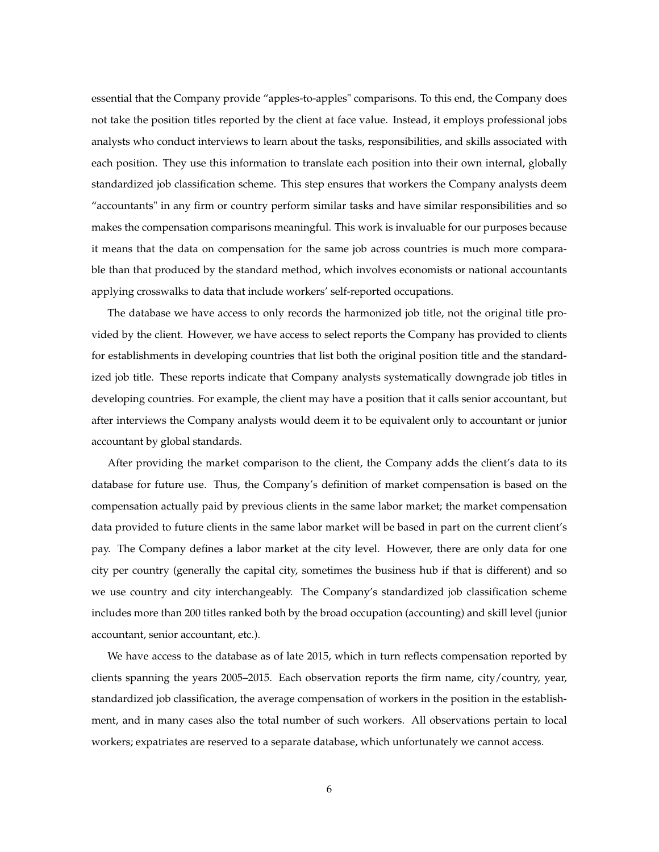essential that the Company provide "apples-to-apples" comparisons. To this end, the Company does not take the position titles reported by the client at face value. Instead, it employs professional jobs analysts who conduct interviews to learn about the tasks, responsibilities, and skills associated with each position. They use this information to translate each position into their own internal, globally standardized job classification scheme. This step ensures that workers the Company analysts deem "accountants" in any firm or country perform similar tasks and have similar responsibilities and so makes the compensation comparisons meaningful. This work is invaluable for our purposes because it means that the data on compensation for the same job across countries is much more comparable than that produced by the standard method, which involves economists or national accountants applying crosswalks to data that include workers' self-reported occupations.

The database we have access to only records the harmonized job title, not the original title provided by the client. However, we have access to select reports the Company has provided to clients for establishments in developing countries that list both the original position title and the standardized job title. These reports indicate that Company analysts systematically downgrade job titles in developing countries. For example, the client may have a position that it calls senior accountant, but after interviews the Company analysts would deem it to be equivalent only to accountant or junior accountant by global standards.

After providing the market comparison to the client, the Company adds the client's data to its database for future use. Thus, the Company's definition of market compensation is based on the compensation actually paid by previous clients in the same labor market; the market compensation data provided to future clients in the same labor market will be based in part on the current client's pay. The Company defines a labor market at the city level. However, there are only data for one city per country (generally the capital city, sometimes the business hub if that is different) and so we use country and city interchangeably. The Company's standardized job classification scheme includes more than 200 titles ranked both by the broad occupation (accounting) and skill level (junior accountant, senior accountant, etc.).

We have access to the database as of late 2015, which in turn reflects compensation reported by clients spanning the years 2005–2015. Each observation reports the firm name, city/country, year, standardized job classification, the average compensation of workers in the position in the establishment, and in many cases also the total number of such workers. All observations pertain to local workers; expatriates are reserved to a separate database, which unfortunately we cannot access.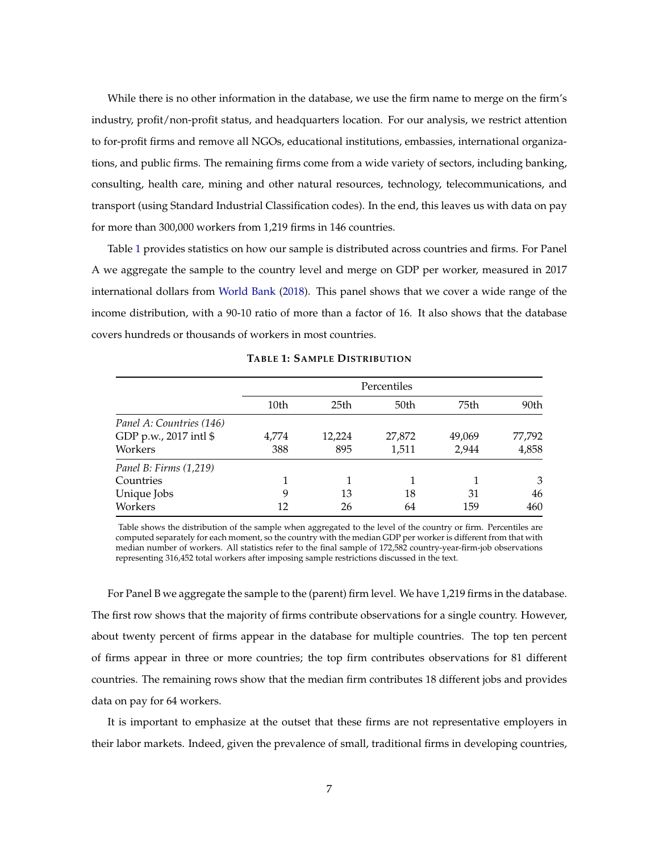While there is no other information in the database, we use the firm name to merge on the firm's industry, profit/non-profit status, and headquarters location. For our analysis, we restrict attention to for-profit firms and remove all NGOs, educational institutions, embassies, international organizations, and public firms. The remaining firms come from a wide variety of sectors, including banking, consulting, health care, mining and other natural resources, technology, telecommunications, and transport (using Standard Industrial Classification codes). In the end, this leaves us with data on pay for more than 300,000 workers from 1,219 firms in 146 countries.

Table [1](#page-6-0) provides statistics on how our sample is distributed across countries and firms. For Panel A we aggregate the sample to the country level and merge on GDP per worker, measured in 2017 international dollars from [World Bank](#page-40-4) [\(2018\)](#page-40-4). This panel shows that we cover a wide range of the income distribution, with a 90-10 ratio of more than a factor of 16. It also shows that the database covers hundreds or thousands of workers in most countries.

<span id="page-6-0"></span>

|                          |       |                  | Percentiles |        |        |
|--------------------------|-------|------------------|-------------|--------|--------|
|                          | 10th  | 25 <sub>th</sub> | 50th        | 75th   | 90th   |
| Panel A: Countries (146) |       |                  |             |        |        |
| GDP p.w., 2017 intl \$   | 4.774 | 12,224           | 27,872      | 49,069 | 77,792 |
| Workers                  | 388   | 895              | 1,511       | 2.944  | 4,858  |
| Panel B: Firms (1,219)   |       |                  |             |        |        |
| Countries                |       |                  |             |        | 3      |
| Unique Jobs              | 9     | 13               | 18          | 31     | 46     |
| Workers                  | 12    | 26               | 64          | 159    | 460    |

**TABLE 1: SAMPLE DISTRIBUTION**

Table shows the distribution of the sample when aggregated to the level of the country or firm. Percentiles are computed separately for each moment, so the country with the median GDP per worker is different from that with median number of workers. All statistics refer to the final sample of 172,582 country-year-firm-job observations representing 316,452 total workers after imposing sample restrictions discussed in the text.

For Panel B we aggregate the sample to the (parent) firm level. We have 1,219 firms in the database. The first row shows that the majority of firms contribute observations for a single country. However, about twenty percent of firms appear in the database for multiple countries. The top ten percent of firms appear in three or more countries; the top firm contributes observations for 81 different countries. The remaining rows show that the median firm contributes 18 different jobs and provides data on pay for 64 workers.

It is important to emphasize at the outset that these firms are not representative employers in their labor markets. Indeed, given the prevalence of small, traditional firms in developing countries,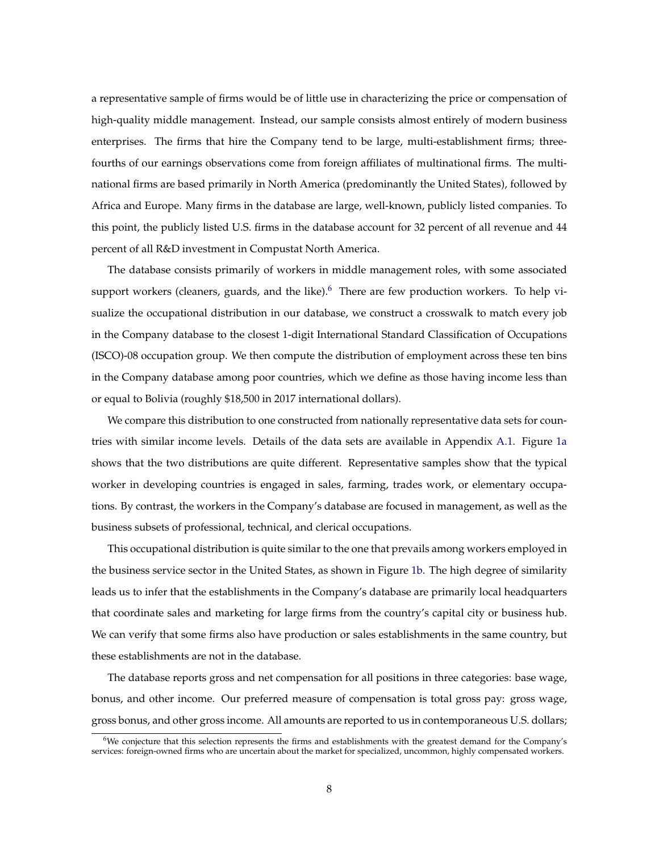a representative sample of firms would be of little use in characterizing the price or compensation of high-quality middle management. Instead, our sample consists almost entirely of modern business enterprises. The firms that hire the Company tend to be large, multi-establishment firms; threefourths of our earnings observations come from foreign affiliates of multinational firms. The multinational firms are based primarily in North America (predominantly the United States), followed by Africa and Europe. Many firms in the database are large, well-known, publicly listed companies. To this point, the publicly listed U.S. firms in the database account for 32 percent of all revenue and 44 percent of all R&D investment in Compustat North America.

The database consists primarily of workers in middle management roles, with some associated support workers (cleaners, guards, and the like). $6\sigma$  $6\sigma$  There are few production workers. To help visualize the occupational distribution in our database, we construct a crosswalk to match every job in the Company database to the closest 1-digit International Standard Classification of Occupations (ISCO)-08 occupation group. We then compute the distribution of employment across these ten bins in the Company database among poor countries, which we define as those having income less than or equal to Bolivia (roughly \$18,500 in 2017 international dollars).

We compare this distribution to one constructed from nationally representative data sets for countries with similar income levels. Details of the data sets are available in Appendix [A.1.](#page-42-0) Figure [1a](#page-8-1) shows that the two distributions are quite different. Representative samples show that the typical worker in developing countries is engaged in sales, farming, trades work, or elementary occupations. By contrast, the workers in the Company's database are focused in management, as well as the business subsets of professional, technical, and clerical occupations.

This occupational distribution is quite similar to the one that prevails among workers employed in the business service sector in the United States, as shown in Figure [1b.](#page-8-2) The high degree of similarity leads us to infer that the establishments in the Company's database are primarily local headquarters that coordinate sales and marketing for large firms from the country's capital city or business hub. We can verify that some firms also have production or sales establishments in the same country, but these establishments are not in the database.

The database reports gross and net compensation for all positions in three categories: base wage, bonus, and other income. Our preferred measure of compensation is total gross pay: gross wage, gross bonus, and other gross income. All amounts are reported to us in contemporaneous U.S. dollars;

<sup>6</sup>We conjecture that this selection represents the firms and establishments with the greatest demand for the Company's services: foreign-owned firms who are uncertain about the market for specialized, uncommon, highly compensated workers.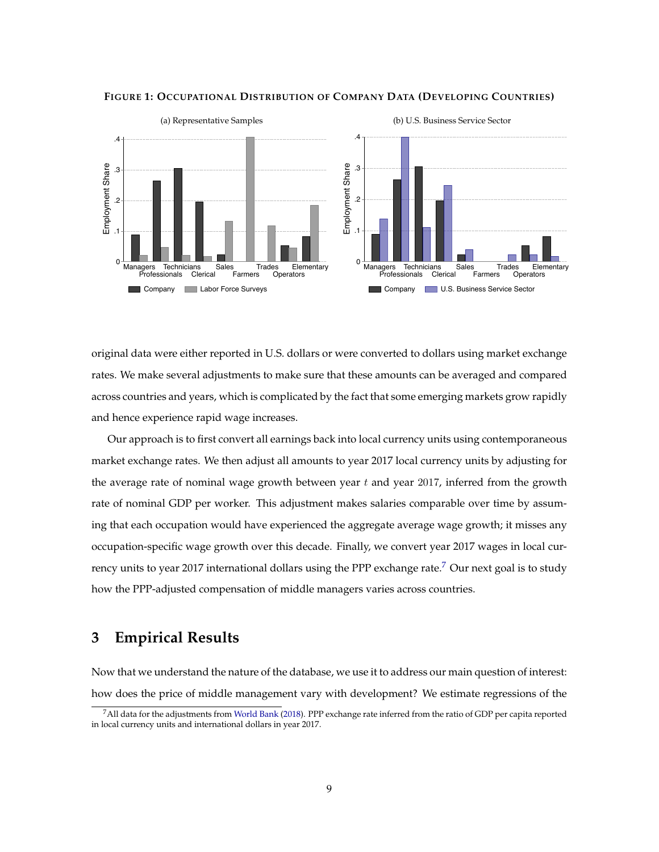<span id="page-8-1"></span>

#### <span id="page-8-3"></span><span id="page-8-2"></span>**FIGURE 1: OCCUPATIONAL DISTRIBUTION OF COMPANY DATA (DEVELOPING COUNTRIES)**

original data were either reported in U.S. dollars or were converted to dollars using market exchange rates. We make several adjustments to make sure that these amounts can be averaged and compared across countries and years, which is complicated by the fact that some emerging markets grow rapidly and hence experience rapid wage increases.

Our approach is to first convert all earnings back into local currency units using contemporaneous market exchange rates. We then adjust all amounts to year 2017 local currency units by adjusting for the average rate of nominal wage growth between year  $t$  and year 2017, inferred from the growth rate of nominal GDP per worker. This adjustment makes salaries comparable over time by assuming that each occupation would have experienced the aggregate average wage growth; it misses any occupation-specific wage growth over this decade. Finally, we convert year 2017 wages in local cur-rency units to year 201[7](#page-0-0) international dollars using the PPP exchange rate.<sup>7</sup> Our next goal is to study how the PPP-adjusted compensation of middle managers varies across countries.

# <span id="page-8-0"></span>**3 Empirical Results**

Now that we understand the nature of the database, we use it to address our main question of interest: how does the price of middle management vary with development? We estimate regressions of the

<sup>7</sup>All data for the adjustments from [World Bank](#page-40-4) [\(2018\)](#page-40-4). PPP exchange rate inferred from the ratio of GDP per capita reported in local currency units and international dollars in year 2017.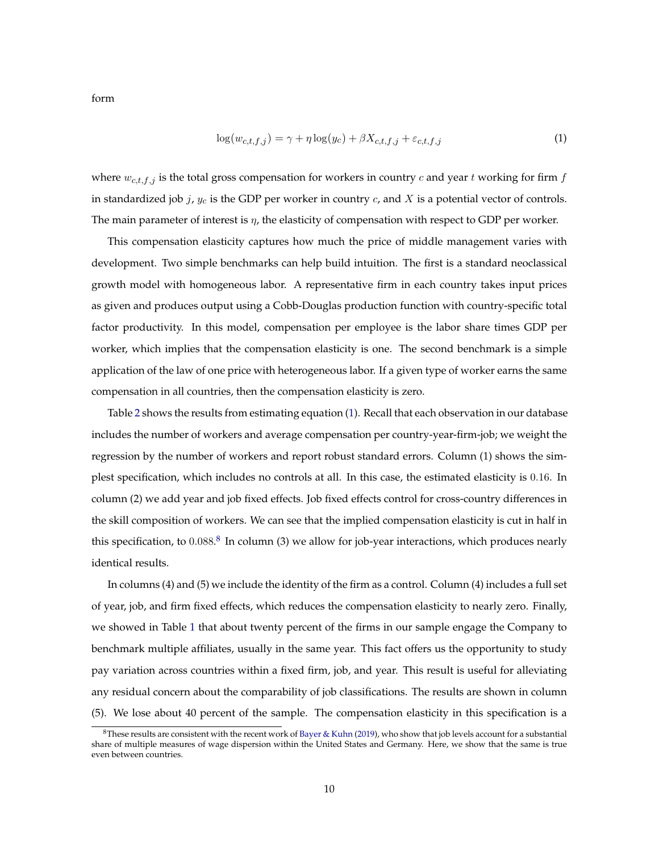form

<span id="page-9-0"></span>
$$
\log(w_{c,t,f,j}) = \gamma + \eta \log(y_c) + \beta X_{c,t,f,j} + \varepsilon_{c,t,f,j}
$$
\n
$$
\tag{1}
$$

where  $w_{c,t,f,j}$  is the total gross compensation for workers in country  $c$  and year  $t$  working for firm  $f$ in standardized job  $j$ ,  $y_c$  is the GDP per worker in country  $c$ , and  $X$  is a potential vector of controls. The main parameter of interest is  $\eta$ , the elasticity of compensation with respect to GDP per worker.

This compensation elasticity captures how much the price of middle management varies with development. Two simple benchmarks can help build intuition. The first is a standard neoclassical growth model with homogeneous labor. A representative firm in each country takes input prices as given and produces output using a Cobb-Douglas production function with country-specific total factor productivity. In this model, compensation per employee is the labor share times GDP per worker, which implies that the compensation elasticity is one. The second benchmark is a simple application of the law of one price with heterogeneous labor. If a given type of worker earns the same compensation in all countries, then the compensation elasticity is zero.

Table [2](#page-10-0) shows the results from estimating equation [\(1\)](#page-9-0). Recall that each observation in our database includes the number of workers and average compensation per country-year-firm-job; we weight the regression by the number of workers and report robust standard errors. Column (1) shows the simplest specification, which includes no controls at all. In this case, the estimated elasticity is 0.16. In column (2) we add year and job fixed effects. Job fixed effects control for cross-country differences in the skill composition of workers. We can see that the implied compensation elasticity is cut in half in this specification, to  $0.088$  $0.088$  $0.088$ .<sup>8</sup> In column (3) we allow for job-year interactions, which produces nearly identical results.

In columns (4) and (5) we include the identity of the firm as a control. Column (4) includes a full set of year, job, and firm fixed effects, which reduces the compensation elasticity to nearly zero. Finally, we showed in Table [1](#page-6-0) that about twenty percent of the firms in our sample engage the Company to benchmark multiple affiliates, usually in the same year. This fact offers us the opportunity to study pay variation across countries within a fixed firm, job, and year. This result is useful for alleviating any residual concern about the comparability of job classifications. The results are shown in column (5). We lose about 40 percent of the sample. The compensation elasticity in this specification is a

 $8$ These results are consistent with the recent work of [Bayer & Kuhn](#page-36-7) [\(2019\)](#page-36-7), who show that job levels account for a substantial share of multiple measures of wage dispersion within the United States and Germany. Here, we show that the same is true even between countries.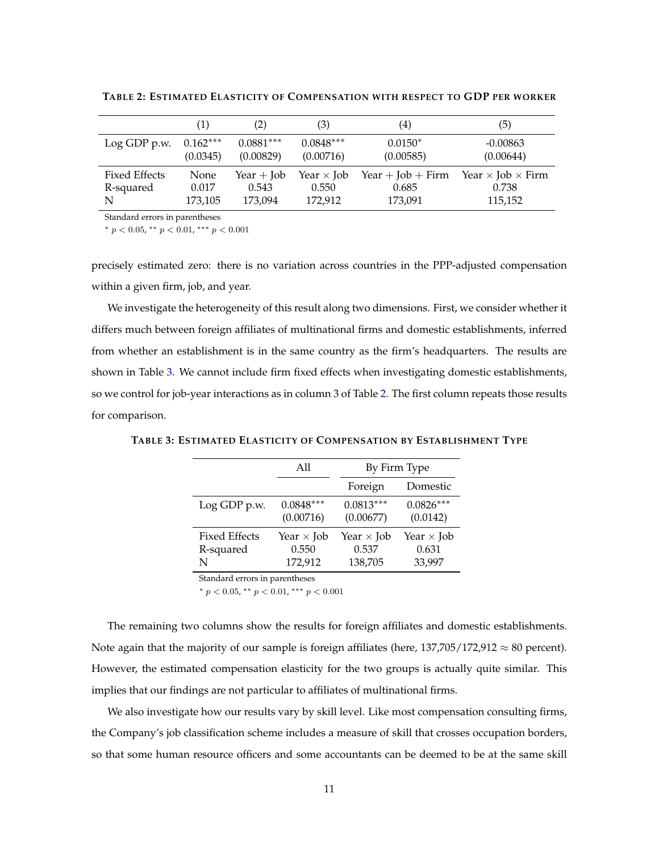|                      | $\left( 1\right)$ | (2)         | (3)               | $\scriptstyle{(4)}$ | (5)                             |
|----------------------|-------------------|-------------|-------------------|---------------------|---------------------------------|
| Log GDP p.w.         | $0.162***$        | $0.0881***$ | $0.0848***$       | $0.0150*$           | $-0.00863$                      |
|                      | (0.0345)          | (0.00829)   | (0.00716)         | (0.00585)           | (0.00644)                       |
| <b>Fixed Effects</b> | None              | Year + Job  | Year $\times$ Job | Year + Job + Firm   | Year $\times$ Job $\times$ Firm |
| R-squared            | 0.017             | 0.543       | 0.550             | 0.685               | 0.738                           |
| N                    | 173,105           | 173,094     | 172,912           | 173,091             | 115,152                         |

<span id="page-10-0"></span>**TABLE 2: ESTIMATED ELASTICITY OF COMPENSATION WITH RESPECT TO GDP PER WORKER**

Standard errors in parentheses

\*  $p < 0.05$ , \*\*  $p < 0.01$ , \*\*\*  $p < 0.001$ 

precisely estimated zero: there is no variation across countries in the PPP-adjusted compensation within a given firm, job, and year.

We investigate the heterogeneity of this result along two dimensions. First, we consider whether it differs much between foreign affiliates of multinational firms and domestic establishments, inferred from whether an establishment is in the same country as the firm's headquarters. The results are shown in Table [3.](#page-10-1) We cannot include firm fixed effects when investigating domestic establishments, so we control for job-year interactions as in column 3 of Table [2.](#page-10-0) The first column repeats those results for comparison.

|                      | All               | By Firm Type      |                   |
|----------------------|-------------------|-------------------|-------------------|
|                      |                   | Foreign           | Domestic          |
| Log GDP p.w.         | $0.0848***$       | $0.0813***$       | $0.0826***$       |
|                      | (0.00716)         | (0.00677)         | (0.0142)          |
| <b>Fixed Effects</b> | Year $\times$ Job | Year $\times$ Job | Year $\times$ Job |
| R-squared            | 0.550             | 0.537             | 0.631             |
| N                    | 172,912           | 138,705           | 33,997            |

<span id="page-10-1"></span>**TABLE 3: ESTIMATED ELASTICITY OF COMPENSATION BY ESTABLISHMENT TYPE**

Standard errors in parentheses

\*  $p < 0.05$ , \*\*  $p < 0.01$ , \*\*\*  $p < 0.001$ 

The remaining two columns show the results for foreign affiliates and domestic establishments. Note again that the majority of our sample is foreign affiliates (here,  $137,705/172,912 \approx 80$  percent). However, the estimated compensation elasticity for the two groups is actually quite similar. This implies that our findings are not particular to affiliates of multinational firms.

We also investigate how our results vary by skill level. Like most compensation consulting firms, the Company's job classification scheme includes a measure of skill that crosses occupation borders, so that some human resource officers and some accountants can be deemed to be at the same skill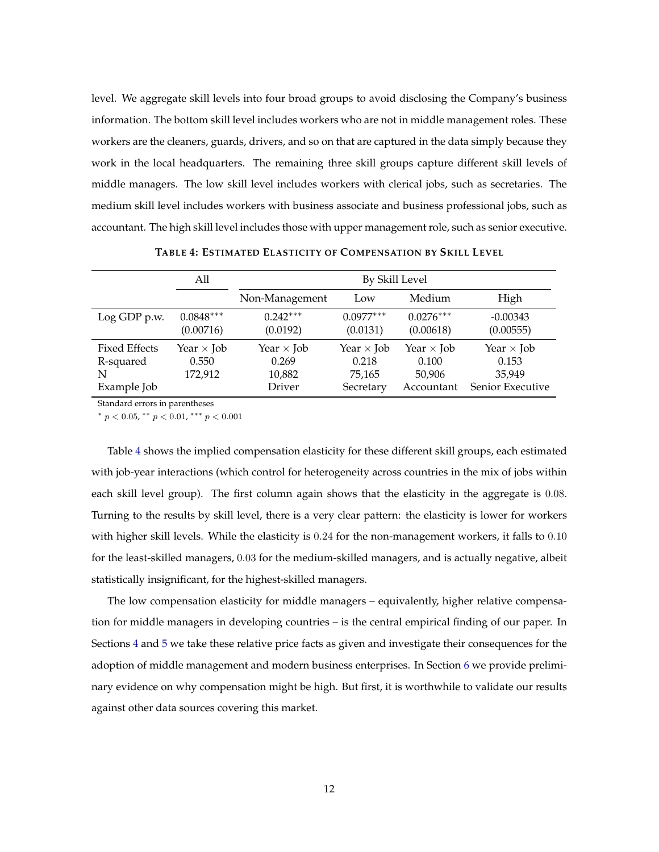level. We aggregate skill levels into four broad groups to avoid disclosing the Company's business information. The bottom skill level includes workers who are not in middle management roles. These workers are the cleaners, guards, drivers, and so on that are captured in the data simply because they work in the local headquarters. The remaining three skill groups capture different skill levels of middle managers. The low skill level includes workers with clerical jobs, such as secretaries. The medium skill level includes workers with business associate and business professional jobs, such as accountant. The high skill level includes those with upper management role, such as senior executive.

<span id="page-11-0"></span>

|                                                       | All                                   |                                                       | By Skill Level                                    |                                                    |                                                          |
|-------------------------------------------------------|---------------------------------------|-------------------------------------------------------|---------------------------------------------------|----------------------------------------------------|----------------------------------------------------------|
|                                                       |                                       | Non-Management                                        | Low                                               | Medium                                             | High                                                     |
| Log GDP p.w.                                          | $0.0848***$<br>(0.00716)              | $0.242***$<br>(0.0192)                                | $0.0977***$<br>(0.0131)                           | $0.0276***$<br>(0.00618)                           | $-0.00343$<br>(0.00555)                                  |
| <b>Fixed Effects</b><br>R-squared<br>N<br>Example Job | Year $\times$ Job<br>0.550<br>172,912 | Year $\times$ Job<br>0.269<br>10,882<br><b>Driver</b> | Year $\times$ Job<br>0.218<br>75,165<br>Secretary | Year $\times$ Job<br>0.100<br>50,906<br>Accountant | Year $\times$ Job<br>0.153<br>35.949<br>Senior Executive |

**TABLE 4: ESTIMATED ELASTICITY OF COMPENSATION BY SKILL LEVEL**

Standard errors in parentheses

\*  $p < 0.05$ , \*\*  $p < 0.01$ , \*\*\*  $p < 0.001$ 

Table [4](#page-11-0) shows the implied compensation elasticity for these different skill groups, each estimated with job-year interactions (which control for heterogeneity across countries in the mix of jobs within each skill level group). The first column again shows that the elasticity in the aggregate is 0.08. Turning to the results by skill level, there is a very clear pattern: the elasticity is lower for workers with higher skill levels. While the elasticity is 0.24 for the non-management workers, it falls to 0.10 for the least-skilled managers, 0.03 for the medium-skilled managers, and is actually negative, albeit statistically insignificant, for the highest-skilled managers.

The low compensation elasticity for middle managers – equivalently, higher relative compensation for middle managers in developing countries – is the central empirical finding of our paper. In Sections [4](#page-14-0) and [5](#page-21-0) we take these relative price facts as given and investigate their consequences for the adoption of middle management and modern business enterprises. In Section [6](#page-28-0) we provide preliminary evidence on why compensation might be high. But first, it is worthwhile to validate our results against other data sources covering this market.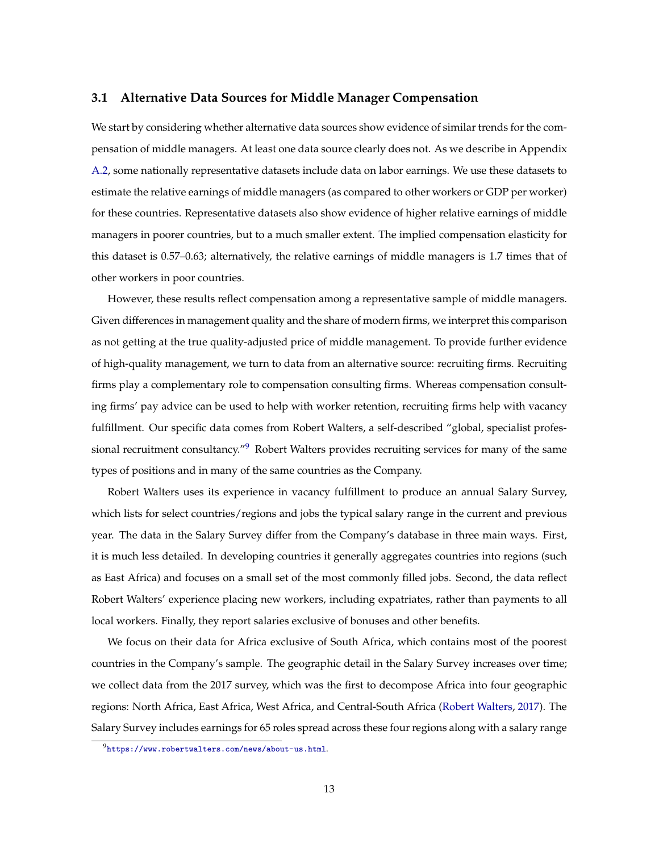#### <span id="page-12-0"></span>**3.1 Alternative Data Sources for Middle Manager Compensation**

We start by considering whether alternative data sources show evidence of similar trends for the compensation of middle managers. At least one data source clearly does not. As we describe in Appendix [A.2,](#page-43-0) some nationally representative datasets include data on labor earnings. We use these datasets to estimate the relative earnings of middle managers (as compared to other workers or GDP per worker) for these countries. Representative datasets also show evidence of higher relative earnings of middle managers in poorer countries, but to a much smaller extent. The implied compensation elasticity for this dataset is 0.57–0.63; alternatively, the relative earnings of middle managers is 1.7 times that of other workers in poor countries.

However, these results reflect compensation among a representative sample of middle managers. Given differences in management quality and the share of modern firms, we interpret this comparison as not getting at the true quality-adjusted price of middle management. To provide further evidence of high-quality management, we turn to data from an alternative source: recruiting firms. Recruiting firms play a complementary role to compensation consulting firms. Whereas compensation consulting firms' pay advice can be used to help with worker retention, recruiting firms help with vacancy fulfillment. Our specific data comes from Robert Walters, a self-described "global, specialist profes-sional recruitment consultancy."<sup>[9](#page-0-0)</sup> Robert Walters provides recruiting services for many of the same types of positions and in many of the same countries as the Company.

Robert Walters uses its experience in vacancy fulfillment to produce an annual Salary Survey, which lists for select countries/regions and jobs the typical salary range in the current and previous year. The data in the Salary Survey differ from the Company's database in three main ways. First, it is much less detailed. In developing countries it generally aggregates countries into regions (such as East Africa) and focuses on a small set of the most commonly filled jobs. Second, the data reflect Robert Walters' experience placing new workers, including expatriates, rather than payments to all local workers. Finally, they report salaries exclusive of bonuses and other benefits.

We focus on their data for Africa exclusive of South Africa, which contains most of the poorest countries in the Company's sample. The geographic detail in the Salary Survey increases over time; we collect data from the 2017 survey, which was the first to decompose Africa into four geographic regions: North Africa, East Africa, West Africa, and Central-South Africa [\(Robert Walters,](#page-40-5) [2017\)](#page-40-5). The Salary Survey includes earnings for 65 roles spread across these four regions along with a salary range

 $9$ <https://www.robertwalters.com/news/about-us.html>.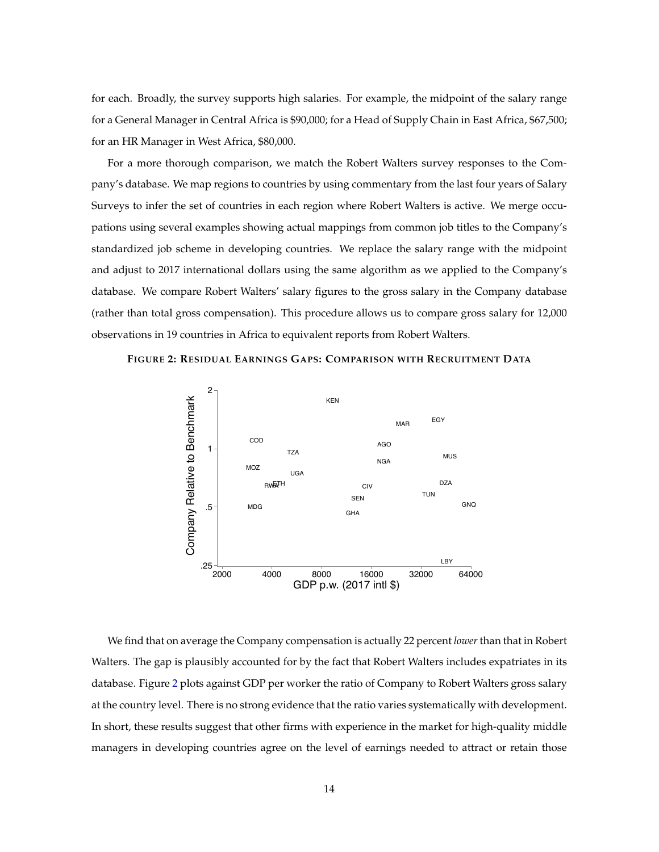for each. Broadly, the survey supports high salaries. For example, the midpoint of the salary range for a General Manager in Central Africa is \$90,000; for a Head of Supply Chain in East Africa, \$67,500; for an HR Manager in West Africa, \$80,000.

For a more thorough comparison, we match the Robert Walters survey responses to the Company's database. We map regions to countries by using commentary from the last four years of Salary Surveys to infer the set of countries in each region where Robert Walters is active. We merge occupations using several examples showing actual mappings from common job titles to the Company's standardized job scheme in developing countries. We replace the salary range with the midpoint and adjust to 2017 international dollars using the same algorithm as we applied to the Company's database. We compare Robert Walters' salary figures to the gross salary in the Company database (rather than total gross compensation). This procedure allows us to compare gross salary for 12,000 observations in 19 countries in Africa to equivalent reports from Robert Walters.

<span id="page-13-0"></span>



We find that on average the Company compensation is actually 22 percent *lower*than that in Robert Walters. The gap is plausibly accounted for by the fact that Robert Walters includes expatriates in its database. Figure [2](#page-13-0) plots against GDP per worker the ratio of Company to Robert Walters gross salary at the country level. There is no strong evidence that the ratio varies systematically with development. In short, these results suggest that other firms with experience in the market for high-quality middle managers in developing countries agree on the level of earnings needed to attract or retain those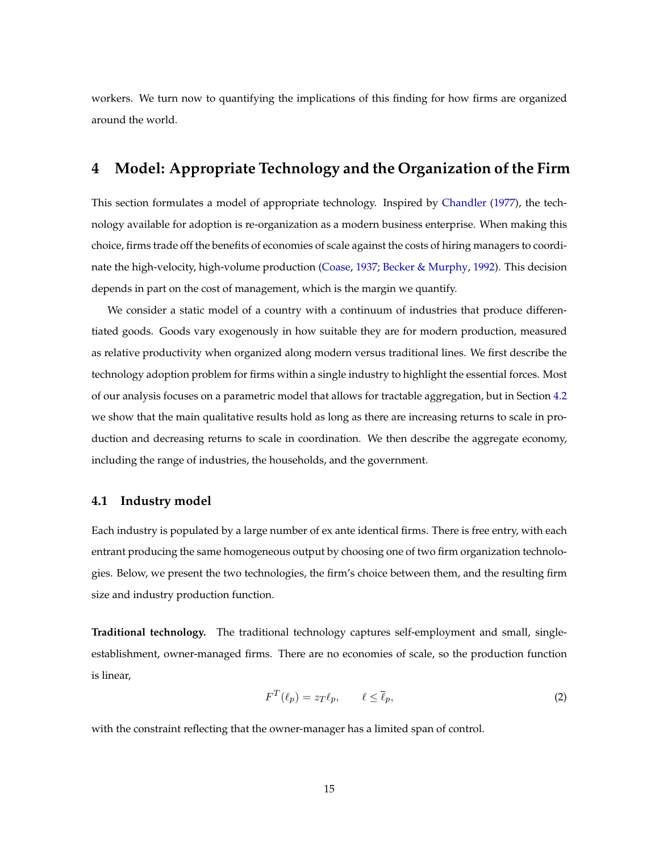workers. We turn now to quantifying the implications of this finding for how firms are organized around the world.

## <span id="page-14-0"></span>**4 Model: Appropriate Technology and the Organization of the Firm**

This section formulates a model of appropriate technology. Inspired by [Chandler](#page-37-0) [\(1977\)](#page-37-0), the technology available for adoption is re-organization as a modern business enterprise. When making this choice, firms trade off the benefits of economies of scale against the costs of hiring managers to coordinate the high-velocity, high-volume production [\(Coase,](#page-37-8) [1937;](#page-37-8) [Becker & Murphy,](#page-36-4) [1992\)](#page-36-4). This decision depends in part on the cost of management, which is the margin we quantify.

We consider a static model of a country with a continuum of industries that produce differentiated goods. Goods vary exogenously in how suitable they are for modern production, measured as relative productivity when organized along modern versus traditional lines. We first describe the technology adoption problem for firms within a single industry to highlight the essential forces. Most of our analysis focuses on a parametric model that allows for tractable aggregation, but in Section [4.2](#page-17-0) we show that the main qualitative results hold as long as there are increasing returns to scale in production and decreasing returns to scale in coordination. We then describe the aggregate economy, including the range of industries, the households, and the government.

#### <span id="page-14-2"></span>**4.1 Industry model**

Each industry is populated by a large number of ex ante identical firms. There is free entry, with each entrant producing the same homogeneous output by choosing one of two firm organization technologies. Below, we present the two technologies, the firm's choice between them, and the resulting firm size and industry production function.

**Traditional technology.** The traditional technology captures self-employment and small, singleestablishment, owner-managed firms. There are no economies of scale, so the production function is linear,

<span id="page-14-1"></span>
$$
F^T(\ell_p) = z_T \ell_p, \qquad \ell \le \bar{\ell}_p,\tag{2}
$$

with the constraint reflecting that the owner-manager has a limited span of control.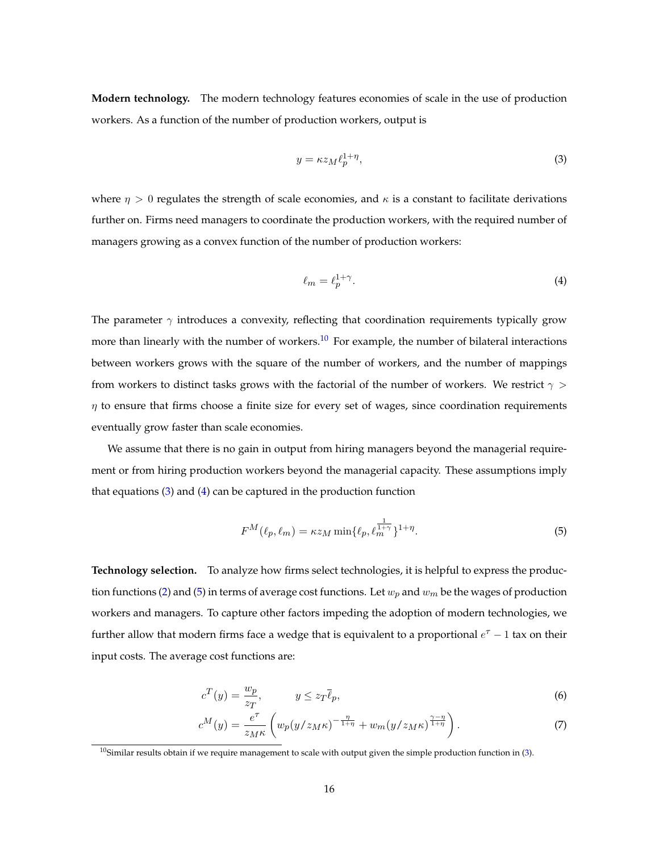**Modern technology.** The modern technology features economies of scale in the use of production workers. As a function of the number of production workers, output is

<span id="page-15-0"></span>
$$
y = \kappa z_M \ell_p^{1+\eta},\tag{3}
$$

where  $\eta > 0$  regulates the strength of scale economies, and  $\kappa$  is a constant to facilitate derivations further on. Firms need managers to coordinate the production workers, with the required number of managers growing as a convex function of the number of production workers:

<span id="page-15-1"></span>
$$
\ell_m = \ell_p^{1+\gamma}.\tag{4}
$$

The parameter  $\gamma$  introduces a convexity, reflecting that coordination requirements typically grow more than linearly with the number of workers.<sup>[10](#page-0-0)</sup> For example, the number of bilateral interactions between workers grows with the square of the number of workers, and the number of mappings from workers to distinct tasks grows with the factorial of the number of workers. We restrict  $\gamma$  >  $\eta$  to ensure that firms choose a finite size for every set of wages, since coordination requirements eventually grow faster than scale economies.

We assume that there is no gain in output from hiring managers beyond the managerial requirement or from hiring production workers beyond the managerial capacity. These assumptions imply that equations [\(3\)](#page-15-0) and [\(4\)](#page-15-1) can be captured in the production function

<span id="page-15-2"></span>
$$
F^{M}(\ell_{p}, \ell_{m}) = \kappa z_{M} \min\{\ell_{p}, \ell_{m}^{\frac{1}{1+\gamma}}\}^{1+\eta}.
$$
 (5)

**Technology selection.** To analyze how firms select technologies, it is helpful to express the produc-tion functions [\(2\)](#page-14-1) and [\(5\)](#page-15-2) in terms of average cost functions. Let  $w_p$  and  $w_m$  be the wages of production workers and managers. To capture other factors impeding the adoption of modern technologies, we further allow that modern firms face a wedge that is equivalent to a proportional  $e^{\tau} - 1$  tax on their input costs. The average cost functions are:

$$
c^T(y) = \frac{w_p}{z_T}, \qquad y \le z_T \overline{\ell}_p,\tag{6}
$$

$$
c^M(y) = \frac{e^{\tau}}{z_M \kappa} \left( w_p(y/z_M \kappa)^{-\frac{\eta}{1+\eta}} + w_m(y/z_M \kappa)^{\frac{\gamma-\eta}{1+\eta}} \right). \tag{7}
$$

 $10$ Similar results obtain if we require management to scale with output given the simple production function in [\(3\)](#page-15-0).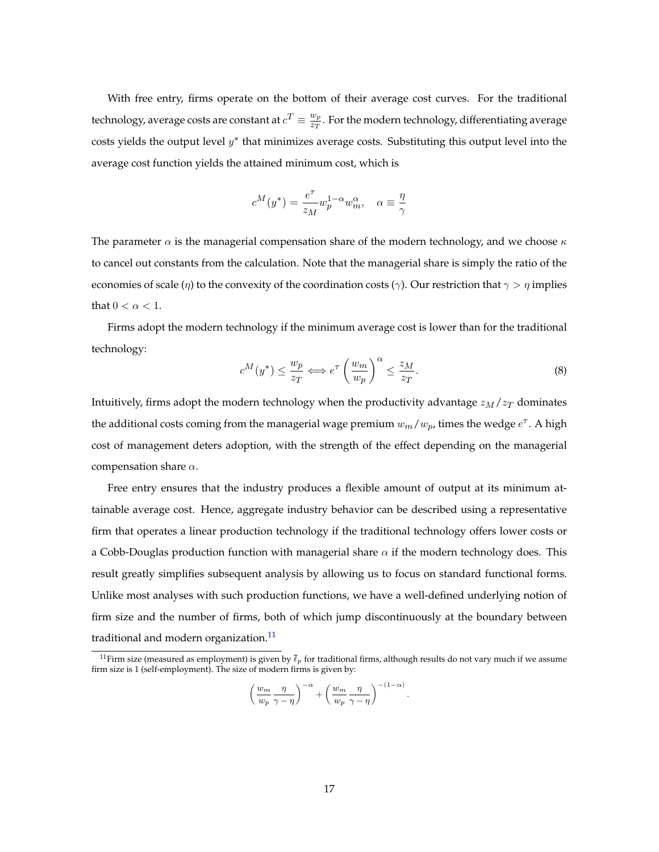With free entry, firms operate on the bottom of their average cost curves. For the traditional technology, average costs are constant at  $c^T \equiv \frac{w_p}{z_T}$  $\frac{w_p}{z_T}.$  For the modern technology, differentiating average costs yields the output level  $y^*$  that minimizes average costs. Substituting this output level into the average cost function yields the attained minimum cost, which is

$$
c^M(y^*) = \frac{e^{\tau}}{z_M} w_p^{1-\alpha} w_m^{\alpha}, \quad \alpha \equiv \frac{\eta}{\gamma}
$$

The parameter  $\alpha$  is the managerial compensation share of the modern technology, and we choose  $\kappa$ to cancel out constants from the calculation. Note that the managerial share is simply the ratio of the economies of scale (η) to the convexity of the coordination costs ( $\gamma$ ). Our restriction that  $\gamma > \eta$  implies that  $0 < \alpha < 1$ .

Firms adopt the modern technology if the minimum average cost is lower than for the traditional technology:

$$
c^{M}(y^{*}) \leq \frac{w_{p}}{z_{T}} \Longleftrightarrow e^{\tau} \left(\frac{w_{m}}{w_{p}}\right)^{\alpha} \leq \frac{z_{M}}{z_{T}}.
$$
\n
$$
(8)
$$

Intuitively, firms adopt the modern technology when the productivity advantage  $z_M/z_T$  dominates the additional costs coming from the managerial wage premium  $w_m/w_p$ , times the wedge  $e^{\tau}$ . A high cost of management deters adoption, with the strength of the effect depending on the managerial compensation share  $\alpha$ .

Free entry ensures that the industry produces a flexible amount of output at its minimum attainable average cost. Hence, aggregate industry behavior can be described using a representative firm that operates a linear production technology if the traditional technology offers lower costs or a Cobb-Douglas production function with managerial share  $\alpha$  if the modern technology does. This result greatly simplifies subsequent analysis by allowing us to focus on standard functional forms. Unlike most analyses with such production functions, we have a well-defined underlying notion of firm size and the number of firms, both of which jump discontinuously at the boundary between traditional and modern organization.<sup>[11](#page-0-0)</sup>

$$
\left(\frac{w_m}{w_p}\frac{\eta}{\gamma-\eta}\right)^{-\alpha} + \left(\frac{w_m}{w_p}\frac{\eta}{\gamma-\eta}\right)^{-(1-\alpha)}.
$$

 $^{11}$ Firm size (measured as employment) is given by  $\bar{\ell}_p$  for traditional firms, although results do not vary much if we assume firm size is 1 (self-employment). The size of modern firms is given by: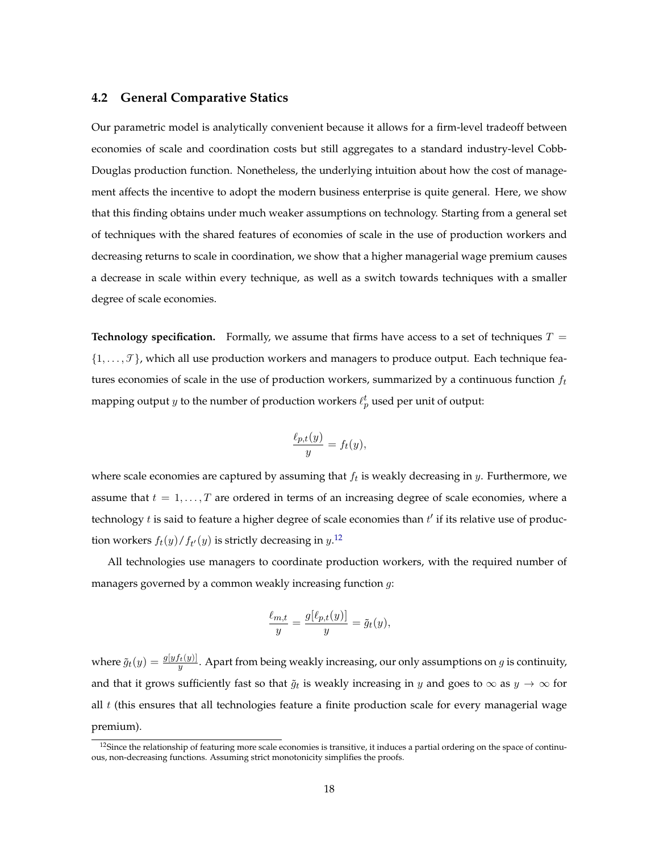#### <span id="page-17-0"></span>**4.2 General Comparative Statics**

Our parametric model is analytically convenient because it allows for a firm-level tradeoff between economies of scale and coordination costs but still aggregates to a standard industry-level Cobb-Douglas production function. Nonetheless, the underlying intuition about how the cost of management affects the incentive to adopt the modern business enterprise is quite general. Here, we show that this finding obtains under much weaker assumptions on technology. Starting from a general set of techniques with the shared features of economies of scale in the use of production workers and decreasing returns to scale in coordination, we show that a higher managerial wage premium causes a decrease in scale within every technique, as well as a switch towards techniques with a smaller degree of scale economies.

**Technology specification.** Formally, we assume that firms have access to a set of techniques  $T =$  $\{1, \ldots, \mathcal{T}\}$ , which all use production workers and managers to produce output. Each technique features economies of scale in the use of production workers, summarized by a continuous function  $f_t$ mapping output  $y$  to the number of production workers  $\ell_p^t$  used per unit of output:

$$
\frac{\ell_{p,t}(y)}{y} = f_t(y),
$$

where scale economies are captured by assuming that  $f_t$  is weakly decreasing in  $y$ . Furthermore, we assume that  $t = 1, \ldots, T$  are ordered in terms of an increasing degree of scale economies, where a technology  $t$  is said to feature a higher degree of scale economies than  $t'$  if its relative use of production workers  $f_t(y)/f_{t'}(y)$  is strictly decreasing in  $y$ .<sup>[12](#page-0-0)</sup>

All technologies use managers to coordinate production workers, with the required number of managers governed by a common weakly increasing function  $g$ :

$$
\frac{\ell_{m,t}}{y} = \frac{g[\ell_{p,t}(y)]}{y} = \tilde{g}_t(y),
$$

where  $\tilde{g}_t(y) = \frac{g[yf_t(y)]}{y}$ . Apart from being weakly increasing, our only assumptions on g is continuity, and that it grows sufficiently fast so that  $\tilde{g}_t$  is weakly increasing in y and goes to  $\infty$  as  $y \to \infty$  for all  $t$  (this ensures that all technologies feature a finite production scale for every managerial wage premium).

 $12$ Since the relationship of featuring more scale economies is transitive, it induces a partial ordering on the space of continuous, non-decreasing functions. Assuming strict monotonicity simplifies the proofs.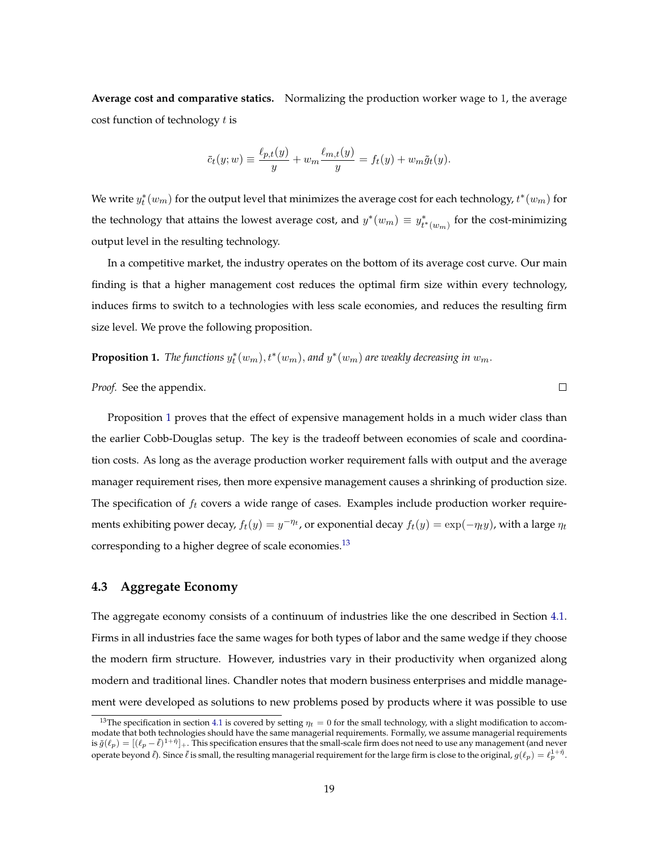**Average cost and comparative statics.** Normalizing the production worker wage to 1, the average cost function of technology  $t$  is

$$
\bar{c}_t(y; w) \equiv \frac{\ell_{p,t}(y)}{y} + w_m \frac{\ell_{m,t}(y)}{y} = f_t(y) + w_m \tilde{g}_t(y).
$$

We write  $y_t^*(w_m)$  for the output level that minimizes the average cost for each technology,  $t^*(w_m)$  for the technology that attains the lowest average cost, and  $y^*(w_m) \equiv y^*_{t^*(w_m)}$  for the cost-minimizing output level in the resulting technology.

In a competitive market, the industry operates on the bottom of its average cost curve. Our main finding is that a higher management cost reduces the optimal firm size within every technology, induces firms to switch to a technologies with less scale economies, and reduces the resulting firm size level. We prove the following proposition.

<span id="page-18-0"></span>**Proposition 1.** The functions  $y_t^*(w_m)$ ,  $t^*(w_m)$ , and  $y^*(w_m)$  are weakly decreasing in  $w_m$ .

*Proof.* See the appendix.

Proposition [1](#page-18-0) proves that the effect of expensive management holds in a much wider class than the earlier Cobb-Douglas setup. The key is the tradeoff between economies of scale and coordination costs. As long as the average production worker requirement falls with output and the average manager requirement rises, then more expensive management causes a shrinking of production size. The specification of  $f_t$  covers a wide range of cases. Examples include production worker requirements exhibiting power decay,  $f_t(y) = y^{-\eta_t}$ , or exponential decay  $f_t(y) = \exp(-\eta_t y)$ , with a large  $\eta_t$ corresponding to a higher degree of scale economies.<sup>[13](#page-0-0)</sup>

#### **4.3 Aggregate Economy**

The aggregate economy consists of a continuum of industries like the one described in Section [4.1.](#page-14-2) Firms in all industries face the same wages for both types of labor and the same wedge if they choose the modern firm structure. However, industries vary in their productivity when organized along modern and traditional lines. Chandler notes that modern business enterprises and middle management were developed as solutions to new problems posed by products where it was possible to use

 $\Box$ 

<sup>&</sup>lt;sup>13</sup>The specification in section [4.1](#page-14-2) is covered by setting  $\eta_t = 0$  for the small technology, with a slight modification to accommodate that both technologies should have the same managerial requirements. Formally, we assume managerial requirements is  $\tilde{g}(\ell_p) = [(\ell_p - \bar{\ell})^{1+\bar{\eta}}]_+$ . This specification ensures that the small-scale firm does not need to use any management (and never operate beyond  $\bar{\ell}$ ). Since  $\bar{\ell}$  is small, the resulting managerial requirement for the large firm is close to the original,  $g(\ell_p) = \ell_p^{1+\bar{\eta}}$ .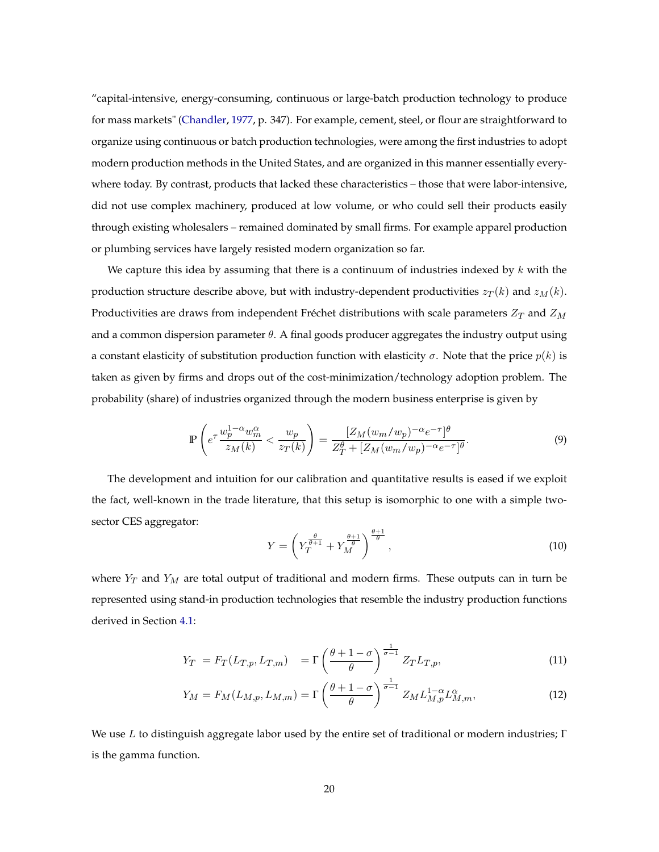"capital-intensive, energy-consuming, continuous or large-batch production technology to produce for mass markets" [\(Chandler,](#page-37-0) [1977,](#page-37-0) p. 347). For example, cement, steel, or flour are straightforward to organize using continuous or batch production technologies, were among the first industries to adopt modern production methods in the United States, and are organized in this manner essentially everywhere today. By contrast, products that lacked these characteristics – those that were labor-intensive, did not use complex machinery, produced at low volume, or who could sell their products easily through existing wholesalers – remained dominated by small firms. For example apparel production or plumbing services have largely resisted modern organization so far.

We capture this idea by assuming that there is a continuum of industries indexed by  $k$  with the production structure describe above, but with industry-dependent productivities  $z_T(k)$  and  $z_M(k)$ . Productivities are draws from independent Fréchet distributions with scale parameters  $Z_T$  and  $Z_M$ and a common dispersion parameter  $\theta$ . A final goods producer aggregates the industry output using a constant elasticity of substitution production function with elasticity  $\sigma$ . Note that the price  $p(k)$  is taken as given by firms and drops out of the cost-minimization/technology adoption problem. The probability (share) of industries organized through the modern business enterprise is given by

$$
\mathbb{P}\left(e^{\tau}\frac{w_p^{1-\alpha}w_m^{\alpha}}{z_M(k)} < \frac{w_p}{z_T(k)}\right) = \frac{[Z_M(w_m/w_p)^{-\alpha}e^{-\tau}]}{Z_T^{\theta} + [Z_M(w_m/w_p)^{-\alpha}e^{-\tau}]}^{\theta}.\tag{9}
$$

The development and intuition for our calibration and quantitative results is eased if we exploit the fact, well-known in the trade literature, that this setup is isomorphic to one with a simple twosector CES aggregator:

<span id="page-19-3"></span><span id="page-19-2"></span><span id="page-19-1"></span><span id="page-19-0"></span>
$$
Y = \left(Y_T^{\frac{\theta}{\theta+1}} + Y_M^{\frac{\theta+1}{\theta}}\right)^{\frac{\theta+1}{\theta}},\tag{10}
$$

where  $Y_T$  and  $Y_M$  are total output of traditional and modern firms. These outputs can in turn be represented using stand-in production technologies that resemble the industry production functions derived in Section [4.1:](#page-14-2)

$$
Y_T = F_T(L_{T,p}, L_{T,m}) = \Gamma\left(\frac{\theta + 1 - \sigma}{\theta}\right)^{\frac{1}{\sigma - 1}} Z_T L_{T,p},\tag{11}
$$

$$
Y_M = F_M(L_{M,p}, L_{M,m}) = \Gamma\left(\frac{\theta + 1 - \sigma}{\theta}\right)^{\frac{1}{\sigma - 1}} Z_M L_{M,p}^{1 - \alpha} L_{M,m}^{\alpha},\tag{12}
$$

We use L to distinguish aggregate labor used by the entire set of traditional or modern industries;  $\Gamma$ is the gamma function.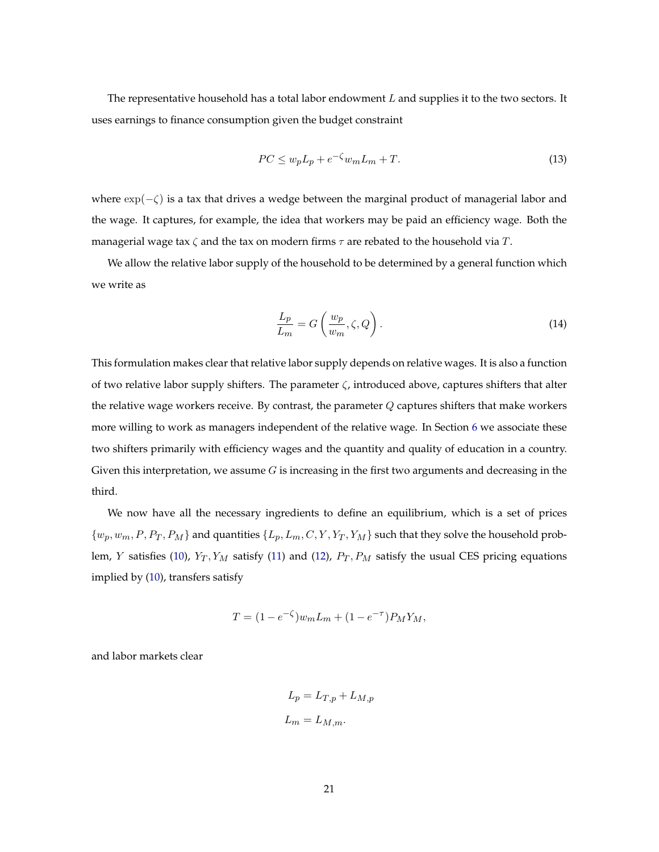The representative household has a total labor endowment  $L$  and supplies it to the two sectors. It uses earnings to finance consumption given the budget constraint

<span id="page-20-1"></span>
$$
PC \le w_p L_p + e^{-\zeta} w_m L_m + T. \tag{13}
$$

where  $\exp(-\zeta)$  is a tax that drives a wedge between the marginal product of managerial labor and the wage. It captures, for example, the idea that workers may be paid an efficiency wage. Both the managerial wage tax  $\zeta$  and the tax on modern firms  $\tau$  are rebated to the household via T.

We allow the relative labor supply of the household to be determined by a general function which we write as

<span id="page-20-0"></span>
$$
\frac{L_p}{L_m} = G\left(\frac{w_p}{w_m}, \zeta, Q\right). \tag{14}
$$

This formulation makes clear that relative labor supply depends on relative wages. It is also a function of two relative labor supply shifters. The parameter  $\zeta$ , introduced above, captures shifters that alter the relative wage workers receive. By contrast, the parameter  $Q$  captures shifters that make workers more willing to work as managers independent of the relative wage. In Section [6](#page-28-0) we associate these two shifters primarily with efficiency wages and the quantity and quality of education in a country. Given this interpretation, we assume  $G$  is increasing in the first two arguments and decreasing in the third.

We now have all the necessary ingredients to define an equilibrium, which is a set of prices  $\{w_p, w_m, P, P_T, P_M\}$  and quantities  $\{L_p, L_m, C, Y, Y_T, Y_M\}$  such that they solve the household prob-lem, Y satisfies [\(10\)](#page-19-0),  $Y_T, Y_M$  satisfy [\(11\)](#page-19-1) and [\(12\)](#page-19-2),  $P_T, P_M$  satisfy the usual CES pricing equations implied by [\(10\)](#page-19-0), transfers satisfy

$$
T = (1 - e^{-\zeta})w_m L_m + (1 - e^{-\tau})P_M Y_M,
$$

and labor markets clear

$$
L_p = L_{T,p} + L_{M,p}
$$
  

$$
L_m = L_{M,m}.
$$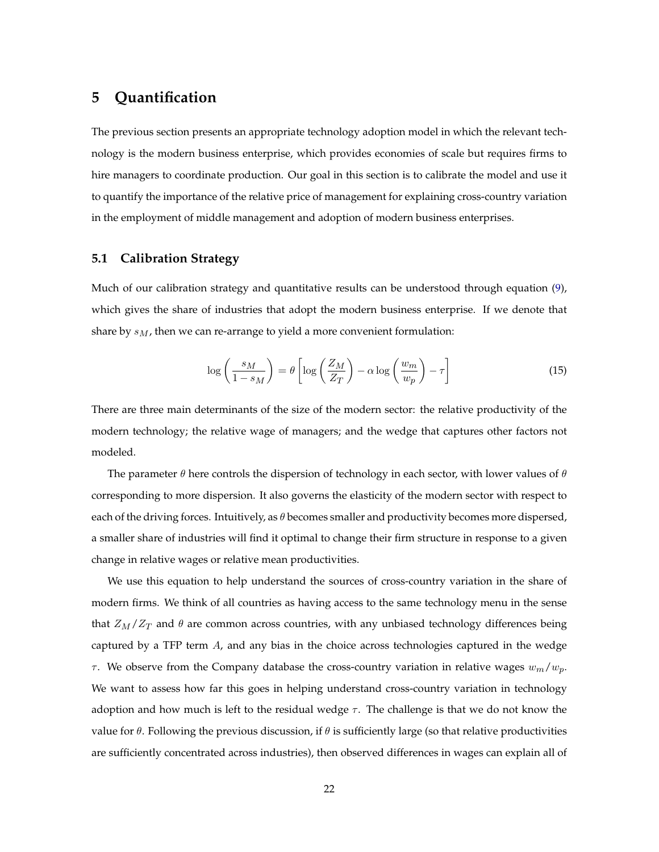# <span id="page-21-0"></span>**5 Quantification**

The previous section presents an appropriate technology adoption model in which the relevant technology is the modern business enterprise, which provides economies of scale but requires firms to hire managers to coordinate production. Our goal in this section is to calibrate the model and use it to quantify the importance of the relative price of management for explaining cross-country variation in the employment of middle management and adoption of modern business enterprises.

#### **5.1 Calibration Strategy**

Much of our calibration strategy and quantitative results can be understood through equation [\(9\)](#page-19-3), which gives the share of industries that adopt the modern business enterprise. If we denote that share by  $s_M$ , then we can re-arrange to yield a more convenient formulation:

<span id="page-21-1"></span>
$$
\log\left(\frac{s_M}{1-s_M}\right) = \theta \left[ \log\left(\frac{Z_M}{Z_T}\right) - \alpha \log\left(\frac{w_m}{w_p}\right) - \tau \right] \tag{15}
$$

There are three main determinants of the size of the modern sector: the relative productivity of the modern technology; the relative wage of managers; and the wedge that captures other factors not modeled.

The parameter  $\theta$  here controls the dispersion of technology in each sector, with lower values of  $\theta$ corresponding to more dispersion. It also governs the elasticity of the modern sector with respect to each of the driving forces. Intuitively, as  $\theta$  becomes smaller and productivity becomes more dispersed, a smaller share of industries will find it optimal to change their firm structure in response to a given change in relative wages or relative mean productivities.

We use this equation to help understand the sources of cross-country variation in the share of modern firms. We think of all countries as having access to the same technology menu in the sense that  $Z_M/Z_T$  and  $\theta$  are common across countries, with any unbiased technology differences being captured by a TFP term A, and any bias in the choice across technologies captured in the wedge  $\tau$ . We observe from the Company database the cross-country variation in relative wages  $w_m/w_p$ . We want to assess how far this goes in helping understand cross-country variation in technology adoption and how much is left to the residual wedge  $\tau$ . The challenge is that we do not know the value for  $\theta$ . Following the previous discussion, if  $\theta$  is sufficiently large (so that relative productivities are sufficiently concentrated across industries), then observed differences in wages can explain all of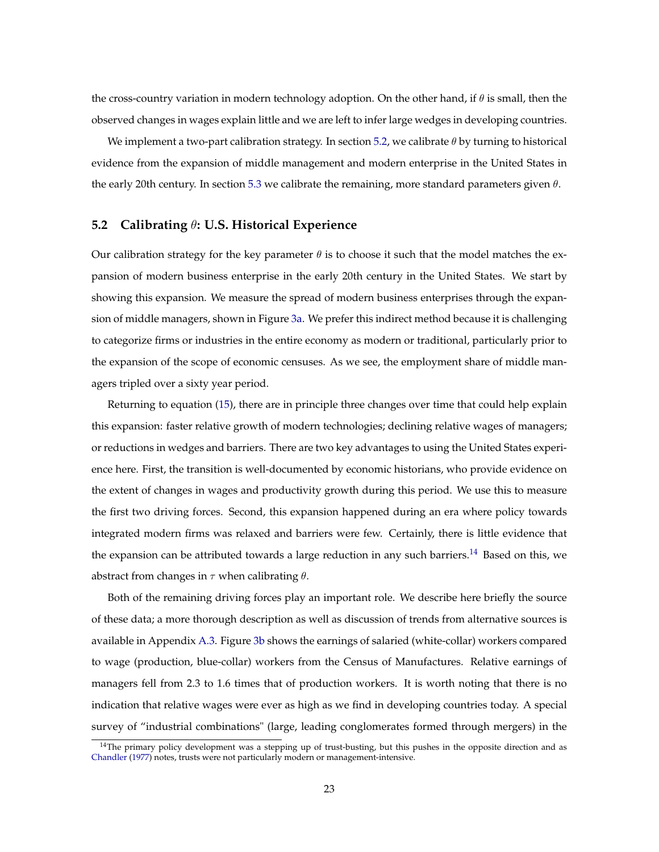the cross-country variation in modern technology adoption. On the other hand, if  $\theta$  is small, then the observed changes in wages explain little and we are left to infer large wedges in developing countries.

We implement a two-part calibration strategy. In section [5.2,](#page-22-0) we calibrate  $\theta$  by turning to historical evidence from the expansion of middle management and modern enterprise in the United States in the early 20th century. In section [5.3](#page-24-0) we calibrate the remaining, more standard parameters given  $\theta$ .

#### <span id="page-22-0"></span>**5.2 Calibrating** θ**: U.S. Historical Experience**

Our calibration strategy for the key parameter  $\theta$  is to choose it such that the model matches the expansion of modern business enterprise in the early 20th century in the United States. We start by showing this expansion. We measure the spread of modern business enterprises through the expansion of middle managers, shown in Figure [3a.](#page-23-0) We prefer this indirect method because it is challenging to categorize firms or industries in the entire economy as modern or traditional, particularly prior to the expansion of the scope of economic censuses. As we see, the employment share of middle managers tripled over a sixty year period.

Returning to equation [\(15\)](#page-21-1), there are in principle three changes over time that could help explain this expansion: faster relative growth of modern technologies; declining relative wages of managers; or reductions in wedges and barriers. There are two key advantages to using the United States experience here. First, the transition is well-documented by economic historians, who provide evidence on the extent of changes in wages and productivity growth during this period. We use this to measure the first two driving forces. Second, this expansion happened during an era where policy towards integrated modern firms was relaxed and barriers were few. Certainly, there is little evidence that the expansion can be attributed towards a large reduction in any such barriers.<sup>[14](#page-0-0)</sup> Based on this, we abstract from changes in  $\tau$  when calibrating  $\theta$ .

Both of the remaining driving forces play an important role. We describe here briefly the source of these data; a more thorough description as well as discussion of trends from alternative sources is available in Appendix [A.3.](#page-44-0) Figure [3b](#page-23-1) shows the earnings of salaried (white-collar) workers compared to wage (production, blue-collar) workers from the Census of Manufactures. Relative earnings of managers fell from 2.3 to 1.6 times that of production workers. It is worth noting that there is no indication that relative wages were ever as high as we find in developing countries today. A special survey of "industrial combinations" (large, leading conglomerates formed through mergers) in the

<sup>&</sup>lt;sup>14</sup>The primary policy development was a stepping up of trust-busting, but this pushes in the opposite direction and as [Chandler](#page-37-0) [\(1977\)](#page-37-0) notes, trusts were not particularly modern or management-intensive.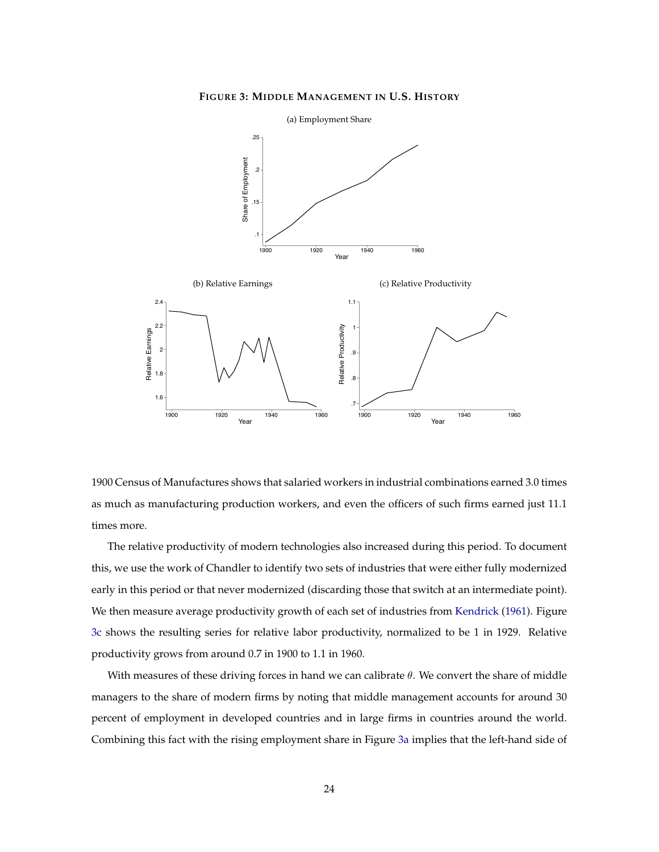<span id="page-23-2"></span>**FIGURE 3: MIDDLE MANAGEMENT IN U.S. HISTORY**

<span id="page-23-1"></span><span id="page-23-0"></span>

1900 Census of Manufactures shows that salaried workers in industrial combinations earned 3.0 times as much as manufacturing production workers, and even the officers of such firms earned just 11.1 times more.

The relative productivity of modern technologies also increased during this period. To document this, we use the work of Chandler to identify two sets of industries that were either fully modernized early in this period or that never modernized (discarding those that switch at an intermediate point). We then measure average productivity growth of each set of industries from [Kendrick](#page-39-5) [\(1961\)](#page-39-5). Figure [3c](#page-23-2) shows the resulting series for relative labor productivity, normalized to be 1 in 1929. Relative productivity grows from around 0.7 in 1900 to 1.1 in 1960.

With measures of these driving forces in hand we can calibrate  $\theta$ . We convert the share of middle managers to the share of modern firms by noting that middle management accounts for around 30 percent of employment in developed countries and in large firms in countries around the world. Combining this fact with the rising employment share in Figure [3a](#page-23-0) implies that the left-hand side of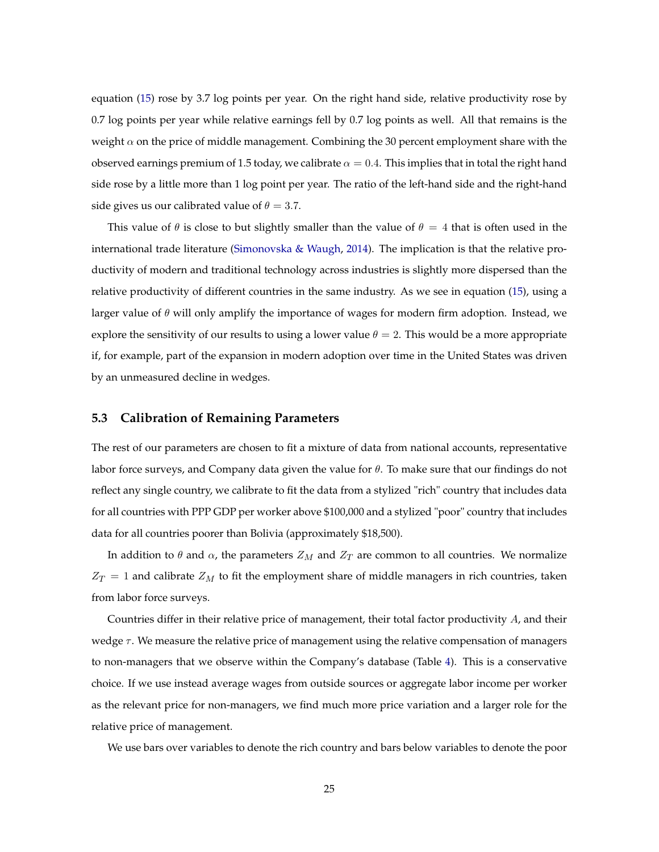equation [\(15\)](#page-21-1) rose by 3.7 log points per year. On the right hand side, relative productivity rose by 0.7 log points per year while relative earnings fell by 0.7 log points as well. All that remains is the weight  $\alpha$  on the price of middle management. Combining the 30 percent employment share with the observed earnings premium of 1.5 today, we calibrate  $\alpha = 0.4$ . This implies that in total the right hand side rose by a little more than 1 log point per year. The ratio of the left-hand side and the right-hand side gives us our calibrated value of  $\theta = 3.7$ .

This value of  $\theta$  is close to but slightly smaller than the value of  $\theta = 4$  that is often used in the international trade literature [\(Simonovska & Waugh,](#page-40-6) [2014\)](#page-40-6). The implication is that the relative productivity of modern and traditional technology across industries is slightly more dispersed than the relative productivity of different countries in the same industry. As we see in equation [\(15\)](#page-21-1), using a larger value of  $\theta$  will only amplify the importance of wages for modern firm adoption. Instead, we explore the sensitivity of our results to using a lower value  $\theta = 2$ . This would be a more appropriate if, for example, part of the expansion in modern adoption over time in the United States was driven by an unmeasured decline in wedges.

#### <span id="page-24-0"></span>**5.3 Calibration of Remaining Parameters**

The rest of our parameters are chosen to fit a mixture of data from national accounts, representative labor force surveys, and Company data given the value for  $\theta$ . To make sure that our findings do not reflect any single country, we calibrate to fit the data from a stylized "rich" country that includes data for all countries with PPP GDP per worker above \$100,000 and a stylized "poor" country that includes data for all countries poorer than Bolivia (approximately \$18,500).

In addition to  $\theta$  and  $\alpha$ , the parameters  $Z_M$  and  $Z_T$  are common to all countries. We normalize  $Z_T = 1$  and calibrate  $Z_M$  to fit the employment share of middle managers in rich countries, taken from labor force surveys.

Countries differ in their relative price of management, their total factor productivity A, and their wedge  $\tau$ . We measure the relative price of management using the relative compensation of managers to non-managers that we observe within the Company's database (Table [4\)](#page-11-0). This is a conservative choice. If we use instead average wages from outside sources or aggregate labor income per worker as the relevant price for non-managers, we find much more price variation and a larger role for the relative price of management.

We use bars over variables to denote the rich country and bars below variables to denote the poor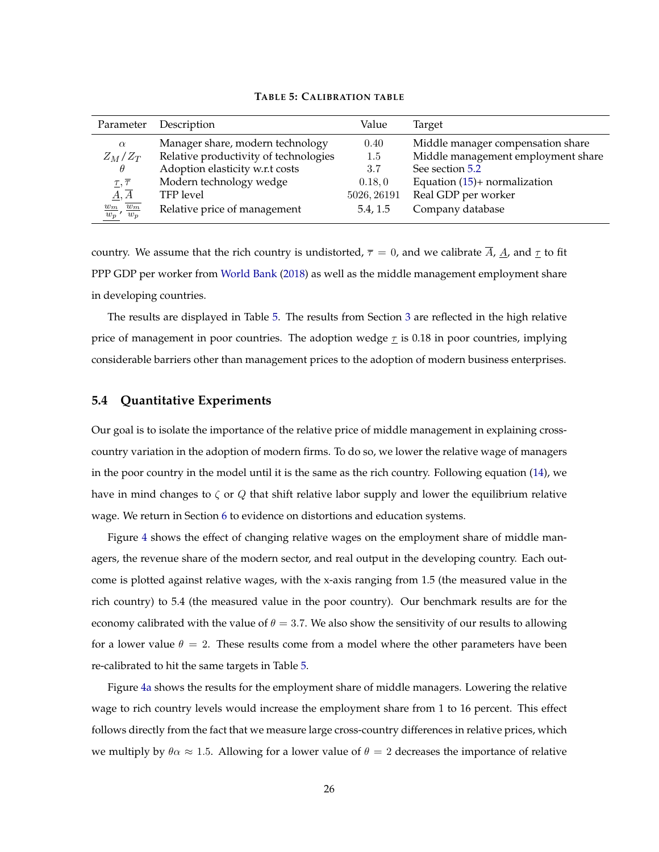<span id="page-25-0"></span>

| Parameter                        | Description                           | Value       | Target                             |
|----------------------------------|---------------------------------------|-------------|------------------------------------|
| $\alpha$                         | Manager share, modern technology      | 0.40        | Middle manager compensation share  |
| $Z_M/Z_T$                        | Relative productivity of technologies | 1.5         | Middle management employment share |
| $\theta$                         | Adoption elasticity w.r.t costs       | 3.7         | See section 5.2                    |
| $\tau, \overline{\tau}$          | Modern technology wedge               | 0.18, 0     | Equation $(15)$ + normalization    |
| $\underline{A}, \overline{A}$    | TFP level                             | 5026, 26191 | Real GDP per worker                |
| $w_m$<br>$w_m$<br>$w_p$<br>$w_p$ | Relative price of management          | 5.4, 1.5    | Company database                   |

**TABLE 5: CALIBRATION TABLE**

country. We assume that the rich country is undistorted,  $\bar{\tau} = 0$ , and we calibrate A,  $\underline{A}$ , and  $\underline{\tau}$  to fit PPP GDP per worker from [World Bank](#page-40-4) [\(2018\)](#page-40-4) as well as the middle management employment share in developing countries.

The results are displayed in Table [5.](#page-25-0) The results from Section [3](#page-8-0) are reflected in the high relative price of management in poor countries. The adoption wedge  $\tau$  is 0.18 in poor countries, implying considerable barriers other than management prices to the adoption of modern business enterprises.

#### **5.4 Quantitative Experiments**

Our goal is to isolate the importance of the relative price of middle management in explaining crosscountry variation in the adoption of modern firms. To do so, we lower the relative wage of managers in the poor country in the model until it is the same as the rich country. Following equation [\(14\)](#page-20-0), we have in mind changes to  $\zeta$  or Q that shift relative labor supply and lower the equilibrium relative wage. We return in Section [6](#page-28-0) to evidence on distortions and education systems.

Figure [4](#page-26-0) shows the effect of changing relative wages on the employment share of middle managers, the revenue share of the modern sector, and real output in the developing country. Each outcome is plotted against relative wages, with the x-axis ranging from 1.5 (the measured value in the rich country) to 5.4 (the measured value in the poor country). Our benchmark results are for the economy calibrated with the value of  $\theta = 3.7$ . We also show the sensitivity of our results to allowing for a lower value  $\theta = 2$ . These results come from a model where the other parameters have been re-calibrated to hit the same targets in Table [5.](#page-25-0)

Figure [4a](#page-26-1) shows the results for the employment share of middle managers. Lowering the relative wage to rich country levels would increase the employment share from 1 to 16 percent. This effect follows directly from the fact that we measure large cross-country differences in relative prices, which we multiply by  $\theta \alpha \approx 1.5$ . Allowing for a lower value of  $\theta = 2$  decreases the importance of relative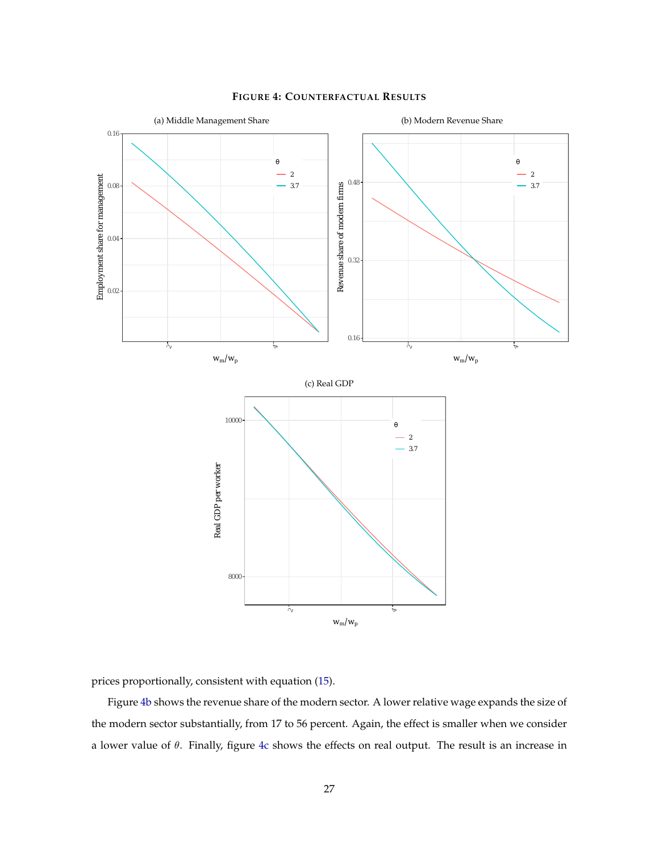<span id="page-26-3"></span><span id="page-26-1"></span><span id="page-26-0"></span>

#### <span id="page-26-2"></span>**FIGURE 4: COUNTERFACTUAL RESULTS**

prices proportionally, consistent with equation [\(15\)](#page-21-1).

Figure [4b](#page-26-2) shows the revenue share of the modern sector. A lower relative wage expands the size of the modern sector substantially, from 17 to 56 percent. Again, the effect is smaller when we consider a lower value of  $\theta$ . Finally, figure [4c](#page-26-3) shows the effects on real output. The result is an increase in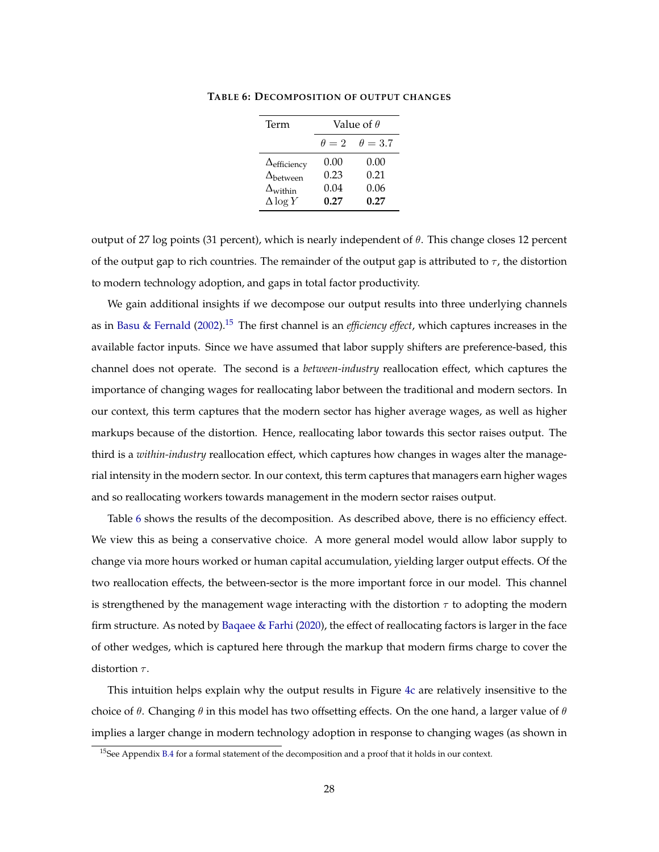| Term                         | Value of $\theta$ |                |
|------------------------------|-------------------|----------------|
|                              | $\theta = 2$      | $\theta = 3.7$ |
| $\Delta_{\text{efficiency}}$ | 0.00              | 0.00           |
| $\Delta_{\text{between}}$    | 0.23              | 0.21           |
| $\Delta_{\rm within}$        | 0.04              | 0.06           |
| $\Delta \log Y$              | 0.27              | 0.27           |

<span id="page-27-0"></span>**TABLE 6: DECOMPOSITION OF OUTPUT CHANGES**

output of 27 log points (31 percent), which is nearly independent of  $\theta$ . This change closes 12 percent of the output gap to rich countries. The remainder of the output gap is attributed to  $\tau$ , the distortion to modern technology adoption, and gaps in total factor productivity.

We gain additional insights if we decompose our output results into three underlying channels as in [Basu & Fernald](#page-36-5) [\(2002\)](#page-36-5).[15](#page-0-0) The first channel is an *efficiency effect*, which captures increases in the available factor inputs. Since we have assumed that labor supply shifters are preference-based, this channel does not operate. The second is a *between-industry* reallocation effect, which captures the importance of changing wages for reallocating labor between the traditional and modern sectors. In our context, this term captures that the modern sector has higher average wages, as well as higher markups because of the distortion. Hence, reallocating labor towards this sector raises output. The third is a *within-industry* reallocation effect, which captures how changes in wages alter the managerial intensity in the modern sector. In our context, this term captures that managers earn higher wages and so reallocating workers towards management in the modern sector raises output.

Table [6](#page-27-0) shows the results of the decomposition. As described above, there is no efficiency effect. We view this as being a conservative choice. A more general model would allow labor supply to change via more hours worked or human capital accumulation, yielding larger output effects. Of the two reallocation effects, the between-sector is the more important force in our model. This channel is strengthened by the management wage interacting with the distortion  $\tau$  to adopting the modern firm structure. As noted by [Baqaee & Farhi](#page-35-3) [\(2020\)](#page-35-3), the effect of reallocating factors is larger in the face of other wedges, which is captured here through the markup that modern firms charge to cover the distortion  $\tau$ .

This intuition helps explain why the output results in Figure [4c](#page-26-3) are relatively insensitive to the choice of  $\theta$ . Changing  $\theta$  in this model has two offsetting effects. On the one hand, a larger value of  $\theta$ implies a larger change in modern technology adoption in response to changing wages (as shown in

<sup>&</sup>lt;sup>15</sup>See Appendix [B.4](#page-63-0) for a formal statement of the decomposition and a proof that it holds in our context.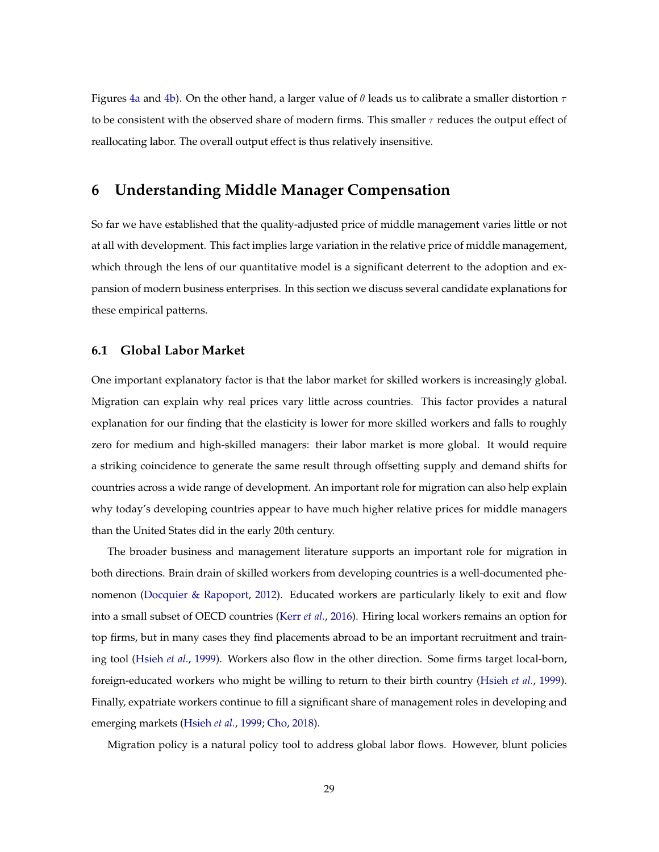Figures [4a](#page-26-1) and [4b\)](#page-26-2). On the other hand, a larger value of  $\theta$  leads us to calibrate a smaller distortion  $\tau$ to be consistent with the observed share of modern firms. This smaller  $\tau$  reduces the output effect of reallocating labor. The overall output effect is thus relatively insensitive.

## <span id="page-28-0"></span>**6 Understanding Middle Manager Compensation**

So far we have established that the quality-adjusted price of middle management varies little or not at all with development. This fact implies large variation in the relative price of middle management, which through the lens of our quantitative model is a significant deterrent to the adoption and expansion of modern business enterprises. In this section we discuss several candidate explanations for these empirical patterns.

#### **6.1 Global Labor Market**

One important explanatory factor is that the labor market for skilled workers is increasingly global. Migration can explain why real prices vary little across countries. This factor provides a natural explanation for our finding that the elasticity is lower for more skilled workers and falls to roughly zero for medium and high-skilled managers: their labor market is more global. It would require a striking coincidence to generate the same result through offsetting supply and demand shifts for countries across a wide range of development. An important role for migration can also help explain why today's developing countries appear to have much higher relative prices for middle managers than the United States did in the early 20th century.

The broader business and management literature supports an important role for migration in both directions. Brain drain of skilled workers from developing countries is a well-documented phenomenon [\(Docquier & Rapoport,](#page-38-8) [2012\)](#page-38-8). Educated workers are particularly likely to exit and flow into a small subset of OECD countries [\(Kerr](#page-39-6) *et al.*, [2016\)](#page-39-6). Hiring local workers remains an option for top firms, but in many cases they find placements abroad to be an important recruitment and training tool [\(Hsieh](#page-39-7) *et al.*, [1999\)](#page-39-7). Workers also flow in the other direction. Some firms target local-born, foreign-educated workers who might be willing to return to their birth country [\(Hsieh](#page-39-7) *et al.*, [1999\)](#page-39-7). Finally, expatriate workers continue to fill a significant share of management roles in developing and emerging markets [\(Hsieh](#page-39-7) *et al.*, [1999;](#page-39-7) [Cho,](#page-37-9) [2018\)](#page-37-9).

Migration policy is a natural policy tool to address global labor flows. However, blunt policies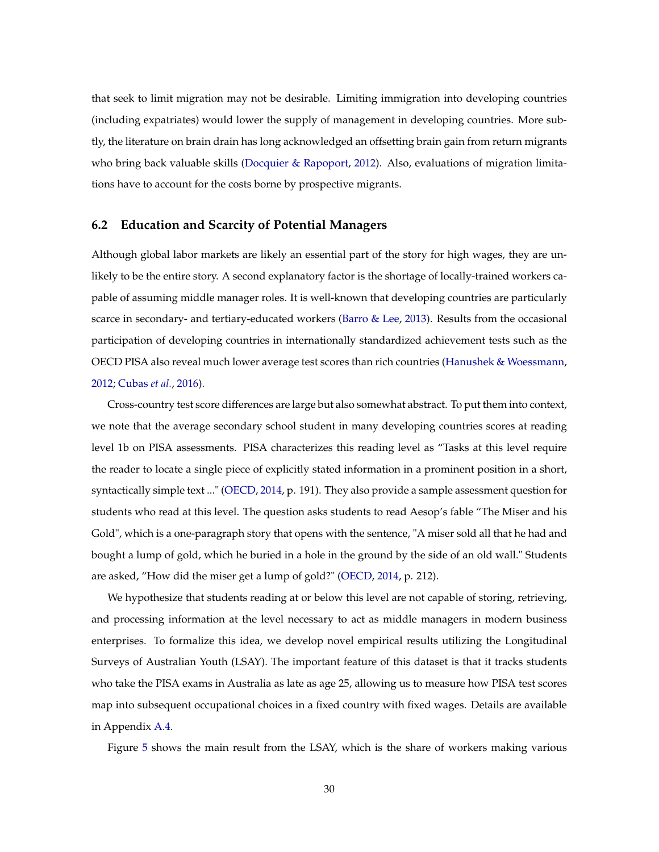that seek to limit migration may not be desirable. Limiting immigration into developing countries (including expatriates) would lower the supply of management in developing countries. More subtly, the literature on brain drain has long acknowledged an offsetting brain gain from return migrants who bring back valuable skills [\(Docquier & Rapoport,](#page-38-8) [2012\)](#page-38-8). Also, evaluations of migration limitations have to account for the costs borne by prospective migrants.

#### **6.2 Education and Scarcity of Potential Managers**

Although global labor markets are likely an essential part of the story for high wages, they are unlikely to be the entire story. A second explanatory factor is the shortage of locally-trained workers capable of assuming middle manager roles. It is well-known that developing countries are particularly scarce in secondary- and tertiary-educated workers [\(Barro & Lee,](#page-36-8) [2013\)](#page-36-8). Results from the occasional participation of developing countries in internationally standardized achievement tests such as the OECD PISA also reveal much lower average test scores than rich countries [\(Hanushek & Woessmann,](#page-38-9) [2012;](#page-38-9) [Cubas](#page-37-10) *et al.*, [2016\)](#page-37-10).

Cross-country test score differences are large but also somewhat abstract. To put them into context, we note that the average secondary school student in many developing countries scores at reading level 1b on PISA assessments. PISA characterizes this reading level as "Tasks at this level require the reader to locate a single piece of explicitly stated information in a prominent position in a short, syntactically simple text ..." [\(OECD,](#page-39-8) [2014,](#page-39-8) p. 191). They also provide a sample assessment question for students who read at this level. The question asks students to read Aesop's fable "The Miser and his Gold", which is a one-paragraph story that opens with the sentence, "A miser sold all that he had and bought a lump of gold, which he buried in a hole in the ground by the side of an old wall." Students are asked, "How did the miser get a lump of gold?" [\(OECD,](#page-39-8) [2014,](#page-39-8) p. 212).

We hypothesize that students reading at or below this level are not capable of storing, retrieving, and processing information at the level necessary to act as middle managers in modern business enterprises. To formalize this idea, we develop novel empirical results utilizing the Longitudinal Surveys of Australian Youth (LSAY). The important feature of this dataset is that it tracks students who take the PISA exams in Australia as late as age 25, allowing us to measure how PISA test scores map into subsequent occupational choices in a fixed country with fixed wages. Details are available in Appendix [A.4.](#page-46-0)

Figure [5](#page-30-0) shows the main result from the LSAY, which is the share of workers making various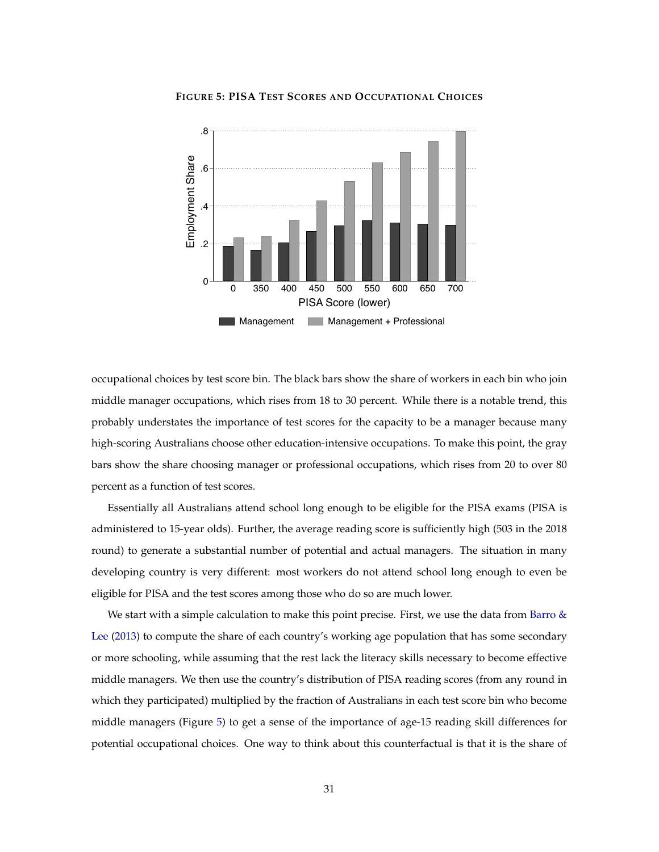<span id="page-30-0"></span>

**FIGURE 5: PISA TEST SCORES AND OCCUPATIONAL CHOICES**

occupational choices by test score bin. The black bars show the share of workers in each bin who join middle manager occupations, which rises from 18 to 30 percent. While there is a notable trend, this probably understates the importance of test scores for the capacity to be a manager because many high-scoring Australians choose other education-intensive occupations. To make this point, the gray bars show the share choosing manager or professional occupations, which rises from 20 to over 80 percent as a function of test scores.

Essentially all Australians attend school long enough to be eligible for the PISA exams (PISA is administered to 15-year olds). Further, the average reading score is sufficiently high (503 in the 2018 round) to generate a substantial number of potential and actual managers. The situation in many developing country is very different: most workers do not attend school long enough to even be eligible for PISA and the test scores among those who do so are much lower.

We start with a simple calculation to make this point precise. First, we use the data from Barro  $\&$ [Lee](#page-36-8) [\(2013\)](#page-36-8) to compute the share of each country's working age population that has some secondary or more schooling, while assuming that the rest lack the literacy skills necessary to become effective middle managers. We then use the country's distribution of PISA reading scores (from any round in which they participated) multiplied by the fraction of Australians in each test score bin who become middle managers (Figure [5\)](#page-30-0) to get a sense of the importance of age-15 reading skill differences for potential occupational choices. One way to think about this counterfactual is that it is the share of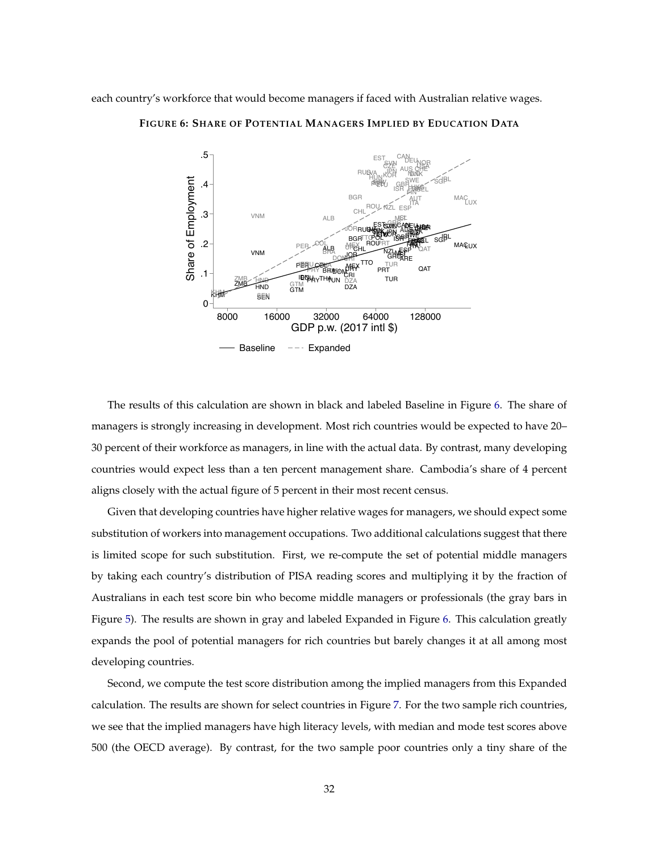<span id="page-31-0"></span>each country's workforce that would become managers if faced with Australian relative wages.



**FIGURE 6: SHARE OF POTENTIAL MANAGERS IMPLIED BY EDUCATION DATA**

The results of this calculation are shown in black and labeled Baseline in Figure [6.](#page-31-0) The share of managers is strongly increasing in development. Most rich countries would be expected to have 20– 30 percent of their workforce as managers, in line with the actual data. By contrast, many developing countries would expect less than a ten percent management share. Cambodia's share of 4 percent aligns closely with the actual figure of 5 percent in their most recent census.

Given that developing countries have higher relative wages for managers, we should expect some substitution of workers into management occupations. Two additional calculations suggest that there is limited scope for such substitution. First, we re-compute the set of potential middle managers by taking each country's distribution of PISA reading scores and multiplying it by the fraction of Australians in each test score bin who become middle managers or professionals (the gray bars in Figure [5\)](#page-30-0). The results are shown in gray and labeled Expanded in Figure [6.](#page-31-0) This calculation greatly expands the pool of potential managers for rich countries but barely changes it at all among most developing countries.

Second, we compute the test score distribution among the implied managers from this Expanded calculation. The results are shown for select countries in Figure [7.](#page-32-0) For the two sample rich countries, we see that the implied managers have high literacy levels, with median and mode test scores above 500 (the OECD average). By contrast, for the two sample poor countries only a tiny share of the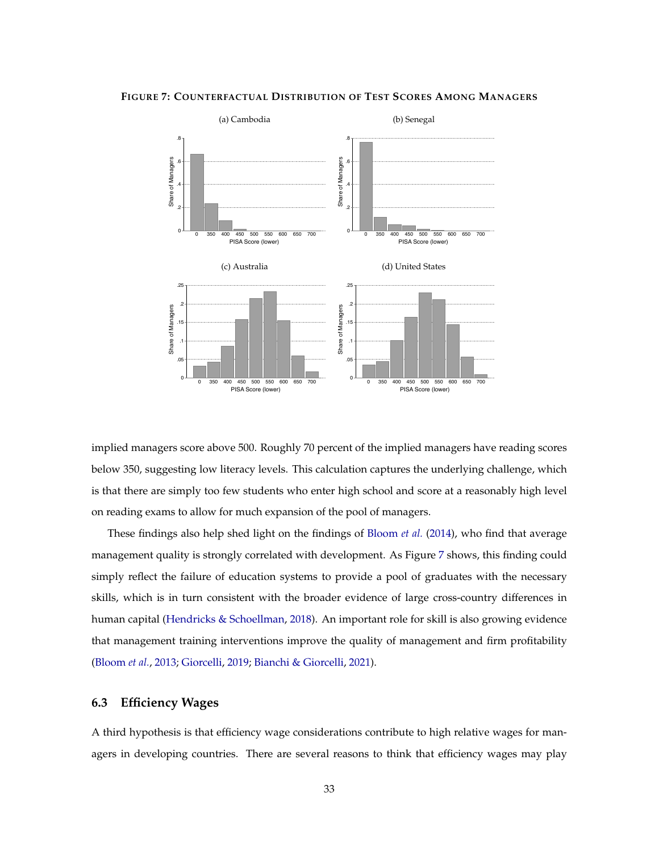<span id="page-32-0"></span>**FIGURE 7: COUNTERFACTUAL DISTRIBUTION OF TEST SCORES AMONG MANAGERS**



implied managers score above 500. Roughly 70 percent of the implied managers have reading scores below 350, suggesting low literacy levels. This calculation captures the underlying challenge, which is that there are simply too few students who enter high school and score at a reasonably high level on reading exams to allow for much expansion of the pool of managers.

These findings also help shed light on the findings of [Bloom](#page-36-0) *et al.* [\(2014\)](#page-36-0), who find that average management quality is strongly correlated with development. As Figure [7](#page-32-0) shows, this finding could simply reflect the failure of education systems to provide a pool of graduates with the necessary skills, which is in turn consistent with the broader evidence of large cross-country differences in human capital [\(Hendricks & Schoellman,](#page-38-7) [2018\)](#page-38-7). An important role for skill is also growing evidence that management training interventions improve the quality of management and firm profitability [\(Bloom](#page-36-6) *et al.*, [2013;](#page-36-6) [Giorcelli,](#page-38-10) [2019;](#page-38-10) [Bianchi & Giorcelli,](#page-36-9) [2021\)](#page-36-9).

#### **6.3 Efficiency Wages**

A third hypothesis is that efficiency wage considerations contribute to high relative wages for managers in developing countries. There are several reasons to think that efficiency wages may play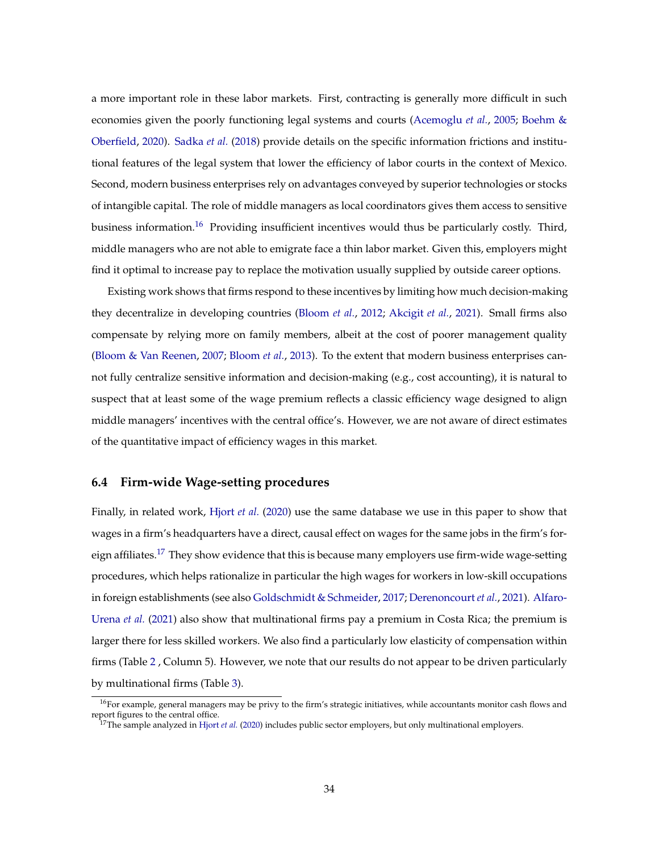a more important role in these labor markets. First, contracting is generally more difficult in such economies given the poorly functioning legal systems and courts [\(Acemoglu](#page-35-5) *et al.*, [2005;](#page-35-5) [Boehm &](#page-37-11) [Oberfield,](#page-37-11) [2020\)](#page-37-11). [Sadka](#page-40-7) *et al.* [\(2018\)](#page-40-7) provide details on the specific information frictions and institutional features of the legal system that lower the efficiency of labor courts in the context of Mexico. Second, modern business enterprises rely on advantages conveyed by superior technologies or stocks of intangible capital. The role of middle managers as local coordinators gives them access to sensitive business information.<sup>[16](#page-0-0)</sup> Providing insufficient incentives would thus be particularly costly. Third, middle managers who are not able to emigrate face a thin labor market. Given this, employers might find it optimal to increase pay to replace the motivation usually supplied by outside career options.

Existing work shows that firms respond to these incentives by limiting how much decision-making they decentralize in developing countries [\(Bloom](#page-36-10) *et al.*, [2012;](#page-36-10) [Akcigit](#page-35-6) *et al.*, [2021\)](#page-35-6). Small firms also compensate by relying more on family members, albeit at the cost of poorer management quality [\(Bloom & Van Reenen,](#page-36-11) [2007;](#page-36-11) [Bloom](#page-36-6) *et al.*, [2013\)](#page-36-6). To the extent that modern business enterprises cannot fully centralize sensitive information and decision-making (e.g., cost accounting), it is natural to suspect that at least some of the wage premium reflects a classic efficiency wage designed to align middle managers' incentives with the central office's. However, we are not aware of direct estimates of the quantitative impact of efficiency wages in this market.

#### **6.4 Firm-wide Wage-setting procedures**

Finally, in related work, [Hjort](#page-39-9) *et al.* [\(2020\)](#page-39-9) use the same database we use in this paper to show that wages in a firm's headquarters have a direct, causal effect on wages for the same jobs in the firm's for-eign affiliates.<sup>[17](#page-0-0)</sup> They show evidence that this is because many employers use firm-wide wage-setting procedures, which helps rationalize in particular the high wages for workers in low-skill occupations in foreign establishments (see also [Goldschmidt & Schmeider,](#page-38-11) [2017;](#page-38-11) [Derenoncourt](#page-37-12) *et al.*, [2021\)](#page-37-12). [Alfaro-](#page-35-2)[Urena](#page-35-2) *et al.* [\(2021\)](#page-35-2) also show that multinational firms pay a premium in Costa Rica; the premium is larger there for less skilled workers. We also find a particularly low elasticity of compensation within firms (Table [2](#page-10-0) , Column 5). However, we note that our results do not appear to be driven particularly by multinational firms (Table [3\)](#page-10-1).

<sup>&</sup>lt;sup>16</sup>For example, general managers may be privy to the firm's strategic initiatives, while accountants monitor cash flows and report figures to the central office.

<sup>&</sup>lt;sup>17</sup>The sample analyzed in [Hjort](#page-39-9) *et al.* [\(2020\)](#page-39-9) includes public sector employers, but only multinational employers.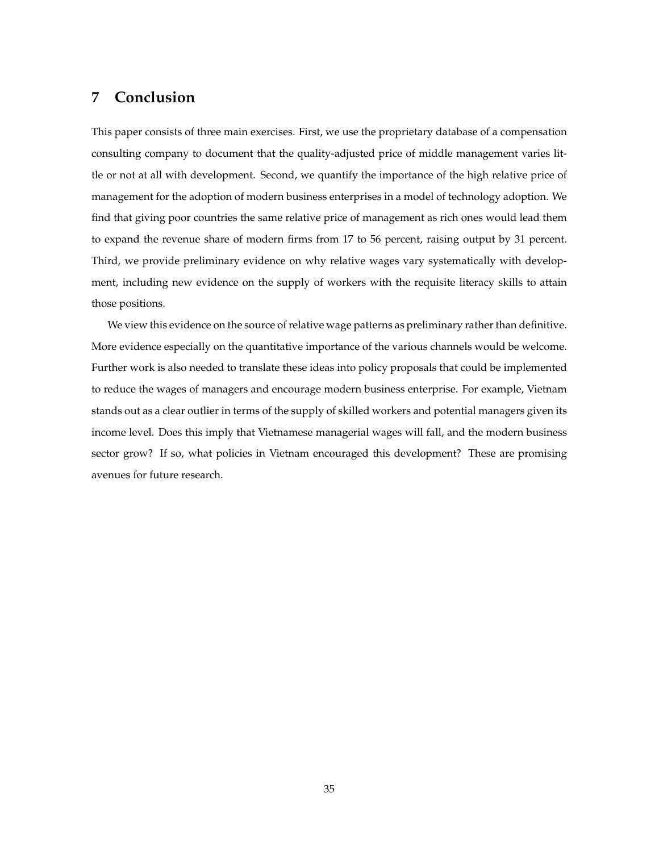## <span id="page-34-0"></span>**7 Conclusion**

This paper consists of three main exercises. First, we use the proprietary database of a compensation consulting company to document that the quality-adjusted price of middle management varies little or not at all with development. Second, we quantify the importance of the high relative price of management for the adoption of modern business enterprises in a model of technology adoption. We find that giving poor countries the same relative price of management as rich ones would lead them to expand the revenue share of modern firms from 17 to 56 percent, raising output by 31 percent. Third, we provide preliminary evidence on why relative wages vary systematically with development, including new evidence on the supply of workers with the requisite literacy skills to attain those positions.

We view this evidence on the source of relative wage patterns as preliminary rather than definitive. More evidence especially on the quantitative importance of the various channels would be welcome. Further work is also needed to translate these ideas into policy proposals that could be implemented to reduce the wages of managers and encourage modern business enterprise. For example, Vietnam stands out as a clear outlier in terms of the supply of skilled workers and potential managers given its income level. Does this imply that Vietnamese managerial wages will fall, and the modern business sector grow? If so, what policies in Vietnam encouraged this development? These are promising avenues for future research.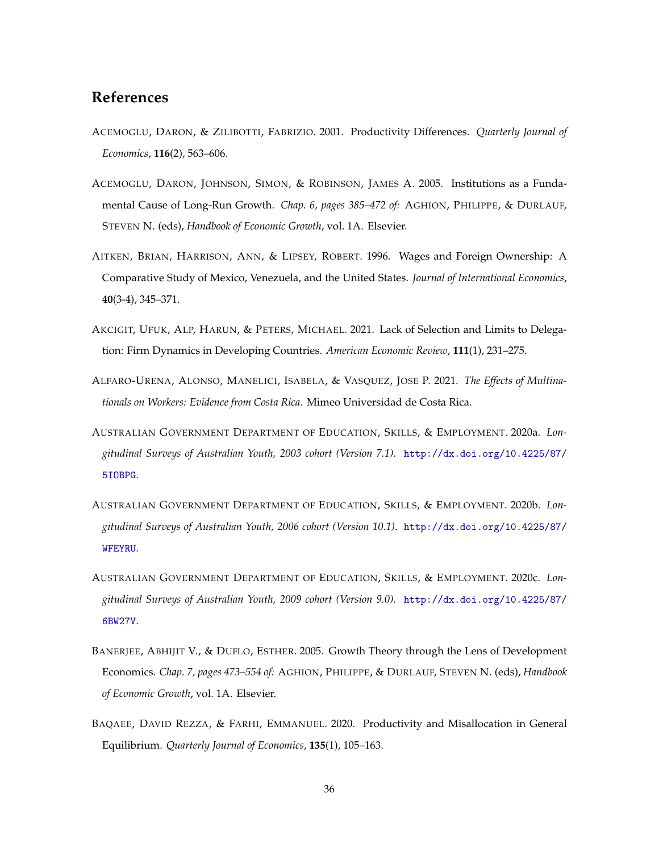### **References**

- <span id="page-35-0"></span>ACEMOGLU, DARON, & ZILIBOTTI, FABRIZIO. 2001. Productivity Differences. *Quarterly Journal of Economics*, **116**(2), 563–606.
- <span id="page-35-5"></span>ACEMOGLU, DARON, JOHNSON, SIMON, & ROBINSON, JAMES A. 2005. Institutions as a Fundamental Cause of Long-Run Growth. *Chap. 6, pages 385–472 of:* AGHION, PHILIPPE, & DURLAUF, STEVEN N. (eds), *Handbook of Economic Growth*, vol. 1A. Elsevier.
- <span id="page-35-1"></span>AITKEN, BRIAN, HARRISON, ANN, & LIPSEY, ROBERT. 1996. Wages and Foreign Ownership: A Comparative Study of Mexico, Venezuela, and the United States. *Journal of International Economics*, **40**(3-4), 345–371.
- <span id="page-35-6"></span>AKCIGIT, UFUK, ALP, HARUN, & PETERS, MICHAEL. 2021. Lack of Selection and Limits to Delegation: Firm Dynamics in Developing Countries. *American Economic Review*, **111**(1), 231–275.
- <span id="page-35-2"></span>ALFARO-URENA, ALONSO, MANELICI, ISABELA, & VASQUEZ, JOSE P. 2021. *The Effects of Multinationals on Workers: Evidence from Costa Rica*. Mimeo Universidad de Costa Rica.
- <span id="page-35-7"></span>AUSTRALIAN GOVERNMENT DEPARTMENT OF EDUCATION, SKILLS, & EMPLOYMENT. 2020a. *Longitudinal Surveys of Australian Youth, 2003 cohort (Version 7.1)*. [http://dx.doi.org/10.4225/87/](http://dx.doi.org/10.4225/87/5IOBPG) [5IOBPG](http://dx.doi.org/10.4225/87/5IOBPG).
- <span id="page-35-8"></span>AUSTRALIAN GOVERNMENT DEPARTMENT OF EDUCATION, SKILLS, & EMPLOYMENT. 2020b. *Longitudinal Surveys of Australian Youth, 2006 cohort (Version 10.1)*. [http://dx.doi.org/10.4225/87/](http://dx.doi.org/10.4225/87/WFEYRU) [WFEYRU](http://dx.doi.org/10.4225/87/WFEYRU).
- <span id="page-35-9"></span>AUSTRALIAN GOVERNMENT DEPARTMENT OF EDUCATION, SKILLS, & EMPLOYMENT. 2020c. *Longitudinal Surveys of Australian Youth, 2009 cohort (Version 9.0)*. [http://dx.doi.org/10.4225/87/](http://dx.doi.org/10.4225/87/6BW27V) [6BW27V](http://dx.doi.org/10.4225/87/6BW27V).
- <span id="page-35-4"></span>BANERJEE, ABHIJIT V., & DUFLO, ESTHER. 2005. Growth Theory through the Lens of Development Economics. *Chap. 7, pages 473–554 of:* AGHION, PHILIPPE, & DURLAUF, STEVEN N. (eds), *Handbook of Economic Growth*, vol. 1A. Elsevier.
- <span id="page-35-3"></span>BAQAEE, DAVID REZZA, & FARHI, EMMANUEL. 2020. Productivity and Misallocation in General Equilibrium. *Quarterly Journal of Economics*, **135**(1), 105–163.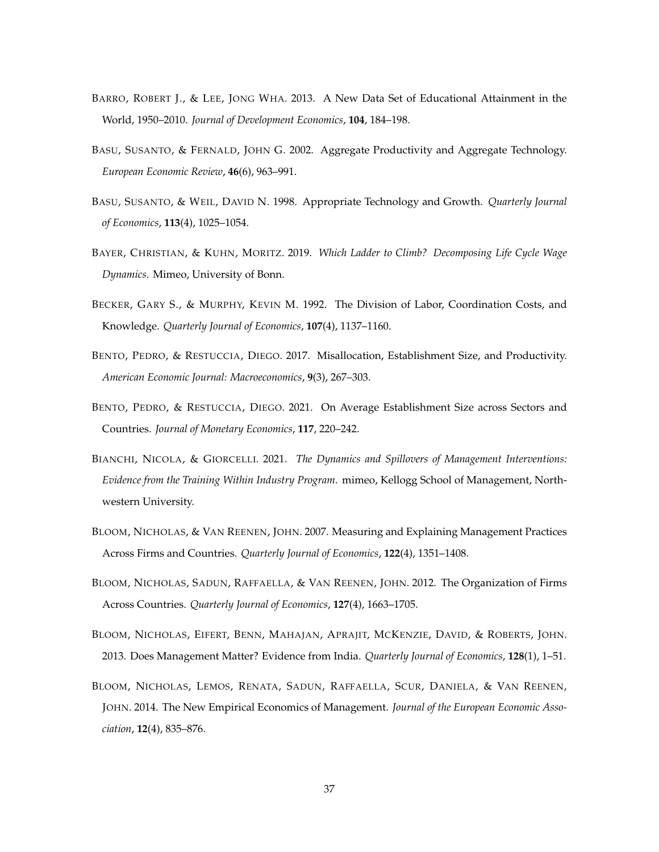- <span id="page-36-8"></span>BARRO, ROBERT J., & LEE, JONG WHA. 2013. A New Data Set of Educational Attainment in the World, 1950–2010. *Journal of Development Economics*, **104**, 184–198.
- <span id="page-36-5"></span>BASU, SUSANTO, & FERNALD, JOHN G. 2002. Aggregate Productivity and Aggregate Technology. *European Economic Review*, **46**(6), 963–991.
- <span id="page-36-3"></span>BASU, SUSANTO, & WEIL, DAVID N. 1998. Appropriate Technology and Growth. *Quarterly Journal of Economics*, **113**(4), 1025–1054.
- <span id="page-36-7"></span>BAYER, CHRISTIAN, & KUHN, MORITZ. 2019. *Which Ladder to Climb? Decomposing Life Cycle Wage Dynamics*. Mimeo, University of Bonn.
- <span id="page-36-4"></span>BECKER, GARY S., & MURPHY, KEVIN M. 1992. The Division of Labor, Coordination Costs, and Knowledge. *Quarterly Journal of Economics*, **107**(4), 1137–1160.
- <span id="page-36-1"></span>BENTO, PEDRO, & RESTUCCIA, DIEGO. 2017. Misallocation, Establishment Size, and Productivity. *American Economic Journal: Macroeconomics*, **9**(3), 267–303.
- <span id="page-36-2"></span>BENTO, PEDRO, & RESTUCCIA, DIEGO. 2021. On Average Establishment Size across Sectors and Countries. *Journal of Monetary Economics*, **117**, 220–242.
- <span id="page-36-9"></span>BIANCHI, NICOLA, & GIORCELLI. 2021. *The Dynamics and Spillovers of Management Interventions: Evidence from the Training Within Industry Program*. mimeo, Kellogg School of Management, Northwestern University.
- <span id="page-36-11"></span>BLOOM, NICHOLAS, & VAN REENEN, JOHN. 2007. Measuring and Explaining Management Practices Across Firms and Countries. *Quarterly Journal of Economics*, **122**(4), 1351–1408.
- <span id="page-36-10"></span>BLOOM, NICHOLAS, SADUN, RAFFAELLA, & VAN REENEN, JOHN. 2012. The Organization of Firms Across Countries. *Quarterly Journal of Economics*, **127**(4), 1663–1705.
- <span id="page-36-6"></span>BLOOM, NICHOLAS, EIFERT, BENN, MAHAJAN, APRAJIT, MCKENZIE, DAVID, & ROBERTS, JOHN. 2013. Does Management Matter? Evidence from India. *Quarterly Journal of Economics*, **128**(1), 1–51.
- <span id="page-36-0"></span>BLOOM, NICHOLAS, LEMOS, RENATA, SADUN, RAFFAELLA, SCUR, DANIELA, & VAN REENEN, JOHN. 2014. The New Empirical Economics of Management. *Journal of the European Economic Association*, **12**(4), 835–876.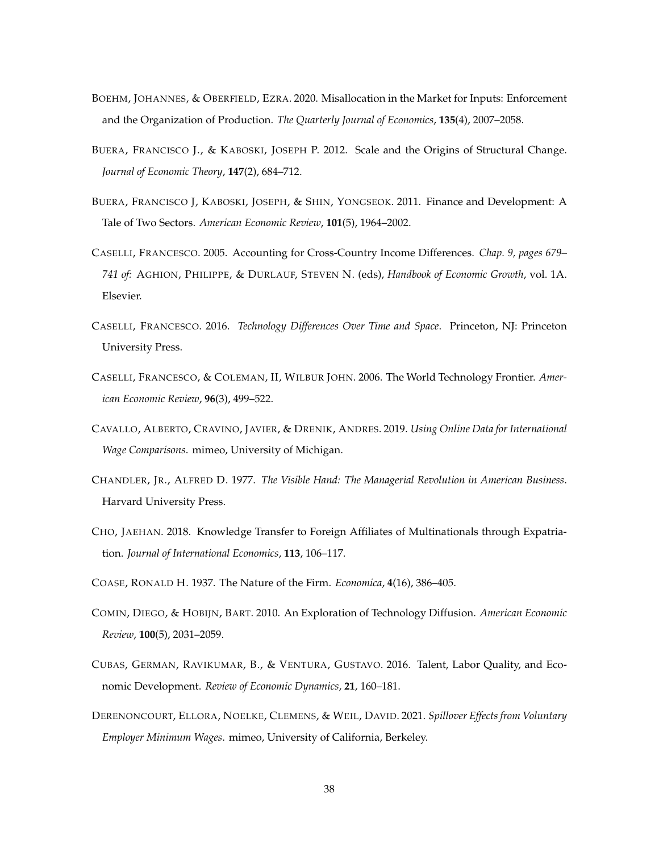- <span id="page-37-11"></span>BOEHM, JOHANNES, & OBERFIELD, EZRA. 2020. Misallocation in the Market for Inputs: Enforcement and the Organization of Production. *The Quarterly Journal of Economics*, **135**(4), 2007–2058.
- <span id="page-37-3"></span>BUERA, FRANCISCO J., & KABOSKI, JOSEPH P. 2012. Scale and the Origins of Structural Change. *Journal of Economic Theory*, **147**(2), 684–712.
- <span id="page-37-2"></span>BUERA, FRANCISCO J, KABOSKI, JOSEPH, & SHIN, YONGSEOK. 2011. Finance and Development: A Tale of Two Sectors. *American Economic Review*, **101**(5), 1964–2002.
- <span id="page-37-7"></span>CASELLI, FRANCESCO. 2005. Accounting for Cross-Country Income Differences. *Chap. 9, pages 679– 741 of:* AGHION, PHILIPPE, & DURLAUF, STEVEN N. (eds), *Handbook of Economic Growth*, vol. 1A. Elsevier.
- <span id="page-37-6"></span>CASELLI, FRANCESCO. 2016. *Technology Differences Over Time and Space*. Princeton, NJ: Princeton University Press.
- <span id="page-37-4"></span>CASELLI, FRANCESCO, & COLEMAN, II, WILBUR JOHN. 2006. The World Technology Frontier. *American Economic Review*, **96**(3), 499–522.
- <span id="page-37-5"></span>CAVALLO, ALBERTO, CRAVINO, JAVIER, & DRENIK, ANDRES. 2019. *Using Online Data for International Wage Comparisons*. mimeo, University of Michigan.
- <span id="page-37-0"></span>CHANDLER, JR., ALFRED D. 1977. *The Visible Hand: The Managerial Revolution in American Business*. Harvard University Press.
- <span id="page-37-9"></span>CHO, JAEHAN. 2018. Knowledge Transfer to Foreign Affiliates of Multinationals through Expatriation. *Journal of International Economics*, **113**, 106–117.
- <span id="page-37-8"></span>COASE, RONALD H. 1937. The Nature of the Firm. *Economica*, **4**(16), 386–405.
- <span id="page-37-1"></span>COMIN, DIEGO, & HOBIJN, BART. 2010. An Exploration of Technology Diffusion. *American Economic Review*, **100**(5), 2031–2059.
- <span id="page-37-10"></span>CUBAS, GERMAN, RAVIKUMAR, B., & VENTURA, GUSTAVO. 2016. Talent, Labor Quality, and Economic Development. *Review of Economic Dynamics*, **21**, 160–181.
- <span id="page-37-12"></span>DERENONCOURT, ELLORA, NOELKE, CLEMENS, & WEIL, DAVID. 2021. *Spillover Effects from Voluntary Employer Minimum Wages*. mimeo, University of California, Berkeley.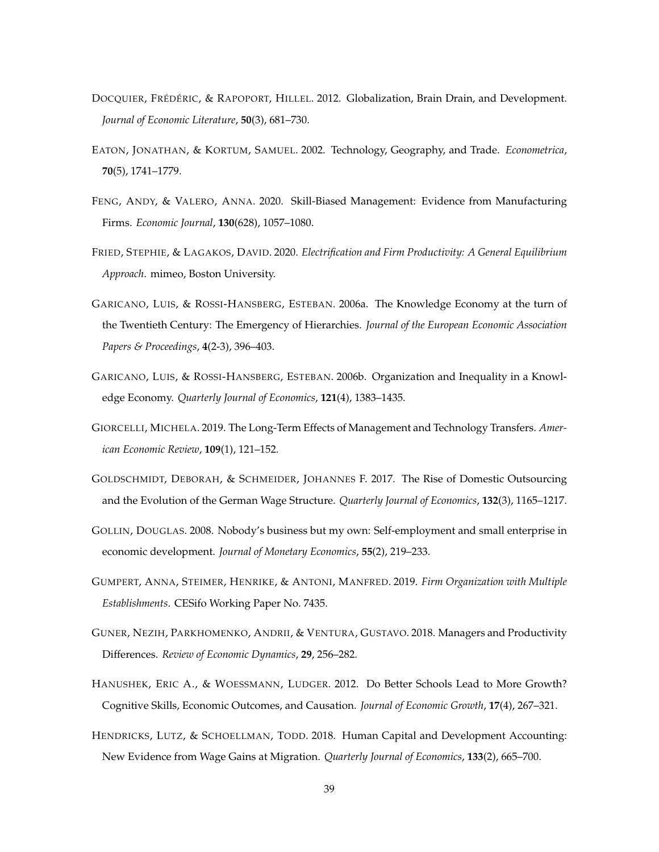- <span id="page-38-8"></span>DOCQUIER, FRÉDÉRIC, & RAPOPORT, HILLEL. 2012. Globalization, Brain Drain, and Development. *Journal of Economic Literature*, **50**(3), 681–730.
- <span id="page-38-12"></span>EATON, JONATHAN, & KORTUM, SAMUEL. 2002. Technology, Geography, and Trade. *Econometrica*, **70**(5), 1741–1779.
- <span id="page-38-5"></span>FENG, ANDY, & VALERO, ANNA. 2020. Skill-Biased Management: Evidence from Manufacturing Firms. *Economic Journal*, **130**(628), 1057–1080.
- <span id="page-38-1"></span>FRIED, STEPHIE, & LAGAKOS, DAVID. 2020. *Electrification and Firm Productivity: A General Equilibrium Approach*. mimeo, Boston University.
- <span id="page-38-3"></span>GARICANO, LUIS, & ROSSI-HANSBERG, ESTEBAN. 2006a. The Knowledge Economy at the turn of the Twentieth Century: The Emergency of Hierarchies. *Journal of the European Economic Association Papers & Proceedings*, **4**(2-3), 396–403.
- <span id="page-38-2"></span>GARICANO, LUIS, & ROSSI-HANSBERG, ESTEBAN. 2006b. Organization and Inequality in a Knowledge Economy. *Quarterly Journal of Economics*, **121**(4), 1383–1435.
- <span id="page-38-10"></span>GIORCELLI, MICHELA. 2019. The Long-Term Effects of Management and Technology Transfers. *American Economic Review*, **109**(1), 121–152.
- <span id="page-38-11"></span>GOLDSCHMIDT, DEBORAH, & SCHMEIDER, JOHANNES F. 2017. The Rise of Domestic Outsourcing and the Evolution of the German Wage Structure. *Quarterly Journal of Economics*, **132**(3), 1165–1217.
- <span id="page-38-0"></span>GOLLIN, DOUGLAS. 2008. Nobody's business but my own: Self-employment and small enterprise in economic development. *Journal of Monetary Economics*, **55**(2), 219–233.
- <span id="page-38-4"></span>GUMPERT, ANNA, STEIMER, HENRIKE, & ANTONI, MANFRED. 2019. *Firm Organization with Multiple Establishments*. CESifo Working Paper No. 7435.
- <span id="page-38-6"></span>GUNER, NEZIH, PARKHOMENKO, ANDRII, & VENTURA, GUSTAVO. 2018. Managers and Productivity Differences. *Review of Economic Dynamics*, **29**, 256–282.
- <span id="page-38-9"></span>HANUSHEK, ERIC A., & WOESSMANN, LUDGER. 2012. Do Better Schools Lead to More Growth? Cognitive Skills, Economic Outcomes, and Causation. *Journal of Economic Growth*, **17**(4), 267–321.
- <span id="page-38-7"></span>HENDRICKS, LUTZ, & SCHOELLMAN, TODD. 2018. Human Capital and Development Accounting: New Evidence from Wage Gains at Migration. *Quarterly Journal of Economics*, **133**(2), 665–700.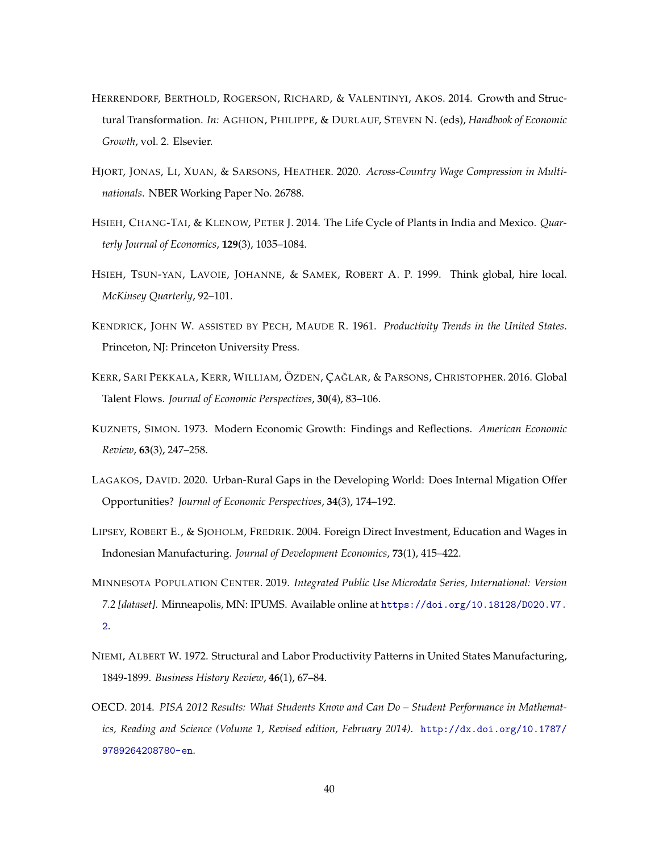- <span id="page-39-1"></span>HERRENDORF, BERTHOLD, ROGERSON, RICHARD, & VALENTINYI, AKOS. 2014. Growth and Structural Transformation. *In:* AGHION, PHILIPPE, & DURLAUF, STEVEN N. (eds), *Handbook of Economic Growth*, vol. 2. Elsevier.
- <span id="page-39-9"></span>HJORT, JONAS, LI, XUAN, & SARSONS, HEATHER. 2020. *Across-Country Wage Compression in Multinationals*. NBER Working Paper No. 26788.
- <span id="page-39-3"></span>HSIEH, CHANG-TAI, & KLENOW, PETER J. 2014. The Life Cycle of Plants in India and Mexico. *Quarterly Journal of Economics*, **129**(3), 1035–1084.
- <span id="page-39-7"></span>HSIEH, TSUN-YAN, LAVOIE, JOHANNE, & SAMEK, ROBERT A. P. 1999. Think global, hire local. *McKinsey Quarterly*, 92–101.
- <span id="page-39-5"></span>KENDRICK, JOHN W. ASSISTED BY PECH, MAUDE R. 1961. *Productivity Trends in the United States*. Princeton, NJ: Princeton University Press.
- <span id="page-39-6"></span>KERR, SARI PEKKALA, KERR, WILLIAM, ÖZDEN, ÇAĞLAR, & PARSONS, CHRISTOPHER. 2016. Global Talent Flows. *Journal of Economic Perspectives*, **30**(4), 83–106.
- <span id="page-39-0"></span>KUZNETS, SIMON. 1973. Modern Economic Growth: Findings and Reflections. *American Economic Review*, **63**(3), 247–258.
- <span id="page-39-2"></span>LAGAKOS, DAVID. 2020. Urban-Rural Gaps in the Developing World: Does Internal Migation Offer Opportunities? *Journal of Economic Perspectives*, **34**(3), 174–192.
- <span id="page-39-4"></span>LIPSEY, ROBERT E., & SJOHOLM, FREDRIK. 2004. Foreign Direct Investment, Education and Wages in Indonesian Manufacturing. *Journal of Development Economics*, **73**(1), 415–422.
- <span id="page-39-10"></span>MINNESOTA POPULATION CENTER. 2019. *Integrated Public Use Microdata Series, International: Version 7.2 [dataset].* Minneapolis, MN: IPUMS. Available online at [https://doi.org/10.18128/D020.V7.](https://doi.org/10.18128/D020.V7.2)  $\mathcal{L}$
- <span id="page-39-11"></span>NIEMI, ALBERT W. 1972. Structural and Labor Productivity Patterns in United States Manufacturing, 1849-1899. *Business History Review*, **46**(1), 67–84.
- <span id="page-39-8"></span>OECD. 2014. *PISA 2012 Results: What Students Know and Can Do – Student Performance in Mathematics, Reading and Science (Volume 1, Revised edition, February 2014)*. [http://dx.doi.org/10.1787/](http://dx.doi.org/10.1787/9789264208780-en) [9789264208780-en](http://dx.doi.org/10.1787/9789264208780-en).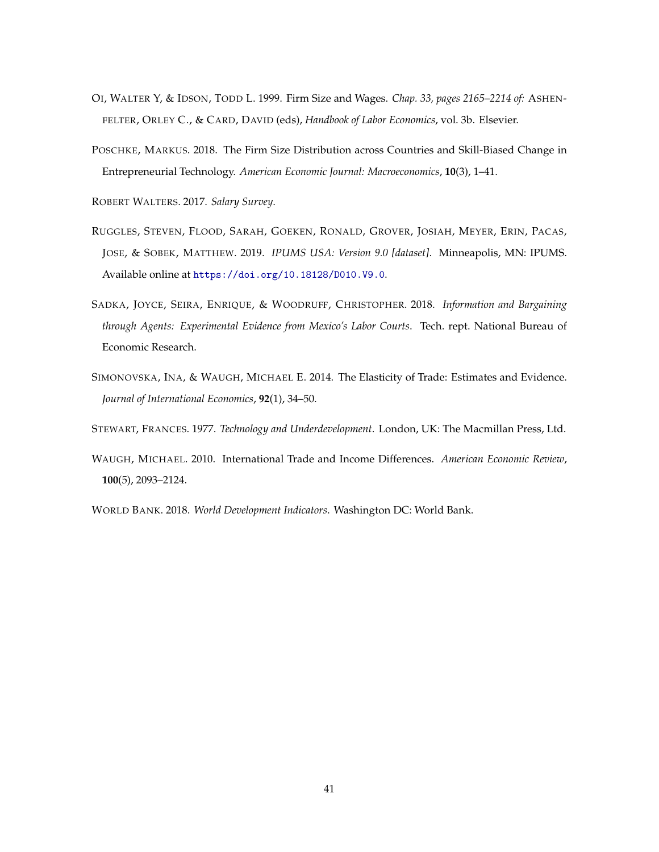- <span id="page-40-2"></span>OI, WALTER Y, & IDSON, TODD L. 1999. Firm Size and Wages. *Chap. 33, pages 2165–2214 of:* ASHEN-FELTER, ORLEY C., & CARD, DAVID (eds), *Handbook of Labor Economics*, vol. 3b. Elsevier.
- <span id="page-40-1"></span>POSCHKE, MARKUS. 2018. The Firm Size Distribution across Countries and Skill-Biased Change in Entrepreneurial Technology. *American Economic Journal: Macroeconomics*, **10**(3), 1–41.

<span id="page-40-5"></span>ROBERT WALTERS. 2017. *Salary Survey*.

- <span id="page-40-8"></span>RUGGLES, STEVEN, FLOOD, SARAH, GOEKEN, RONALD, GROVER, JOSIAH, MEYER, ERIN, PACAS, JOSE, & SOBEK, MATTHEW. 2019. *IPUMS USA: Version 9.0 [dataset]*. Minneapolis, MN: IPUMS. Available online at <https://doi.org/10.18128/D010.V9.0>.
- <span id="page-40-7"></span>SADKA, JOYCE, SEIRA, ENRIQUE, & WOODRUFF, CHRISTOPHER. 2018. *Information and Bargaining through Agents: Experimental Evidence from Mexico's Labor Courts*. Tech. rept. National Bureau of Economic Research.
- <span id="page-40-6"></span>SIMONOVSKA, INA, & WAUGH, MICHAEL E. 2014. The Elasticity of Trade: Estimates and Evidence. *Journal of International Economics*, **92**(1), 34–50.
- <span id="page-40-3"></span>STEWART, FRANCES. 1977. *Technology and Underdevelopment*. London, UK: The Macmillan Press, Ltd.
- <span id="page-40-0"></span>WAUGH, MICHAEL. 2010. International Trade and Income Differences. *American Economic Review*, **100**(5), 2093–2124.

<span id="page-40-4"></span>WORLD BANK. 2018. *World Development Indicators*. Washington DC: World Bank.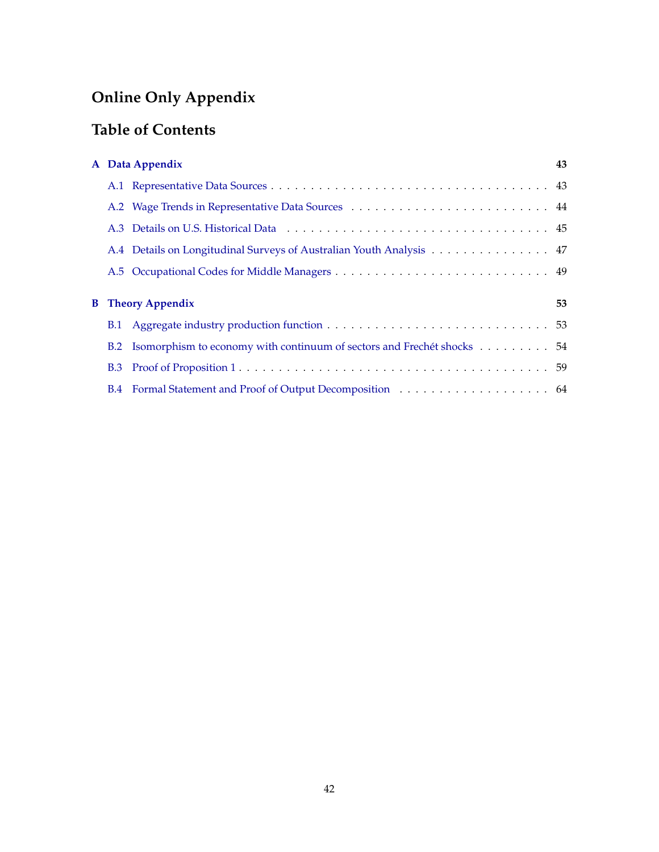# **Online Only Appendix**

# **Table of Contents**

|  | A Data Appendix                                                            | 43 |
|--|----------------------------------------------------------------------------|----|
|  |                                                                            |    |
|  |                                                                            |    |
|  |                                                                            |    |
|  | A.4 Details on Longitudinal Surveys of Australian Youth Analysis 47        |    |
|  |                                                                            |    |
|  |                                                                            |    |
|  |                                                                            |    |
|  | <b>B</b> Theory Appendix                                                   | 53 |
|  |                                                                            |    |
|  | B.2 Isomorphism to economy with continuum of sectors and Frechét shocks 54 |    |
|  |                                                                            |    |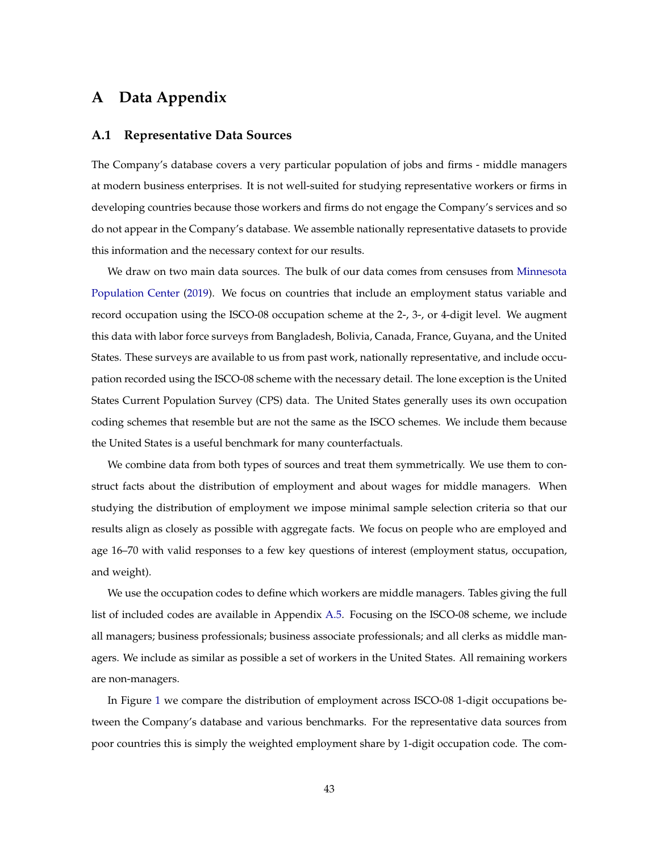# <span id="page-42-1"></span>**A Data Appendix**

#### <span id="page-42-0"></span>**A.1 Representative Data Sources**

The Company's database covers a very particular population of jobs and firms - middle managers at modern business enterprises. It is not well-suited for studying representative workers or firms in developing countries because those workers and firms do not engage the Company's services and so do not appear in the Company's database. We assemble nationally representative datasets to provide this information and the necessary context for our results.

We draw on two main data sources. The bulk of our data comes from censuses from [Minnesota](#page-39-10) [Population Center](#page-39-10) [\(2019\)](#page-39-10). We focus on countries that include an employment status variable and record occupation using the ISCO-08 occupation scheme at the 2-, 3-, or 4-digit level. We augment this data with labor force surveys from Bangladesh, Bolivia, Canada, France, Guyana, and the United States. These surveys are available to us from past work, nationally representative, and include occupation recorded using the ISCO-08 scheme with the necessary detail. The lone exception is the United States Current Population Survey (CPS) data. The United States generally uses its own occupation coding schemes that resemble but are not the same as the ISCO schemes. We include them because the United States is a useful benchmark for many counterfactuals.

We combine data from both types of sources and treat them symmetrically. We use them to construct facts about the distribution of employment and about wages for middle managers. When studying the distribution of employment we impose minimal sample selection criteria so that our results align as closely as possible with aggregate facts. We focus on people who are employed and age 16–70 with valid responses to a few key questions of interest (employment status, occupation, and weight).

We use the occupation codes to define which workers are middle managers. Tables giving the full list of included codes are available in Appendix [A.5.](#page-48-0) Focusing on the ISCO-08 scheme, we include all managers; business professionals; business associate professionals; and all clerks as middle managers. We include as similar as possible a set of workers in the United States. All remaining workers are non-managers.

In Figure [1](#page-8-3) we compare the distribution of employment across ISCO-08 1-digit occupations between the Company's database and various benchmarks. For the representative data sources from poor countries this is simply the weighted employment share by 1-digit occupation code. The com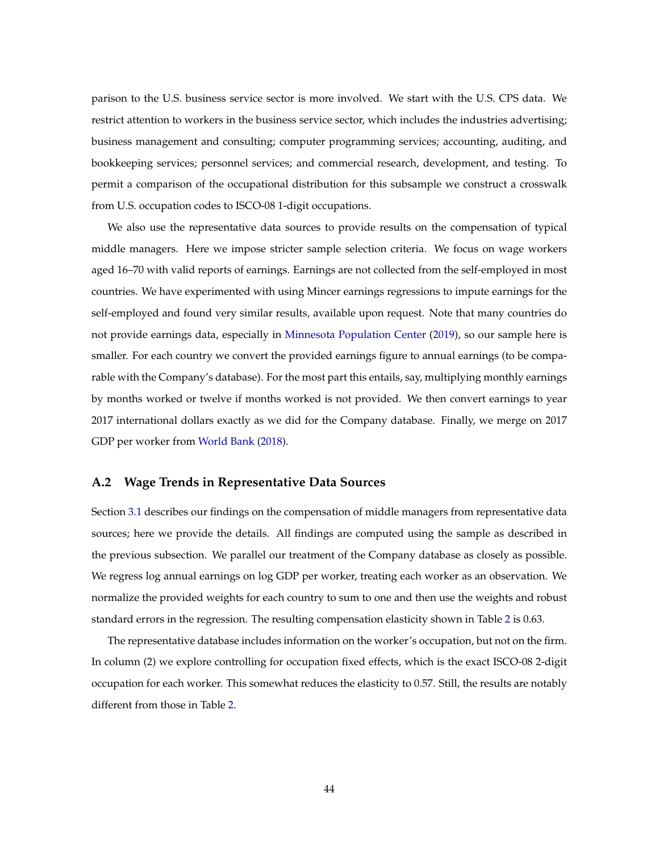parison to the U.S. business service sector is more involved. We start with the U.S. CPS data. We restrict attention to workers in the business service sector, which includes the industries advertising; business management and consulting; computer programming services; accounting, auditing, and bookkeeping services; personnel services; and commercial research, development, and testing. To permit a comparison of the occupational distribution for this subsample we construct a crosswalk from U.S. occupation codes to ISCO-08 1-digit occupations.

We also use the representative data sources to provide results on the compensation of typical middle managers. Here we impose stricter sample selection criteria. We focus on wage workers aged 16–70 with valid reports of earnings. Earnings are not collected from the self-employed in most countries. We have experimented with using Mincer earnings regressions to impute earnings for the self-employed and found very similar results, available upon request. Note that many countries do not provide earnings data, especially in [Minnesota Population Center](#page-39-10) [\(2019\)](#page-39-10), so our sample here is smaller. For each country we convert the provided earnings figure to annual earnings (to be comparable with the Company's database). For the most part this entails, say, multiplying monthly earnings by months worked or twelve if months worked is not provided. We then convert earnings to year 2017 international dollars exactly as we did for the Company database. Finally, we merge on 2017 GDP per worker from [World Bank](#page-40-4) [\(2018\)](#page-40-4).

#### <span id="page-43-0"></span>**A.2 Wage Trends in Representative Data Sources**

Section [3.1](#page-12-0) describes our findings on the compensation of middle managers from representative data sources; here we provide the details. All findings are computed using the sample as described in the previous subsection. We parallel our treatment of the Company database as closely as possible. We regress log annual earnings on log GDP per worker, treating each worker as an observation. We normalize the provided weights for each country to sum to one and then use the weights and robust standard errors in the regression. The resulting compensation elasticity shown in Table [2](#page-10-0) is 0.63.

The representative database includes information on the worker's occupation, but not on the firm. In column (2) we explore controlling for occupation fixed effects, which is the exact ISCO-08 2-digit occupation for each worker. This somewhat reduces the elasticity to 0.57. Still, the results are notably different from those in Table [2.](#page-10-0)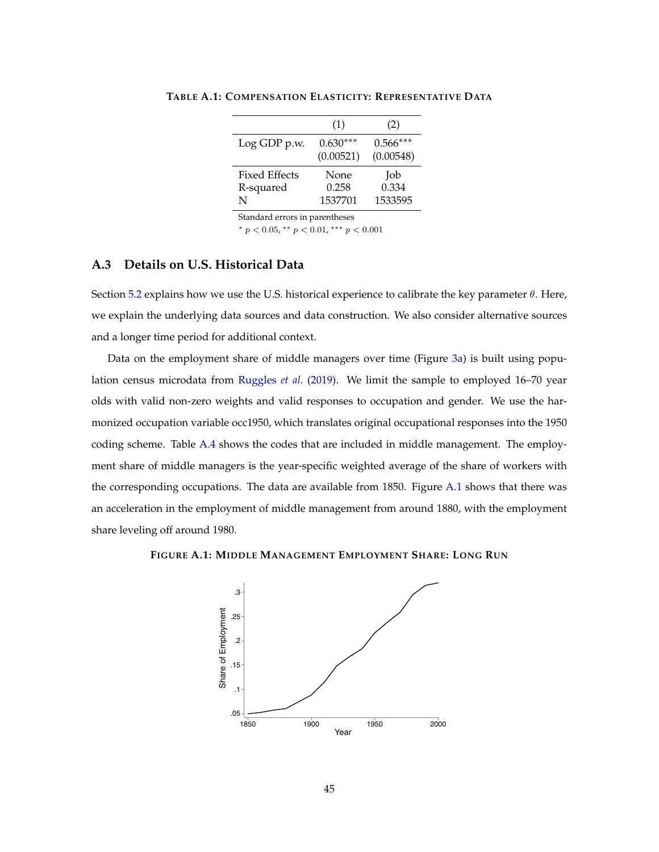|                      | (1)        | (2)        |
|----------------------|------------|------------|
| Log GDP p.w.         | $0.630***$ | $0.566***$ |
|                      | (0.00521)  | (0.00548)  |
| <b>Fixed Effects</b> | None       | Job        |
| R-squared            | 0.258      | 0.334      |
|                      |            |            |
| N                    | 1537701    | 1533595    |

**TABLE A.1: COMPENSATION ELASTICITY: REPRESENTATIVE DATA**

Standard errors in parentheses

\*  $p < 0.05$ , \*\*  $p < 0.01$ , \*\*\*  $p < 0.001$ 

#### <span id="page-44-0"></span>**A.3 Details on U.S. Historical Data**

Section [5.2](#page-22-0) explains how we use the U.S. historical experience to calibrate the key parameter  $\theta$ . Here, we explain the underlying data sources and data construction. We also consider alternative sources and a longer time period for additional context.

Data on the employment share of middle managers over time (Figure [3a\)](#page-23-0) is built using population census microdata from [Ruggles](#page-40-8) *et al.* [\(2019\)](#page-40-8). We limit the sample to employed 16–70 year olds with valid non-zero weights and valid responses to occupation and gender. We use the harmonized occupation variable occ1950, which translates original occupational responses into the 1950 coding scheme. Table [A.4](#page-50-0) shows the codes that are included in middle management. The employment share of middle managers is the year-specific weighted average of the share of workers with the corresponding occupations. The data are available from 1850. Figure [A.1](#page-44-1) shows that there was an acceleration in the employment of middle management from around 1880, with the employment share leveling off around 1980.

<span id="page-44-1"></span>**FIGURE A.1: MIDDLE MANAGEMENT EMPLOYMENT SHARE: LONG RUN**

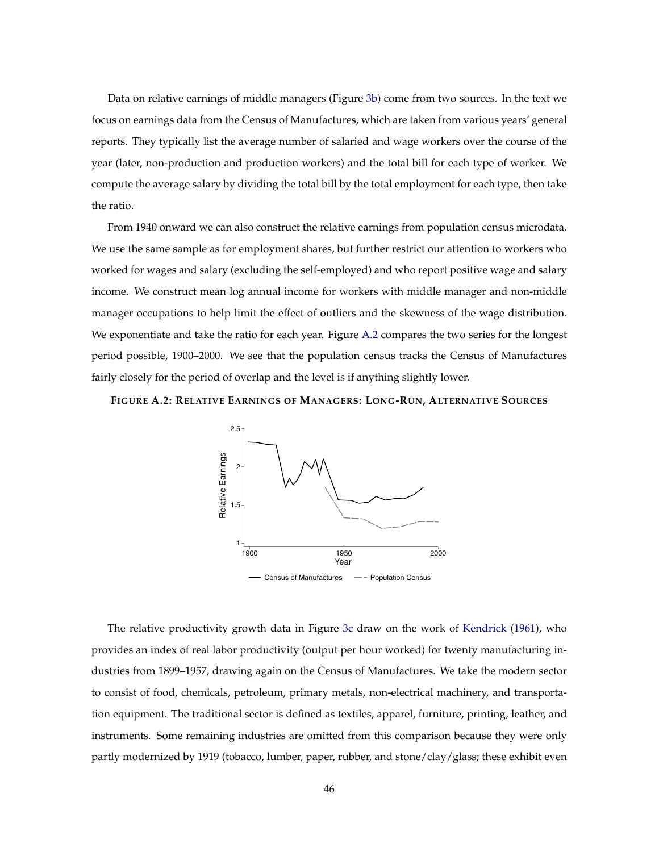Data on relative earnings of middle managers (Figure [3b\)](#page-23-1) come from two sources. In the text we focus on earnings data from the Census of Manufactures, which are taken from various years' general reports. They typically list the average number of salaried and wage workers over the course of the year (later, non-production and production workers) and the total bill for each type of worker. We compute the average salary by dividing the total bill by the total employment for each type, then take the ratio.

From 1940 onward we can also construct the relative earnings from population census microdata. We use the same sample as for employment shares, but further restrict our attention to workers who worked for wages and salary (excluding the self-employed) and who report positive wage and salary income. We construct mean log annual income for workers with middle manager and non-middle manager occupations to help limit the effect of outliers and the skewness of the wage distribution. We exponentiate and take the ratio for each year. Figure [A.2](#page-45-0) compares the two series for the longest period possible, 1900–2000. We see that the population census tracks the Census of Manufactures fairly closely for the period of overlap and the level is if anything slightly lower.

<span id="page-45-0"></span>**FIGURE A.2: RELATIVE EARNINGS OF MANAGERS: LONG-RUN, ALTERNATIVE SOURCES**



The relative productivity growth data in Figure [3c](#page-23-2) draw on the work of [Kendrick](#page-39-5) [\(1961\)](#page-39-5), who provides an index of real labor productivity (output per hour worked) for twenty manufacturing industries from 1899–1957, drawing again on the Census of Manufactures. We take the modern sector to consist of food, chemicals, petroleum, primary metals, non-electrical machinery, and transportation equipment. The traditional sector is defined as textiles, apparel, furniture, printing, leather, and instruments. Some remaining industries are omitted from this comparison because they were only partly modernized by 1919 (tobacco, lumber, paper, rubber, and stone/clay/glass; these exhibit even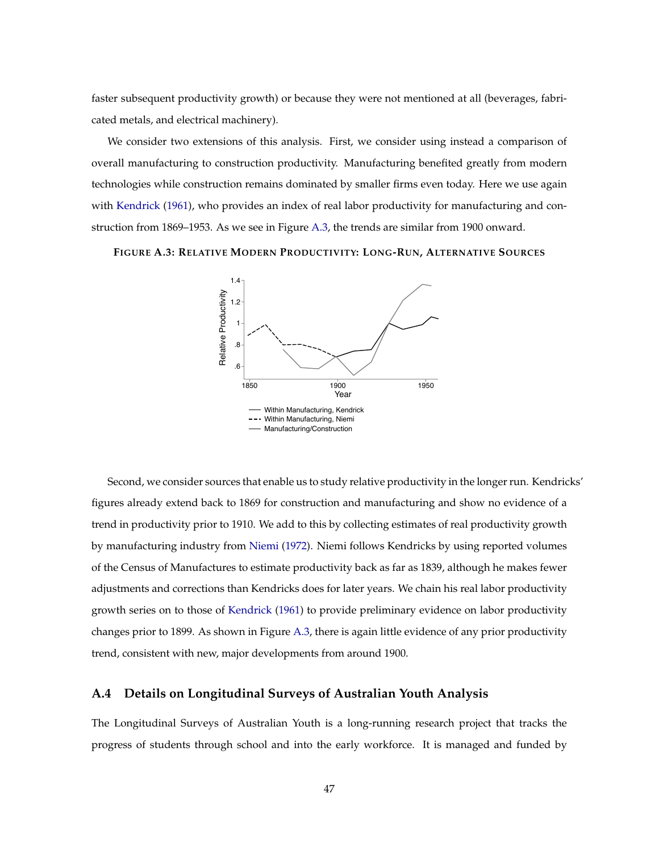faster subsequent productivity growth) or because they were not mentioned at all (beverages, fabricated metals, and electrical machinery).

We consider two extensions of this analysis. First, we consider using instead a comparison of overall manufacturing to construction productivity. Manufacturing benefited greatly from modern technologies while construction remains dominated by smaller firms even today. Here we use again with [Kendrick](#page-39-5) [\(1961\)](#page-39-5), who provides an index of real labor productivity for manufacturing and construction from 1869–1953. As we see in Figure [A.3,](#page-46-1) the trends are similar from 1900 onward.

<span id="page-46-1"></span>**FIGURE A.3: RELATIVE MODERN PRODUCTIVITY: LONG-RUN, ALTERNATIVE SOURCES**



Second, we consider sources that enable us to study relative productivity in the longer run. Kendricks' figures already extend back to 1869 for construction and manufacturing and show no evidence of a trend in productivity prior to 1910. We add to this by collecting estimates of real productivity growth by manufacturing industry from [Niemi](#page-39-11) [\(1972\)](#page-39-11). Niemi follows Kendricks by using reported volumes of the Census of Manufactures to estimate productivity back as far as 1839, although he makes fewer adjustments and corrections than Kendricks does for later years. We chain his real labor productivity growth series on to those of [Kendrick](#page-39-5) [\(1961\)](#page-39-5) to provide preliminary evidence on labor productivity changes prior to 1899. As shown in Figure [A.3,](#page-46-1) there is again little evidence of any prior productivity trend, consistent with new, major developments from around 1900.

#### <span id="page-46-0"></span>**A.4 Details on Longitudinal Surveys of Australian Youth Analysis**

The Longitudinal Surveys of Australian Youth is a long-running research project that tracks the progress of students through school and into the early workforce. It is managed and funded by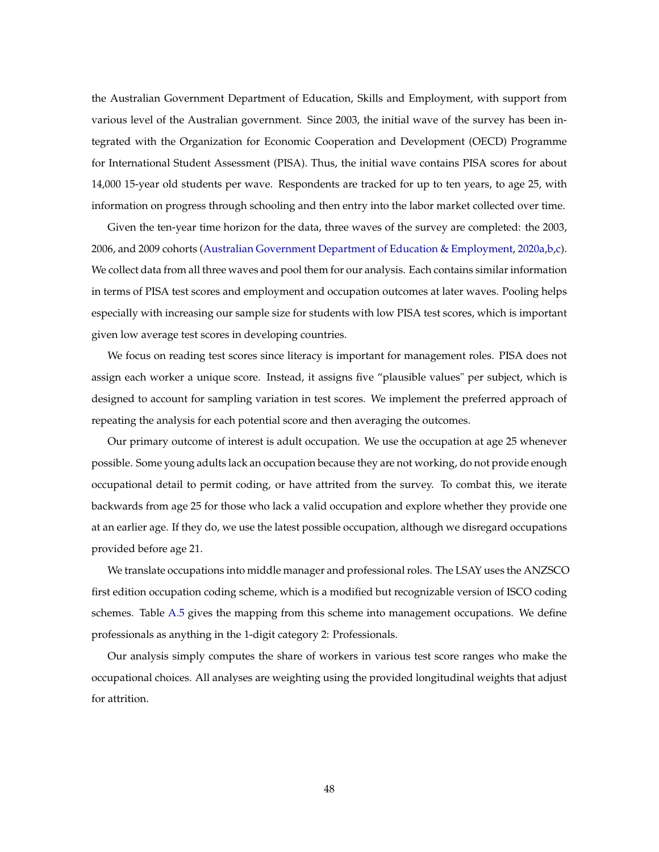the Australian Government Department of Education, Skills and Employment, with support from various level of the Australian government. Since 2003, the initial wave of the survey has been integrated with the Organization for Economic Cooperation and Development (OECD) Programme for International Student Assessment (PISA). Thus, the initial wave contains PISA scores for about 14,000 15-year old students per wave. Respondents are tracked for up to ten years, to age 25, with information on progress through schooling and then entry into the labor market collected over time.

Given the ten-year time horizon for the data, three waves of the survey are completed: the 2003, 2006, and 2009 cohorts [\(Australian Government Department of Education & Employment,](#page-35-7) [2020a,](#page-35-7)[b,](#page-35-8)[c\)](#page-35-9). We collect data from all three waves and pool them for our analysis. Each contains similar information in terms of PISA test scores and employment and occupation outcomes at later waves. Pooling helps especially with increasing our sample size for students with low PISA test scores, which is important given low average test scores in developing countries.

We focus on reading test scores since literacy is important for management roles. PISA does not assign each worker a unique score. Instead, it assigns five "plausible values" per subject, which is designed to account for sampling variation in test scores. We implement the preferred approach of repeating the analysis for each potential score and then averaging the outcomes.

Our primary outcome of interest is adult occupation. We use the occupation at age 25 whenever possible. Some young adults lack an occupation because they are not working, do not provide enough occupational detail to permit coding, or have attrited from the survey. To combat this, we iterate backwards from age 25 for those who lack a valid occupation and explore whether they provide one at an earlier age. If they do, we use the latest possible occupation, although we disregard occupations provided before age 21.

We translate occupations into middle manager and professional roles. The LSAY uses the ANZSCO first edition occupation coding scheme, which is a modified but recognizable version of ISCO coding schemes. Table [A.5](#page-51-0) gives the mapping from this scheme into management occupations. We define professionals as anything in the 1-digit category 2: Professionals.

Our analysis simply computes the share of workers in various test score ranges who make the occupational choices. All analyses are weighting using the provided longitudinal weights that adjust for attrition.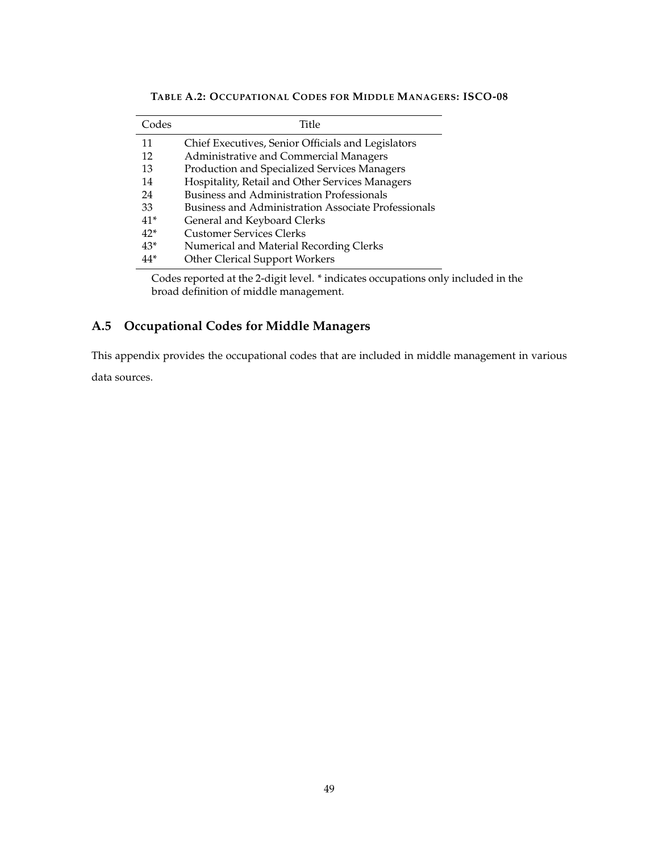| Codes | Title                                                      |
|-------|------------------------------------------------------------|
| 11    | Chief Executives, Senior Officials and Legislators         |
| 12    | Administrative and Commercial Managers                     |
| 13    | Production and Specialized Services Managers               |
| 14    | Hospitality, Retail and Other Services Managers            |
| 24    | <b>Business and Administration Professionals</b>           |
| 33    | <b>Business and Administration Associate Professionals</b> |
| $41*$ | General and Keyboard Clerks                                |
| $42*$ | <b>Customer Services Clerks</b>                            |
| $43*$ | Numerical and Material Recording Clerks                    |
| 44*   | <b>Other Clerical Support Workers</b>                      |

**TABLE A.2: OCCUPATIONAL CODES FOR MIDDLE MANAGERS: ISCO-08**

Codes reported at the 2-digit level. \* indicates occupations only included in the broad definition of middle management.

### <span id="page-48-0"></span>**A.5 Occupational Codes for Middle Managers**

This appendix provides the occupational codes that are included in middle management in various

data sources.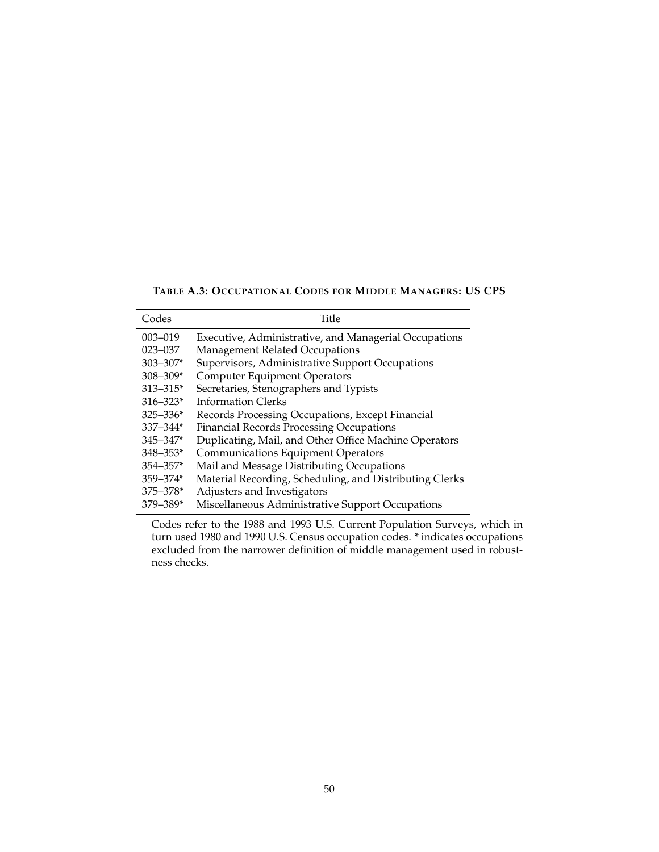**TABLE A.3: OCCUPATIONAL CODES FOR MIDDLE MANAGERS: US CPS**

| Codes        | Title                                                   |
|--------------|---------------------------------------------------------|
| 003-019      | Executive, Administrative, and Managerial Occupations   |
| $023 - 037$  | Management Related Occupations                          |
| $303 - 307*$ | Supervisors, Administrative Support Occupations         |
| $308 - 309*$ | <b>Computer Equipment Operators</b>                     |
| $313 - 315*$ | Secretaries, Stenographers and Typists                  |
| $316 - 323*$ | Information Clerks                                      |
| $325 - 336*$ | Records Processing Occupations, Except Financial        |
| $337 - 344*$ | <b>Financial Records Processing Occupations</b>         |
| $345 - 347*$ | Duplicating, Mail, and Other Office Machine Operators   |
| $348 - 353*$ | <b>Communications Equipment Operators</b>               |
| $354 - 357*$ | Mail and Message Distributing Occupations               |
| $359 - 374*$ | Material Recording, Scheduling, and Distributing Clerks |
| $375 - 378*$ | Adjusters and Investigators                             |
| $379 - 389*$ | Miscellaneous Administrative Support Occupations        |

Codes refer to the 1988 and 1993 U.S. Current Population Surveys, which in turn used 1980 and 1990 U.S. Census occupation codes. \* indicates occupations excluded from the narrower definition of middle management used in robustness checks.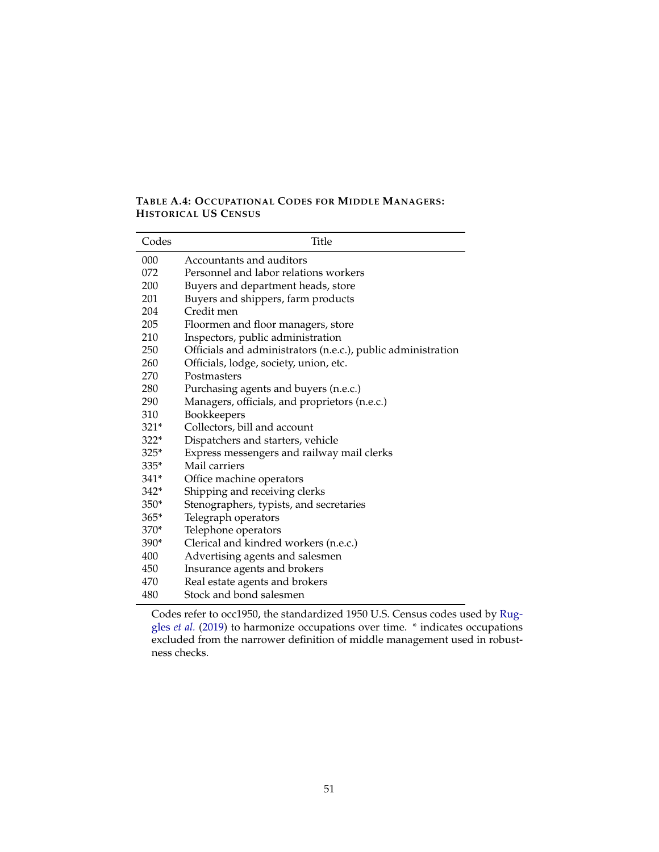#### <span id="page-50-0"></span>**TABLE A.4: OCCUPATIONAL CODES FOR MIDDLE MANAGERS: HISTORICAL US CENSUS**

| Codes  | <b>Title</b>                                                 |
|--------|--------------------------------------------------------------|
| 000    | Accountants and auditors                                     |
| 072    | Personnel and labor relations workers                        |
| 200    | Buyers and department heads, store                           |
| 201    | Buyers and shippers, farm products                           |
| 204    | Credit men                                                   |
| 205    | Floormen and floor managers, store                           |
| 210    | Inspectors, public administration                            |
| 250    | Officials and administrators (n.e.c.), public administration |
| 260    | Officials, lodge, society, union, etc.                       |
| 270    | Postmasters                                                  |
| 280    | Purchasing agents and buyers (n.e.c.)                        |
| 290    | Managers, officials, and proprietors (n.e.c.)                |
| 310    | Bookkeepers                                                  |
| $321*$ | Collectors, bill and account                                 |
| $322*$ | Dispatchers and starters, vehicle                            |
| $325*$ | Express messengers and railway mail clerks                   |
| $335*$ | Mail carriers                                                |
| $341*$ | Office machine operators                                     |
| $342*$ | Shipping and receiving clerks                                |
| $350*$ | Stenographers, typists, and secretaries                      |
| $365*$ | Telegraph operators                                          |
| 370*   | Telephone operators                                          |
| $390*$ | Clerical and kindred workers (n.e.c.)                        |
| 400    | Advertising agents and salesmen                              |
| 450    | Insurance agents and brokers                                 |
| 470    | Real estate agents and brokers                               |
| 480    | Stock and bond salesmen                                      |

Codes refer to occ1950, the standardized 1950 U.S. Census codes used by [Rug](#page-40-8)gles *[et al.](#page-40-8)* [\(2019\)](#page-40-8) to harmonize occupations over time. \* indicates occupations excluded from the narrower definition of middle management used in robustness checks.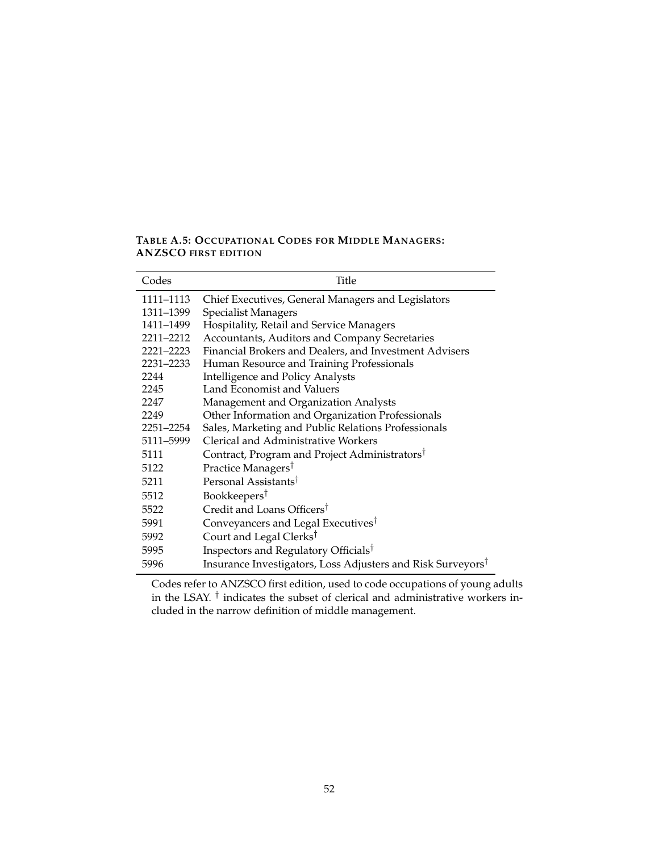<span id="page-51-0"></span>**TABLE A.5: OCCUPATIONAL CODES FOR MIDDLE MANAGERS: ANZSCO FIRST EDITION**

| Codes     | Title                                                                   |
|-----------|-------------------------------------------------------------------------|
| 1111–1113 | Chief Executives, General Managers and Legislators                      |
| 1311-1399 | <b>Specialist Managers</b>                                              |
| 1411–1499 | Hospitality, Retail and Service Managers                                |
| 2211-2212 | Accountants, Auditors and Company Secretaries                           |
| 2221-2223 | Financial Brokers and Dealers, and Investment Advisers                  |
| 2231-2233 | Human Resource and Training Professionals                               |
| 2244      | <b>Intelligence and Policy Analysts</b>                                 |
| 2245      | Land Economist and Valuers                                              |
| 2247      | Management and Organization Analysts                                    |
| 2249      | Other Information and Organization Professionals                        |
| 2251–2254 | Sales, Marketing and Public Relations Professionals                     |
| 5111–5999 | Clerical and Administrative Workers                                     |
| 5111      | Contract, Program and Project Administrators <sup>†</sup>               |
| 5122      | Practice Managers <sup>†</sup>                                          |
| 5211      | Personal Assistants <sup>†</sup>                                        |
| 5512      | Bookkeepers <sup>†</sup>                                                |
| 5522      | Credit and Loans Officers <sup>†</sup>                                  |
| 5991      | Conveyancers and Legal Executives <sup>†</sup>                          |
| 5992      | Court and Legal Clerks <sup>†</sup>                                     |
| 5995      | Inspectors and Regulatory Officials <sup>†</sup>                        |
| 5996      | Insurance Investigators, Loss Adjusters and Risk Surveyors <sup>†</sup> |

Codes refer to ANZSCO first edition, used to code occupations of young adults in the LSAY.  $^{\dagger}$  indicates the subset of clerical and administrative workers included in the narrow definition of middle management.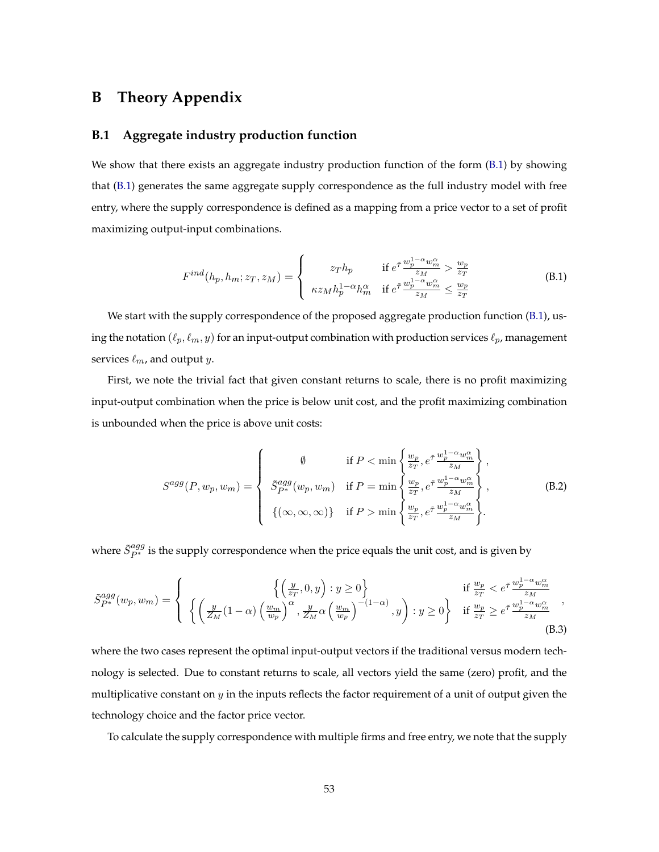# <span id="page-52-0"></span>**B Theory Appendix**

#### <span id="page-52-1"></span>**B.1 Aggregate industry production function**

We show that there exists an aggregate industry production function of the form  $(B.1)$  by showing that [\(B.1\)](#page-52-2) generates the same aggregate supply correspondence as the full industry model with free entry, where the supply correspondence is defined as a mapping from a price vector to a set of profit maximizing output-input combinations.

<span id="page-52-2"></span>
$$
F^{ind}(h_p, h_m; z_T, z_M) = \begin{cases} z_T h_p & \text{if } e^{\tilde{\tau}} \frac{w_p^{1-\alpha} w_m^{\alpha}}{z_M} > \frac{w_p}{z_T} \\ \kappa z_M h_p^{1-\alpha} h_m^{\alpha} & \text{if } e^{\tilde{\tau}} \frac{w_p^{1-\alpha} w_m^{\alpha}}{z_M} \le \frac{w_p}{z_T} \end{cases}
$$
(B.1)

We start with the supply correspondence of the proposed aggregate production function [\(B.1\)](#page-52-2), using the notation  $(\ell_p, \ell_m, y)$  for an input-output combination with production services  $\ell_p$ , management services  $\ell_m$ , and output y.

First, we note the trivial fact that given constant returns to scale, there is no profit maximizing input-output combination when the price is below unit cost, and the profit maximizing combination is unbounded when the price is above unit costs:

<span id="page-52-3"></span>
$$
S^{agg}(P, w_p, w_m) = \begin{cases} \emptyset & \text{if } P < \min\left\{\frac{w_p}{z_T}, e^{\tilde{\tau}} \frac{w_p^{1-\alpha}w_m^{\alpha}}{z_M}\right\},\\ 5^{agg}_{P^*}(w_p, w_m) & \text{if } P = \min\left\{\frac{w_p}{z_T}, e^{\tilde{\tau}} \frac{w_p^{1-\alpha}w_m^{\alpha}}{z_M}\right\},\\ \{(\infty, \infty, \infty)\} & \text{if } P > \min\left\{\frac{w_p}{z_T}, e^{\tilde{\tau}} \frac{w_p^{1-\alpha}w_m^{\alpha}}{z_M}\right\}. \end{cases}
$$
(B.2)

where  $\tilde{S}^{agg}_{P*}$  is the supply correspondence when the price equals the unit cost, and is given by

<span id="page-52-4"></span>
$$
\tilde{S}_{P^*}^{agg}(w_p, w_m) = \left\{ \begin{array}{ll} \left\{ \left( \frac{y}{z_T}, 0, y \right) : y \ge 0 \right\} & \text{if } \frac{w_p}{z_T} < e^{\tilde{\tau}} \frac{w_p^{1-\alpha}w_m^{\alpha}}{z_M} \\ \left\{ \left( \frac{y}{Z_M}(1-\alpha) \left( \frac{w_m}{w_p} \right)^{\alpha}, \frac{y}{Z_M} \alpha \left( \frac{w_m}{w_p} \right)^{-(1-\alpha)}, y \right) : y \ge 0 \right\} & \text{if } \frac{w_p}{z_T} \ge e^{\tilde{\tau}} \frac{w_p^{1-\alpha}w_m^{\alpha}}{z_M} \end{array} \right., \tag{B.3}
$$

where the two cases represent the optimal input-output vectors if the traditional versus modern technology is selected. Due to constant returns to scale, all vectors yield the same (zero) profit, and the multiplicative constant on  $y$  in the inputs reflects the factor requirement of a unit of output given the technology choice and the factor price vector.

To calculate the supply correspondence with multiple firms and free entry, we note that the supply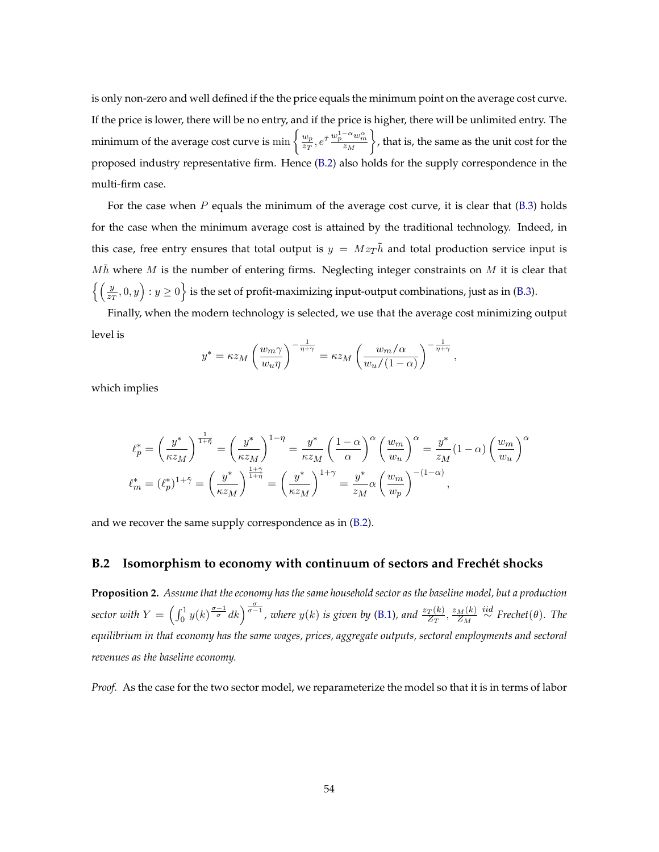is only non-zero and well defined if the the price equals the minimum point on the average cost curve. If the price is lower, there will be no entry, and if the price is higher, there will be unlimited entry. The minimum of the average cost curve is  $\min\left\{\frac{w_p}{z_T}\right\}$  $\frac{w_p}{z_T}$ ,  $e^{\tilde{\tau}} \frac{w_p^{1-\alpha} w_m^{\alpha}}{z_M}$  $\overline{z_M}$  , that is, the same as the unit cost for the proposed industry representative firm. Hence [\(B.2\)](#page-52-3) also holds for the supply correspondence in the multi-firm case.

For the case when  $P$  equals the minimum of the average cost curve, it is clear that  $(B.3)$  holds for the case when the minimum average cost is attained by the traditional technology. Indeed, in this case, free entry ensures that total output is  $y = Mz_T\bar{h}$  and total production service input is  $M\bar h$  where M is the number of entering firms. Neglecting integer constraints on M it is clear that  $\left\{\left(\frac{y}{z_T},0,y\right):y\ge 0\right\}$  is the set of profit-maximizing input-output combinations, just as in [\(B.3\)](#page-52-4).

Finally, when the modern technology is selected, we use that the average cost minimizing output level is

$$
y^* = \kappa z_M \left(\frac{w_m \gamma}{w_u \eta}\right)^{-\frac{1}{\eta + \gamma}} = \kappa z_M \left(\frac{w_m/\alpha}{w_u/(1-\alpha)}\right)^{-\frac{1}{\eta + \gamma}},
$$

which implies

$$
\ell_p^* = \left(\frac{y^*}{\kappa z_M}\right)^{\frac{1}{1+\tilde{\eta}}} = \left(\frac{y^*}{\kappa z_M}\right)^{1-\eta} = \frac{y^*}{\kappa z_M} \left(\frac{1-\alpha}{\alpha}\right)^{\alpha} \left(\frac{w_m}{w_u}\right)^{\alpha} = \frac{y^*}{z_M} (1-\alpha) \left(\frac{w_m}{w_u}\right)^{\alpha}
$$

$$
\ell_m^* = (\ell_p^*)^{1+\tilde{\gamma}} = \left(\frac{y^*}{\kappa z_M}\right)^{\frac{1+\tilde{\gamma}}{1+\tilde{\eta}}} = \left(\frac{y^*}{\kappa z_M}\right)^{1+\gamma} = \frac{y^*}{z_M} \alpha \left(\frac{w_m}{w_p}\right)^{-(1-\alpha)},
$$

and we recover the same supply correspondence as in [\(B.2\)](#page-52-3).

#### <span id="page-53-0"></span>**B.2 Isomorphism to economy with continuum of sectors and Frechét shocks**

**Proposition 2.** *Assume that the economy has the same household sector as the baseline model, but a production* sector with  $Y = \left(\int_0^1 y(k)^{\frac{\sigma-1}{\sigma}} dk\right)^{\frac{\sigma}{\sigma-1}}$ , where  $y(k)$  is given by [\(B.1\)](#page-52-2), and  $\frac{z_T(k)}{Z_T}$ ,  $\frac{z_M(k)}{Z_M}$  $\frac{M(k)}{Z_M} \stackrel{iid}{\sim}$  Frechet $(\theta)$ *. The equilibrium in that economy has the same wages, prices, aggregate outputs, sectoral employments and sectoral revenues as the baseline economy.*

*Proof.* As the case for the two sector model, we reparameterize the model so that it is in terms of labor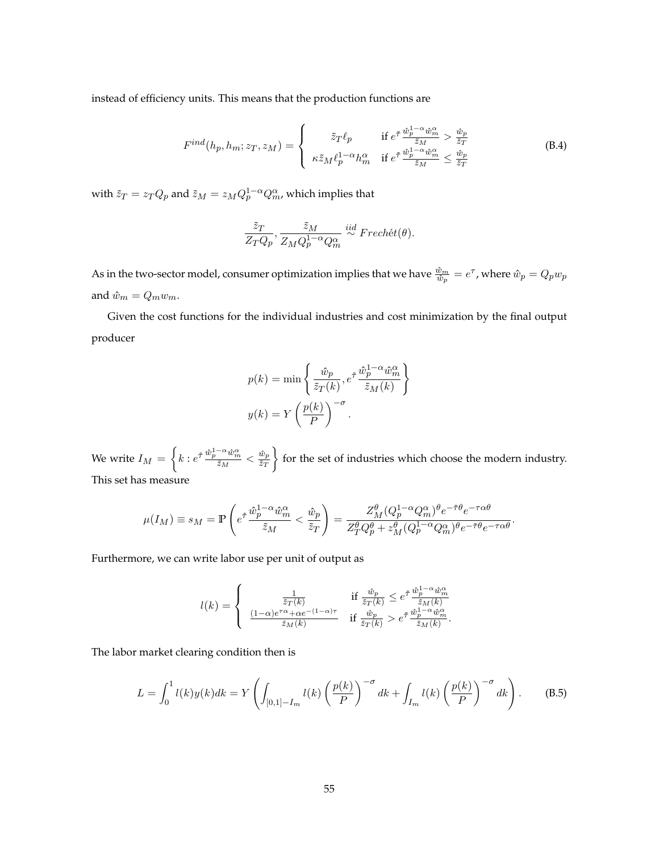instead of efficiency units. This means that the production functions are

$$
F^{ind}(h_p, h_m; z_T, z_M) = \begin{cases} \tilde{z}_T \ell_p & \text{if } e^{\tilde{\tau}} \frac{\hat{w}_p^{1-\alpha} \hat{w}_m^{\alpha}}{\tilde{z}_M} > \frac{\hat{w}_p}{\tilde{z}_T} \\ \kappa \tilde{z}_M \ell_p^{1-\alpha} h_m^{\alpha} & \text{if } e^{\tilde{\tau}} \frac{\hat{w}_p^{1-\alpha} \hat{w}_m^{\alpha}}{\tilde{z}_M} \le \frac{\hat{w}_p}{\tilde{z}_T} \end{cases}
$$
(B.4)

with  $\tilde{z}_T = z_T Q_p$  and  $\tilde{z}_M = z_M Q_p^{1-\alpha} Q_m^{\alpha}$ , which implies that

$$
\frac{\tilde{z}_T}{Z_TQ_p}, \frac{\tilde{z}_M}{Z_MQ_p^{1-\alpha}Q_m^{\alpha}} \stackrel{iid}{\sim} Frech\acute{e}t(\theta).
$$

As in the two-sector model, consumer optimization implies that we have  $\frac{\hat{w}_m}{\hat{w}_p}=e^\tau$ , where  $\hat{w}_p=Q_p w_p$ and  $\hat{w}_m = Q_m w_m.$ 

Given the cost functions for the individual industries and cost minimization by the final output producer

$$
p(k) = \min \left\{ \frac{\hat{w}_p}{\tilde{z}_T(k)}, e^{\tilde{\tau}} \frac{\hat{w}_p^{1-\alpha} \hat{w}_m^{\alpha}}{\tilde{z}_M(k)} \right\}
$$

$$
y(k) = Y \left( \frac{p(k)}{P} \right)^{-\sigma}.
$$

We write  $I_M = \left\{ k : e^{\tilde{\tau}} \frac{\hat{w}_p^{1-\alpha} \hat{w}_m^{\alpha}}{\tilde{z}_M} \right\}$  $\frac{^{-\alpha} \hat{w}^{\alpha}_{m}}{\tilde{z}_M} < \frac{\hat{w}_p}{\tilde{z}_T}$  $\tilde{z}_T$  for the set of industries which choose the modern industry. This set has measure

$$
\mu(I_M) \equiv s_M = \mathbb{P}\left(e^{\tilde{\tau}}\frac{\hat{w}_p^{1-\alpha}\hat{w}_m^{\alpha}}{\tilde{z}_M}<\frac{\hat{w}_p}{\tilde{z}_T}\right) = \frac{Z_M^{\theta}(Q_p^{1-\alpha}Q_m^{\alpha})^{\theta}e^{-\tilde{\tau}\theta}e^{-\tau\alpha\theta}}{Z_T^{\theta}Q_p^{\theta}+z_M^{\theta}(Q_p^{1-\alpha}Q_m^{\alpha})^{\theta}e^{-\tilde{\tau}\theta}e^{-\tau\alpha\theta}}.
$$

Furthermore, we can write labor use per unit of output as

$$
l(k) = \begin{cases} \frac{1}{\bar{z}_T(k)} & \text{if } \frac{\hat{w}_p}{\bar{z}_T(k)} \le e^{\tilde{\tau}} \frac{\hat{w}_p^{1-\alpha} \hat{w}_m^{\alpha}}{\tilde{z}_M(k)} \\ \frac{(1-\alpha)e^{\tau \alpha} + \alpha e^{-(1-\alpha)\tau}}{\tilde{z}_M(k)} & \text{if } \frac{\hat{w}_p}{\tilde{z}_T(k)} > e^{\tilde{\tau}} \frac{\hat{w}_p^{1-\alpha} \hat{w}_m^{\alpha}}{\tilde{z}_M(k)}. \end{cases}
$$

The labor market clearing condition then is

<span id="page-54-0"></span>
$$
L = \int_0^1 l(k)y(k)dk = Y\left(\int_{[0,1]-I_m} l(k) \left(\frac{p(k)}{P}\right)^{-\sigma} dk + \int_{I_m} l(k) \left(\frac{p(k)}{P}\right)^{-\sigma} dk\right).
$$
 (B.5)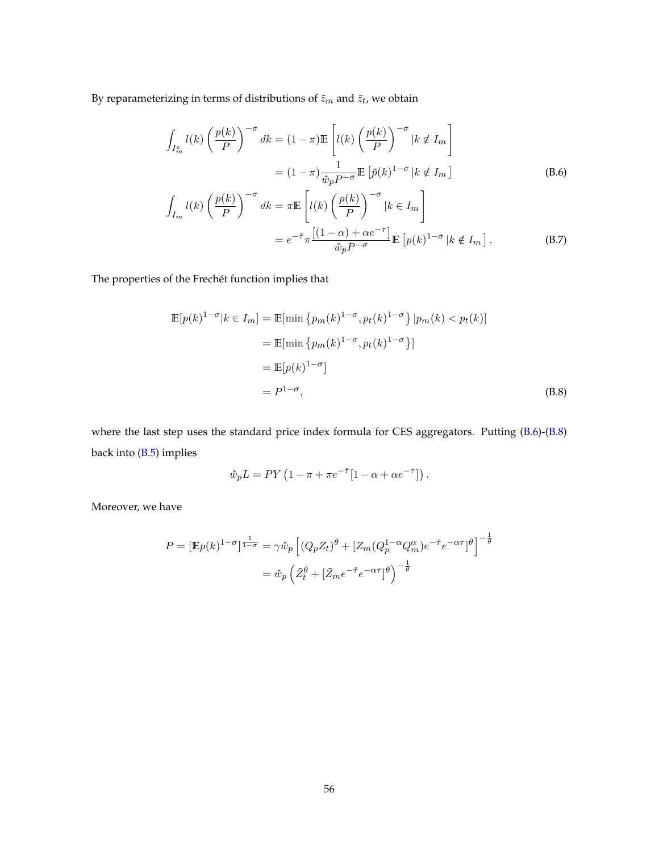By reparameterizing in terms of distributions of  $\tilde{z}_m$  and  $\tilde{z}_t$  , we obtain

<span id="page-55-0"></span>
$$
\int_{I_m^c} l(k) \left(\frac{p(k)}{P}\right)^{-\sigma} dk = (1 - \pi) \mathbb{E} \left[ l(k) \left(\frac{p(k)}{P}\right)^{-\sigma} |k \notin I_m \right]
$$
\n
$$
= (1 - \pi) \frac{1}{\hat{w}_p P^{-\sigma}} \mathbb{E} \left[ \tilde{p}(k)^{1 - \sigma} |k \notin I_m \right]
$$
\n
$$
\int_{I_m} l(k) \left(\frac{p(k)}{P}\right)^{-\sigma} dk = \pi \mathbb{E} \left[ l(k) \left(\frac{p(k)}{P}\right)^{-\sigma} |k \in I_m \right]
$$
\n
$$
= e^{-\tilde{\tau}} \pi \frac{[(1 - \alpha) + \alpha e^{-\tau}]}{\hat{w}_p P^{-\sigma}} \mathbb{E} \left[ p(k)^{1 - \sigma} |k \notin I_m \right].
$$
\n(B.7)

The properties of the Frechét function implies that

$$
\mathbb{E}[p(k)^{1-\sigma}|k \in I_m] = \mathbb{E}[\min \{p_m(k)^{1-\sigma}, p_t(k)^{1-\sigma}\}|p_m(k) < p_t(k)]
$$
\n
$$
= \mathbb{E}[\min \{p_m(k)^{1-\sigma}, p_t(k)^{1-\sigma}\}]
$$
\n
$$
= \mathbb{E}[p(k)^{1-\sigma}]
$$
\n
$$
= P^{1-\sigma}, \tag{B.8}
$$

where the last step uses the standard price index formula for CES aggregators. Putting [\(B.6\)](#page-55-0)-[\(B.8\)](#page-55-1) back into [\(B.5\)](#page-54-0) implies

<span id="page-55-1"></span>
$$
\hat{w}_p L = PY \left( 1 - \pi + \pi e^{-\tilde{\tau}} [1 - \alpha + \alpha e^{-\tau}] \right).
$$

Moreover, we have

$$
P = \left[\mathbb{E}p(k)^{1-\sigma}\right]^{\frac{1}{1-\sigma}} = \gamma \hat{w}_p \left[ \left(Q_p Z_t\right)^{\theta} + \left[Z_m (Q_p^{1-\alpha} Q_m^{\alpha}) e^{-\tilde{\tau}} e^{-\alpha \tau} \right]^{\theta} \right]^{-\frac{1}{\theta}}
$$

$$
= \hat{w}_p \left(\tilde{Z}_t^{\theta} + \left[\tilde{Z}_m e^{-\tilde{\tau}} e^{-\alpha \tau} \right]^{\theta}\right)^{-\frac{1}{\theta}}
$$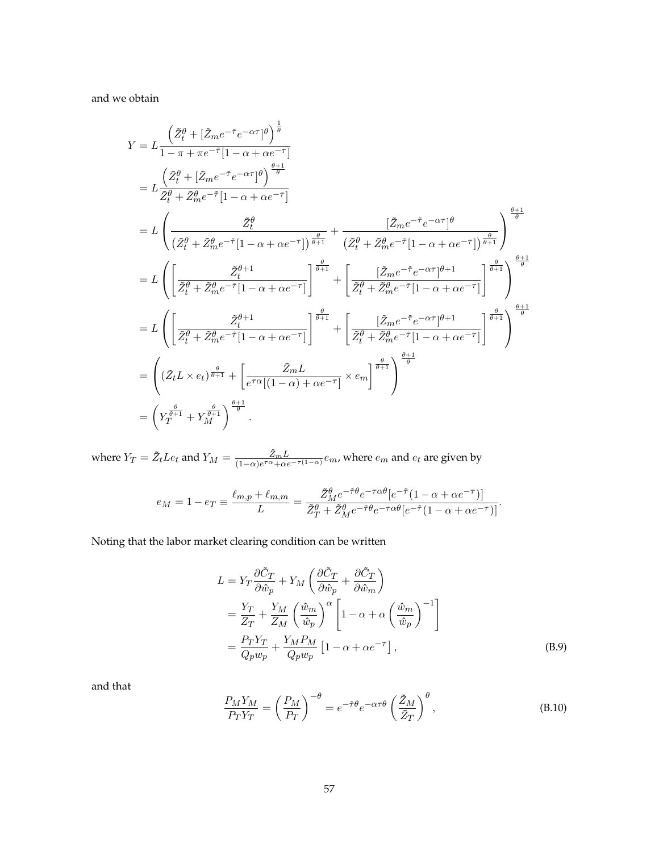and we obtain

$$
Y = L \frac{\left(\tilde{Z}_{t}^{\theta} + [\tilde{Z}_{m}e^{-\tilde{\tau}}e^{-\alpha\tau}]\right)^{\frac{1}{\theta}}}{1 - \pi + \pi e^{-\tilde{\tau}}[1 - \alpha + \alpha e^{-\tau}]} \n= L \frac{\left(\tilde{Z}_{t}^{\theta} + [\tilde{Z}_{m}e^{-\tilde{\tau}}e^{-\alpha\tau}]\right)^{\frac{\theta+1}{\theta}}}{\tilde{Z}_{t}^{\theta} + \tilde{Z}_{m}^{\theta}e^{-\tilde{\tau}}[1 - \alpha + \alpha e^{-\tau}]} \n= L \left(\frac{\tilde{Z}_{t}^{\theta}}{(\tilde{Z}_{t}^{\theta} + \tilde{Z}_{m}^{\theta}e^{-\tilde{\tau}}[1 - \alpha + \alpha e^{-\tau}])^{\frac{\theta}{\theta+1}}} + \frac{[\tilde{Z}_{m}e^{-\tilde{\tau}}e^{-\alpha\tau}]\theta}{(\tilde{Z}_{t}^{\theta} + \tilde{Z}_{m}^{\theta}e^{-\tilde{\tau}}[1 - \alpha + \alpha e^{-\tau}])^{\frac{\theta}{\theta+1}}}\right) \newline = L \left(\left[\frac{\tilde{Z}_{t}^{\theta+1}}{\tilde{Z}_{t}^{\theta} + \tilde{Z}_{m}^{\theta}e^{-\tilde{\tau}}[1 - \alpha + \alpha e^{-\tau}]} \right]^{\frac{\theta}{\theta+1}} + \left[\frac{[\tilde{Z}_{m}e^{-\tilde{\tau}}e^{-\alpha\tau}]\theta + 1}{\tilde{Z}_{t}^{\theta} + \tilde{Z}_{m}^{\theta}e^{-\tilde{\tau}}[1 - \alpha + \alpha e^{-\tau}]} \right]^{\frac{\theta}{\theta+1}}\right) \newline = L \left(\left[\frac{\tilde{Z}_{t}^{\theta+1}}{\tilde{Z}_{t}^{\theta} + \tilde{Z}_{m}^{\theta}e^{-\tilde{\tau}}[1 - \alpha + \alpha e^{-\tau}]} \right]^{\frac{\theta}{\theta+1}} + \left[\frac{[\tilde{Z}_{m}e^{-\tilde{\tau}}e^{-\alpha\tau}]\theta + 1}{\tilde{Z}_{t}^{\theta} + \tilde{Z}_{m}^{\theta}e^{-\tilde{\tau}}[1 - \alpha + \alpha e^{-\tau}]} \right]^{\frac{\theta}{\theta+1}}\right) \newline = \left((\tilde{Z}_{t}L \times e_{t})^{\frac{\theta}{\theta+1}}
$$

where  $Y_T = \tilde{Z}_t L e_t$  and  $Y_M = \frac{\tilde{Z}_m L}{(1-\alpha)e^{T\alpha} + \alpha t}$  $\frac{Z_m L}{(1-\alpha)e^{\tau\alpha}+\alpha e^{-\tau(1-\alpha)}}e_m$ , where  $e_m$  and  $e_t$  are given by

$$
e_M = 1 - e_T \equiv \frac{\ell_{m,p} + \ell_{m,m}}{L} = \frac{\tilde{Z}_M^{\theta} e^{-\tilde{\tau}\theta} e^{-\tau\alpha\theta} [e^{-\tilde{\tau}} (1 - \alpha + \alpha e^{-\tau})]}{\tilde{Z}_T^{\theta} + \tilde{Z}_M^{\theta} e^{-\tilde{\tau}\theta} e^{-\tau\alpha\theta} [e^{-\tilde{\tau}} (1 - \alpha + \alpha e^{-\tau})]}.
$$

Noting that the labor market clearing condition can be written

$$
L = Y_T \frac{\partial \tilde{C}_T}{\partial \hat{w}_p} + Y_M \left( \frac{\partial \tilde{C}_T}{\partial \hat{w}_p} + \frac{\partial \tilde{C}_T}{\partial \hat{w}_m} \right)
$$
  
=  $\frac{Y_T}{Z_T} + \frac{Y_M}{Z_M} \left( \frac{\hat{w}_m}{\hat{w}_p} \right)^{\alpha} \left[ 1 - \alpha + \alpha \left( \frac{\hat{w}_m}{\hat{w}_p} \right)^{-1} \right]$   
=  $\frac{P_T Y_T}{Q_p w_p} + \frac{Y_M P_M}{Q_p w_p} \left[ 1 - \alpha + \alpha e^{-\tau} \right],$  (B.9)

and that

$$
\frac{P_M Y_M}{P_T Y_T} = \left(\frac{P_M}{P_T}\right)^{-\theta} = e^{-\tilde{\tau}\theta} e^{-\alpha \tau \theta} \left(\frac{\tilde{Z}_M}{\tilde{Z}_T}\right)^{\theta},\tag{B.10}
$$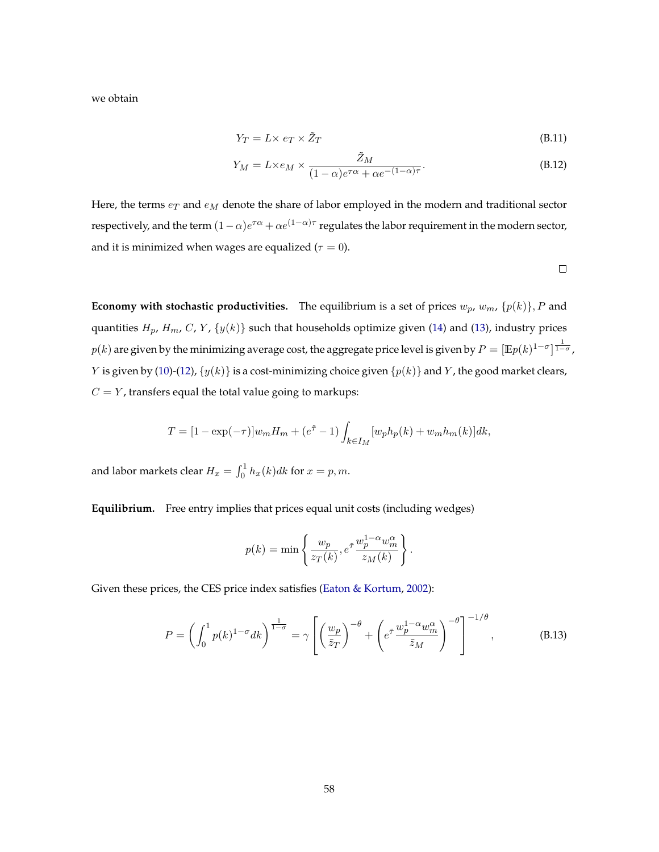we obtain

$$
Y_T = L \times e_T \times \tilde{Z}_T \tag{B.11}
$$

$$
Y_M = L \times e_M \times \frac{\tilde{Z}_M}{(1 - \alpha)e^{\tau \alpha} + \alpha e^{-(1 - \alpha)\tau}}.
$$
 (B.12)

Here, the terms  $e_T$  and  $e_M$  denote the share of labor employed in the modern and traditional sector respectively, and the term  $(1-\alpha)e^{\tau\alpha}+\alpha e^{(1-\alpha)\tau}$  regulates the labor requirement in the modern sector, and it is minimized when wages are equalized ( $\tau = 0$ ).

 $\Box$ 

**Economy with stochastic productivities.** The equilibrium is a set of prices  $w_p$ ,  $w_m$ ,  $\{p(k)\}, P$  and quantities  $H_p$ ,  $H_m$ , C, Y,  $\{y(k)\}$  such that households optimize given [\(14\)](#page-20-0) and [\(13\)](#page-20-1), industry prices  $p(k)$  are given by the minimizing average cost, the aggregate price level is given by  $P=[\mathbb{E} p(k)^{1-\sigma}]^{\frac{1}{1-\sigma}}$  , *Y* is given by [\(10\)](#page-19-0)-[\(12\)](#page-19-2),  $\{y(k)\}\$ is a cost-minimizing choice given  $\{p(k)\}\$  and *Y*, the good market clears,  $C = Y$ , transfers equal the total value going to markups:

$$
T = [1 - \exp(-\tau)]w_m H_m + (e^{\tilde{\tau}} - 1) \int_{k \in I_M} [w_p h_p(k) + w_m h_m(k)] dk,
$$

and labor markets clear  $H_x = \int_0^1 h_x(k)dk$  for  $x = p, m$ .

**Equilibrium.** Free entry implies that prices equal unit costs (including wedges)

$$
p(k) = \min \left\{ \frac{w_p}{z_T(k)}, e^{\tilde{\tau}} \frac{w_p^{1-\alpha} w_m^{\alpha}}{z_M(k)} \right\}.
$$

Given these prices, the CES price index satisfies [\(Eaton & Kortum,](#page-38-12) [2002\)](#page-38-12):

$$
P = \left(\int_0^1 p(k)^{1-\sigma} dk\right)^{\frac{1}{1-\sigma}} = \gamma \left[ \left(\frac{w_p}{\bar{z}_T}\right)^{-\theta} + \left(e^{\tilde{\tau}} \frac{w_p^{1-\alpha} w_m^{\alpha}}{\bar{z}_M}\right)^{-\theta} \right]^{-1/\theta},\tag{B.13}
$$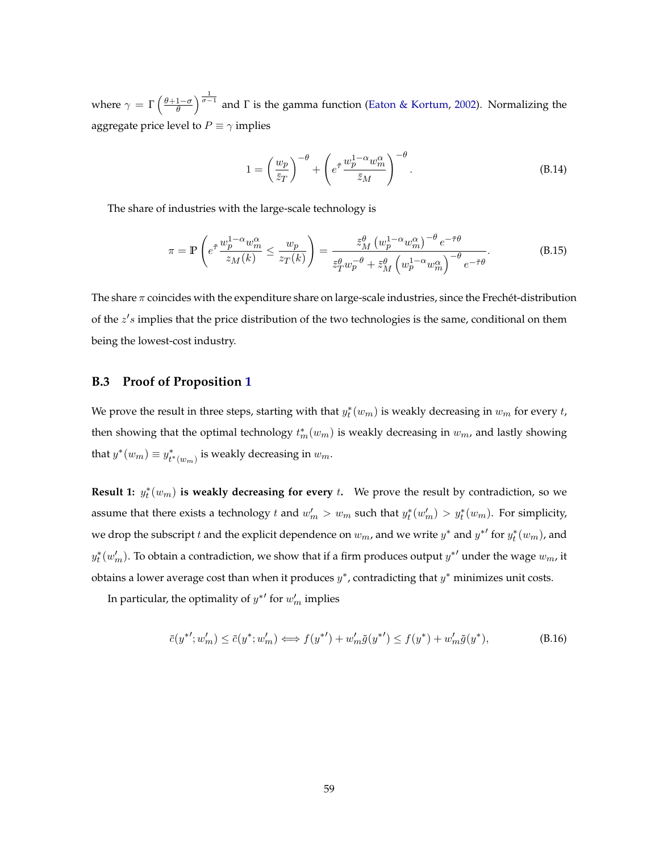where  $\gamma = \Gamma\left(\frac{\theta+1-\sigma}{\theta}\right)^{\frac{1}{\sigma-1}}$  and  $\Gamma$  is the gamma function [\(Eaton & Kortum,](#page-38-12) [2002\)](#page-38-12). Normalizing the aggregate price level to  $P \equiv \gamma$  implies

$$
1 = \left(\frac{w_p}{\bar{z}_T}\right)^{-\theta} + \left(e^{\tilde{\tau}} \frac{w_p^{1-\alpha} w_m^{\alpha}}{\bar{z}_M}\right)^{-\theta}.
$$
 (B.14)

The share of industries with the large-scale technology is

$$
\pi = \mathbb{P}\left(e^{\tilde{\tau}}\frac{w_p^{1-\alpha}w_m^{\alpha}}{z_M(k)} \le \frac{w_p}{z_T(k)}\right) = \frac{\tilde{z}_M^{\theta}\left(w_p^{1-\alpha}w_m^{\alpha}\right)^{-\theta}e^{-\tilde{\tau}\theta}}{\tilde{z}_T^{\theta}w_p^{-\theta} + \tilde{z}_M^{\theta}\left(w_p^{1-\alpha}w_m^{\alpha}\right)^{-\theta}e^{-\tilde{\tau}\theta}}.
$$
(B.15)

The share  $\pi$  coincides with the expenditure share on large-scale industries, since the Frechét-distribution of the  $z's$  implies that the price distribution of the two technologies is the same, conditional on them being the lowest-cost industry.

#### <span id="page-58-0"></span>**B.3 Proof of Proposition [1](#page-18-0)**

We prove the result in three steps, starting with that  $y_t^*(w_m)$  is weakly decreasing in  $w_m$  for every  $t$ , then showing that the optimal technology  $t_m^*(w_m)$  is weakly decreasing in  $w_m$ , and lastly showing that  $y^*(w_m) \equiv y^*_{t^*(w_m)}$  is weakly decreasing in  $w_m$ .

**Result 1:**  $y_t^*(w_m)$  is weakly decreasing for every t. We prove the result by contradiction, so we assume that there exists a technology t and  $w'_m > w_m$  such that  $y_t^*(w'_m) > y_t^*(w_m)$ . For simplicity, we drop the subscript  $t$  and the explicit dependence on  $w_m$ , and we write  $y^*$  and  $y^{*'}$  for  $y^*_t(w_m)$ , and  $y_t^*(w_m')$ . To obtain a contradiction, we show that if a firm produces output  $y^{*'}$  under the wage  $w_m$ , it obtains a lower average cost than when it produces  $y^*$ , contradicting that  $y^*$  minimizes unit costs.

In particular, the optimality of  $y^{*'}$  for  $w'_m$  implies

<span id="page-58-1"></span>
$$
\bar{c}(y^{*'}; w'_m) \le \bar{c}(y^*; w'_m) \iff f(y^{*'} ) + w'_m \tilde{g}(y^{*'} ) \le f(y^*) + w'_m \tilde{g}(y^*),
$$
\n(B.16)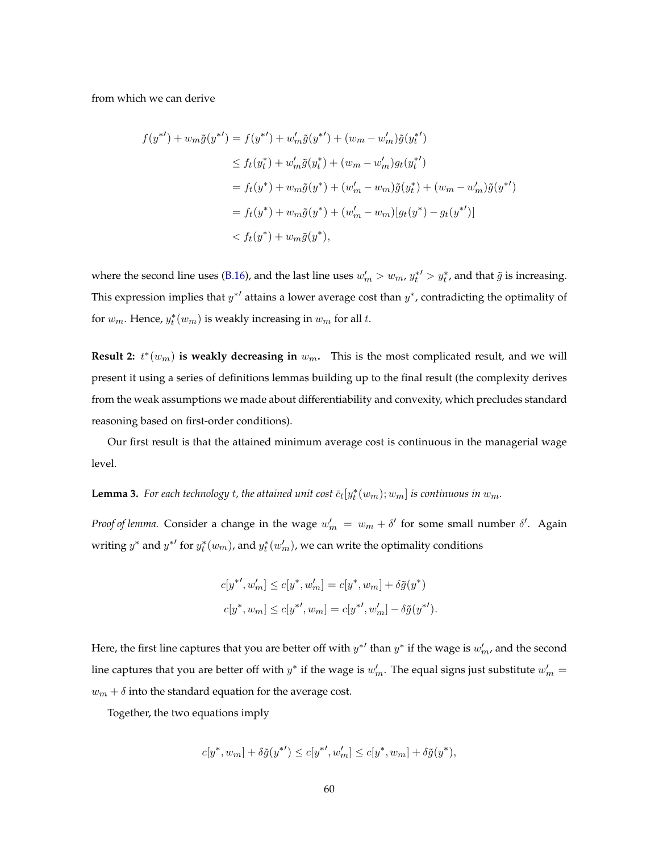from which we can derive

$$
f(y^{*}) + w_m \tilde{g}(y^{*}) = f(y^{*}) + w'_m \tilde{g}(y^{*}) + (w_m - w'_m) \tilde{g}(y_t^{*})
$$
  
\n
$$
\leq f_t(y_t^{*}) + w'_m \tilde{g}(y_t^{*}) + (w_m - w'_m)g_t(y_t^{*})
$$
  
\n
$$
= f_t(y^{*}) + w_m \tilde{g}(y^{*}) + (w'_m - w_m) \tilde{g}(y_t^{*}) + (w_m - w'_m) \tilde{g}(y^{*})
$$
  
\n
$$
= f_t(y^{*}) + w_m \tilde{g}(y^{*}) + (w'_m - w_m)[g_t(y^{*}) - g_t(y^{*})]
$$
  
\n
$$
< f_t(y^{*}) + w_m \tilde{g}(y^{*}),
$$

where the second line uses [\(B.16\)](#page-58-1), and the last line uses  $w'_m > w_m$ ,  $y_t^{*'} > y_t^*$ , and that  $\tilde{g}$  is increasing. This expression implies that  $y^{*'}$  attains a lower average cost than  $y^*$ , contradicting the optimality of for  $w_m$ . Hence,  $y_t^*(w_m)$  is weakly increasing in  $w_m$  for all t.

**Result 2:**  $t^*(w_m)$  is weakly decreasing in  $w_m$ . This is the most complicated result, and we will present it using a series of definitions lemmas building up to the final result (the complexity derives from the weak assumptions we made about differentiability and convexity, which precludes standard reasoning based on first-order conditions).

Our first result is that the attained minimum average cost is continuous in the managerial wage level.

# **Lemma 3.** For each technology t, the attained unit cost  $\bar{c}_t[y_t^*(w_m); w_m]$  is continuous in  $w_m$ .

*Proof of lemma*. Consider a change in the wage  $w'_m = w_m + \delta'$  for some small number  $\delta'$ . Again writing  $y^*$  and  $y^{*'}$  for  $y^*_t(w_m)$ , and  $y^*_t(w'_m)$ , we can write the optimality conditions

$$
c[y^{*'}, w'_{m}] \le c[y^{*}, w'_{m}] = c[y^{*}, w_{m}] + \delta \tilde{g}(y^{*})
$$
  

$$
c[y^{*}, w_{m}] \le c[y^{*'}, w_{m}] = c[y^{*'}, w'_{m}] - \delta \tilde{g}(y^{*'}).
$$

Here, the first line captures that you are better off with  $y^{*'}$  than  $y^*$  if the wage is  $w'_m$ , and the second line captures that you are better off with  $y^*$  if the wage is  $w'_m$ . The equal signs just substitute  $w'_m =$  $w_m + \delta$  into the standard equation for the average cost.

Together, the two equations imply

$$
c[y^*, w_m] + \delta \tilde{g}(y^{*\prime}) \le c[y^{*\prime}, w_m'] \le c[y^*, w_m] + \delta \tilde{g}(y^*),
$$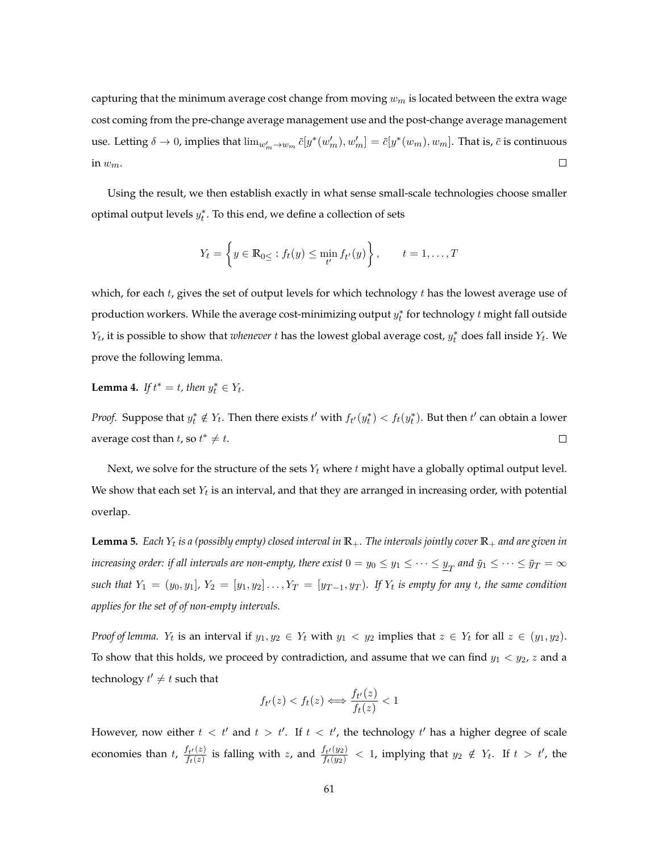capturing that the minimum average cost change from moving  $w_m$  is located between the extra wage cost coming from the pre-change average management use and the post-change average management use. Letting  $\delta \to 0$ , implies that  $\lim_{w'_m\to w_m} \bar{c}[y^*(w'_m), w'_m]=\bar{c}[y^*(w_m), w_m]$ . That is,  $\bar{c}$  is continuous in  $w_m$ .  $\Box$ 

Using the result, we then establish exactly in what sense small-scale technologies choose smaller optimal output levels  $y_t^*$ . To this end, we define a collection of sets

$$
Y_t = \left\{ y \in \mathbb{R}_{0 \leq} : f_t(y) \leq \min_{t'} f_{t'}(y) \right\}, \quad t = 1, ..., T
$$

which, for each  $t$ , gives the set of output levels for which technology  $t$  has the lowest average use of production workers. While the average cost-minimizing output  $y_t^*$  for technology  $t$  might fall outside  $Y_t$ , it is possible to show that *whenever*  $t$  has the lowest global average cost,  $y_t^*$  does fall inside  $Y_t$ . We prove the following lemma.

**Lemma 4.** *If*  $t^* = t$ *, then*  $y_t^* \in Y_t$ *.* 

*Proof.* Suppose that  $y_t^* \notin Y_t$ . Then there exists  $t'$  with  $f_{t'}(y_t^*) < f_t(y_t^*)$ . But then  $t'$  can obtain a lower average cost than  $t$ , so  $t^* \neq t$ .  $\Box$ 

Next, we solve for the structure of the sets  $Y_t$  where t might have a globally optimal output level. We show that each set  $Y_t$  is an interval, and that they are arranged in increasing order, with potential overlap.

**Lemma 5.** Each  $Y_t$  is a (possibly empty) closed interval in  $\mathbb{R}_+$ . The intervals jointly cover  $\mathbb{R}_+$  and are given in increasing order: if all intervals are non-empty, there exist  $0=y_0\leq y_1\leq\cdots\leq y_T$  and  $\bar y_1\leq\cdots\leq\bar y_T=\infty$ such that  $Y_1 = (y_0, y_1]$ ,  $Y_2 = [y_1, y_2] \dots, Y_T = [y_{T-1}, y_T)$ . If  $Y_t$  is empty for any t, the same condition *applies for the set of of non-empty intervals.*

*Proof of lemma.*  $Y_t$  is an interval if  $y_1, y_2 \in Y_t$  with  $y_1 < y_2$  implies that  $z \in Y_t$  for all  $z \in (y_1, y_2)$ . To show that this holds, we proceed by contradiction, and assume that we can find  $y_1 < y_2$ , z and a technology  $t' \neq t$  such that

$$
f_{t'}(z) < f_t(z) \Longleftrightarrow \frac{f_{t'}(z)}{f_t(z)} < 1
$$

However, now either  $t < t'$  and  $t > t'$ . If  $t < t'$ , the technology  $t'$  has a higher degree of scale economies than  $t$ ,  $\frac{f_{t'}(z)}{f_{t}(z)}$  $\frac{f_{t'}(z)}{f_t(z)}$  is falling with z, and  $\frac{f_{t'}(y_2)}{f_t(y_2)}$  $\frac{f_{t'}(y_2)}{f_{t}(y_2)}$   $<$  1, implying that  $y_2 \notin Y_t$ . If  $t > t'$ , the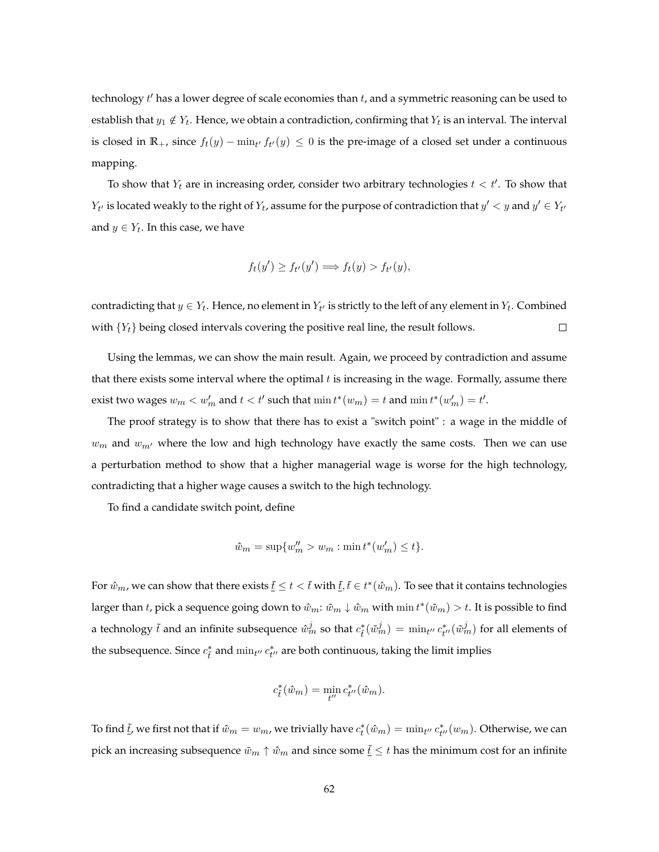technology  $t'$  has a lower degree of scale economies than  $t$ , and a symmetric reasoning can be used to establish that  $y_1 \notin Y_t$ . Hence, we obtain a contradiction, confirming that  $Y_t$  is an interval. The interval is closed in  $\mathbb{R}_+$ , since  $f_t(y) - \min_{t'} f_{t'}(y) \leq 0$  is the pre-image of a closed set under a continuous mapping.

To show that  $Y_t$  are in increasing order, consider two arbitrary technologies  $t < t'$ . To show that  $Y_{t'}$  is located weakly to the right of  $Y_t$ , assume for the purpose of contradiction that  $y' < y$  and  $y' \in Y_{t'}$ and  $y \in Y_t$ . In this case, we have

$$
f_t(y') \ge f_{t'}(y') \Longrightarrow f_t(y) > f_{t'}(y),
$$

contradicting that  $y \in Y_t$ . Hence, no element in  $Y_{t'}$  is strictly to the left of any element in  $Y_t$ . Combined with  ${Y_t}$  being closed intervals covering the positive real line, the result follows.  $\Box$ 

Using the lemmas, we can show the main result. Again, we proceed by contradiction and assume that there exists some interval where the optimal  $t$  is increasing in the wage. Formally, assume there exist two wages  $w_m < w'_m$  and  $t < t'$  such that  $\min t^*(w_m) = t$  and  $\min t^*(w'_m) = t'.$ 

The proof strategy is to show that there has to exist a "switch point" : a wage in the middle of  $w_m$  and  $w_{m'}$  where the low and high technology have exactly the same costs. Then we can use a perturbation method to show that a higher managerial wage is worse for the high technology, contradicting that a higher wage causes a switch to the high technology.

To find a candidate switch point, define

$$
\hat{w}_m = \sup \{ w_m'' > w_m : \min t^*(w_m') \le t \}.
$$

For  $\hat w_m$ , we can show that there exists  $\underline t\le t<\tilde t$  with  $\underline t,\tilde t\in t^*(\hat w_m).$  To see that it contains technologies larger than  $t$ , pick a sequence going down to  $\hat{w}_m$ :  $\tilde{w}_m \downarrow \hat{w}_m$  with  $\min t^*(\tilde{w}_m) > t$ . It is possible to find a technology  $\tilde{t}$  and an infinite subsequence  $\hat{w}_m^j$  so that  $c^*_{\tilde{t}}(\tilde{w}_m^j) = \min_{t''} c^*_{t''}(\tilde{w}_m^j)$  for all elements of the subsequence. Since  $c_{\tilde{t}}^*$  and  $\min_{t''} c_{t''}^*$  are both continuous, taking the limit implies

$$
c_{\tilde{t}}^*(\hat{w}_m) = \min_{t''} c_{t''}^*(\hat{w}_m).
$$

To find  $\underline{t}$ , we first not that if  $\hat{w}_m = w_m$ , we trivially have  $c_t^*(\hat{w}_m) = \min_{t''} c_{t''}^*(w_m)$ . Otherwise, we can pick an increasing subsequence  $\tilde{w}_m \uparrow \hat{w}_m$  and since some  $\underline{\tilde{t}} \leq t$  has the minimum cost for an infinite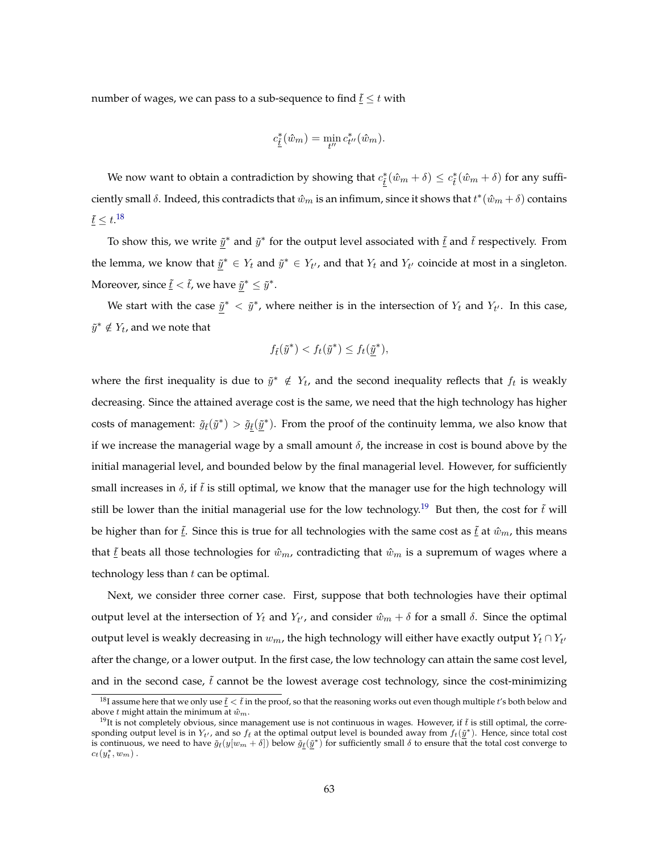number of wages, we can pass to a sub-sequence to find  $\underline{\tilde{t}} \leq t$  with

$$
c_{\underline{\tilde{t}}}^*(\hat{w}_m) = \min_{t''} c_{t''}^*(\hat{w}_m).
$$

We now want to obtain a contradiction by showing that  $c_{\underline{\tilde{t}}}^*(\hat{w}_m + \delta) \leq c_{\tilde{t}}^*(\hat{w}_m + \delta)$  for any sufficiently small  $\delta$ . Indeed, this contradicts that  $\hat{w}_m$  is an infimum, since it shows that  $t^*(\hat{w}_m + \delta)$  contains  $\tilde{t}\leq t.^{18}$  $\tilde{t}\leq t.^{18}$  $\tilde{t}\leq t.^{18}$ 

To show this, we write  $\tilde{y}^*$  and  $\tilde{y}^*$  for the output level associated with  $\underline{\tilde{t}}$  and  $\tilde{t}$  respectively. From the lemma, we know that  $\tilde{y}^* \in Y_t$  and  $\tilde{y}^* \in Y_{t'}$ , and that  $Y_t$  and  $Y_{t'}$  coincide at most in a singleton. Moreover, since  $\underline{\tilde{t}} < \tilde{t}$ , we have  $\tilde{y}^* \leq \tilde{y}^*.$ 

We start with the case  $\tilde{y}^* < \tilde{y}^*$ , where neither is in the intersection of  $Y_t$  and  $Y_{t'}$ . In this case,  $\tilde{y}^* \notin Y_t$ , and we note that

$$
f_{\tilde{t}}(\tilde{y}^*) < f_t(\tilde{y}^*) \le f_t(\underline{\tilde{y}}^*),
$$

where the first inequality is due to  $\tilde{y}^* \notin Y_t$ , and the second inequality reflects that  $f_t$  is weakly decreasing. Since the attained average cost is the same, we need that the high technology has higher costs of management:  $\tilde{g}_t(\tilde{y}^*) > \tilde{g}_{\underline{t}}(\tilde{y}^*)$ . From the proof of the continuity lemma, we also know that if we increase the managerial wage by a small amount  $\delta$ , the increase in cost is bound above by the initial managerial level, and bounded below by the final managerial level. However, for sufficiently small increases in  $\delta$ , if  $\tilde{t}$  is still optimal, we know that the manager use for the high technology will still be lower than the initial managerial use for the low technology.<sup>[19](#page-0-0)</sup> But then, the cost for  $\tilde{t}$  will be higher than for  $\underline{\tilde{t}}$ . Since this is true for all technologies with the same cost as  $\underline{\tilde{t}}$  at  $\hat{w}_m$ , this means that  $\tilde{t}$  beats all those technologies for  $\hat{w}_m$ , contradicting that  $\hat{w}_m$  is a supremum of wages where a technology less than  $t$  can be optimal.

Next, we consider three corner case. First, suppose that both technologies have their optimal output level at the intersection of  $Y_t$  and  $Y_{t'}$ , and consider  $\hat{w}_m + \delta$  for a small  $\delta$ . Since the optimal output level is weakly decreasing in  $w_m$ , the high technology will either have exactly output  $Y_t \cap Y_{t'}$ after the change, or a lower output. In the first case, the low technology can attain the same cost level, and in the second case,  $\tilde{t}$  cannot be the lowest average cost technology, since the cost-minimizing

<sup>&</sup>lt;sup>18</sup>I assume here that we only use  $\underline{t} < \tilde{t}$  in the proof, so that the reasoning works out even though multiple t's both below and above t might attain the minimum at  $\hat{w}_m$ .

<sup>&</sup>lt;sup>19</sup>It is not completely obvious, since management use is not continuous in wages. However, if  $\tilde{t}$  is still optimal, the corresponding output level is in  $Y_{t'}$ , and so  $f_t$  at the optimal output level is bounded away from  $f_t(\underline{\tilde{y}}^*)$ . Hence, since total cost is continuous, we need to have  $\tilde{g}_t(y[w_m + \delta])$  below  $\tilde{g}_t(\tilde{y}^*)$  for sufficiently small  $\delta$  to ensure that the total cost converge to  $c_t(y_t^*, w_m)$ .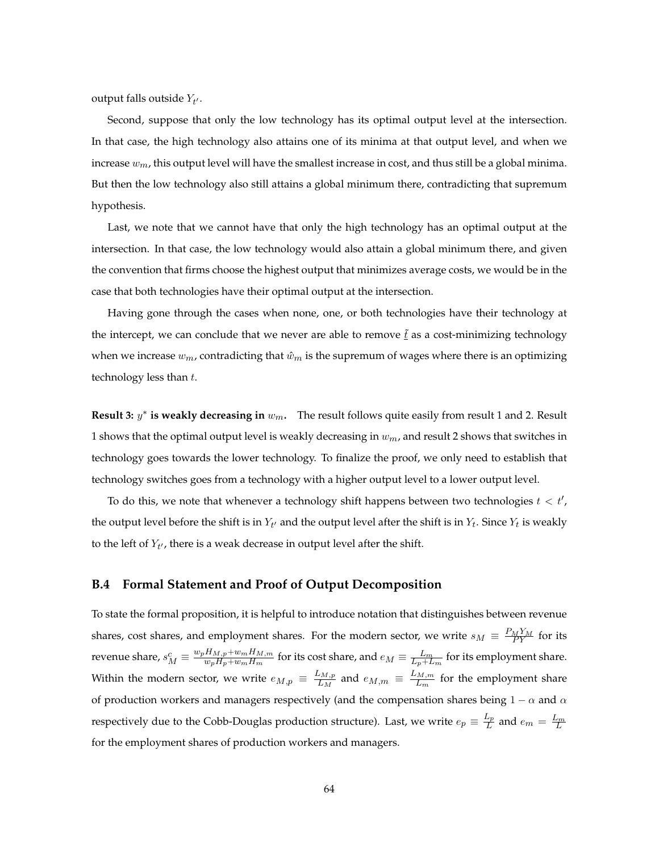output falls outside  $Y_{t'}$ .

Second, suppose that only the low technology has its optimal output level at the intersection. In that case, the high technology also attains one of its minima at that output level, and when we increase  $w_m$ , this output level will have the smallest increase in cost, and thus still be a global minima. But then the low technology also still attains a global minimum there, contradicting that supremum hypothesis.

Last, we note that we cannot have that only the high technology has an optimal output at the intersection. In that case, the low technology would also attain a global minimum there, and given the convention that firms choose the highest output that minimizes average costs, we would be in the case that both technologies have their optimal output at the intersection.

Having gone through the cases when none, one, or both technologies have their technology at the intercept, we can conclude that we never are able to remove  $\tilde{t}$  as a cost-minimizing technology when we increase  $w_m$ , contradicting that  $\hat{w}_m$  is the supremum of wages where there is an optimizing technology less than  $t$ .

**Result 3:**  $y^*$  **is weakly decreasing in**  $w_m$ . The result follows quite easily from result 1 and 2. Result 1 shows that the optimal output level is weakly decreasing in  $w_m$ , and result 2 shows that switches in technology goes towards the lower technology. To finalize the proof, we only need to establish that technology switches goes from a technology with a higher output level to a lower output level.

To do this, we note that whenever a technology shift happens between two technologies  $t < t'$ , the output level before the shift is in  $Y_{t'}$  and the output level after the shift is in  $Y_t$ . Since  $Y_t$  is weakly to the left of  $Y_{t'}$ , there is a weak decrease in output level after the shift.

#### <span id="page-63-0"></span>**B.4 Formal Statement and Proof of Output Decomposition**

To state the formal proposition, it is helpful to introduce notation that distinguishes between revenue shares, cost shares, and employment shares. For the modern sector, we write  $s_M \equiv \frac{P_M Y_M}{PY}$  for its revenue share,  $s_M^c \equiv \frac{w_p H_{M,p} + w_m H_{M,m}}{w_p H_p + w_m H_m}$  $\frac{H_{M,p}+w_mH_{M,m}}{w_pH_p+w_mH_m}$  for its cost share, and  $e_M\equiv\frac{L_m}{L_p+L_m}$  for its employment share. Within the modern sector, we write  $e_{M,p} \equiv \frac{L_{M,p}}{L_M}$  $\frac{L_{M,p}}{L_M}$  and  $e_{M,m} \equiv \frac{L_{M,m}}{L_m}$  $\frac{m,m}{L_m}$  for the employment share of production workers and managers respectively (and the compensation shares being  $1 - \alpha$  and  $\alpha$ respectively due to the Cobb-Douglas production structure). Last, we write  $e_p \equiv \frac{L_p}{L}$  $\frac{L_p}{L}$  and  $e_m = \frac{L_m}{L}$ for the employment shares of production workers and managers.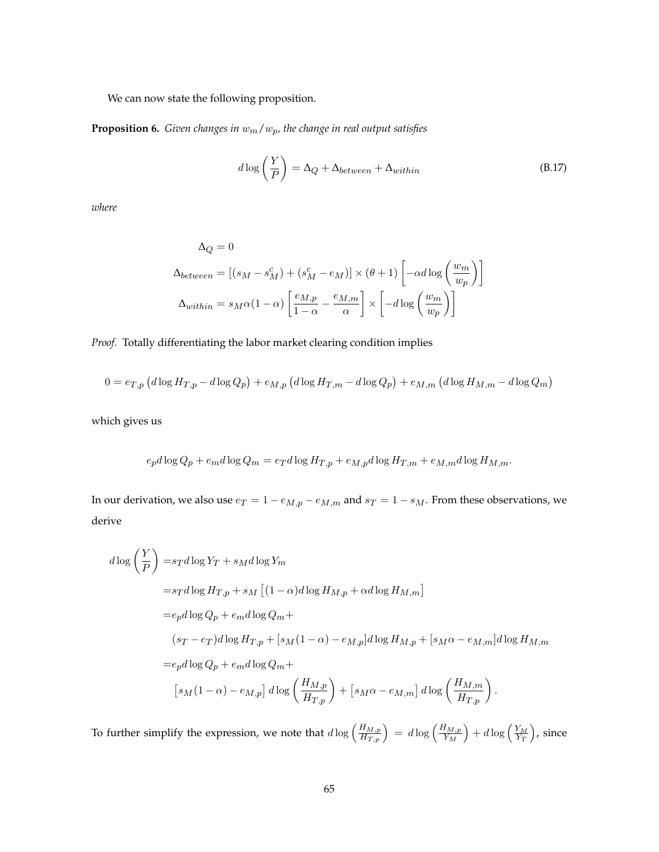We can now state the following proposition.

**Proposition 6.** *Given changes in*  $w_m/w_p$ *, the change in real output satisfies* 

$$
d \log \left( \frac{Y}{P} \right) = \Delta_Q + \Delta_{between} + \Delta_{within}
$$
 (B.17)

*where*

$$
\Delta_Q = 0
$$
  

$$
\Delta_{between} = [(s_M - s_M^c) + (s_M^c - e_M)] \times (\theta + 1) \left[ -\alpha d \log \left( \frac{w_m}{w_p} \right) \right]
$$
  

$$
\Delta_{within} = s_M \alpha (1 - \alpha) \left[ \frac{e_{M,p}}{1 - \alpha} - \frac{e_{M,m}}{\alpha} \right] \times \left[ -d \log \left( \frac{w_m}{w_p} \right) \right]
$$

*Proof.* Totally differentiating the labor market clearing condition implies

$$
0 = e_{T,p} \left( d \log H_{T,p} - d \log Q_p \right) + e_{M,p} \left( d \log H_{T,m} - d \log Q_p \right) + e_{M,m} \left( d \log H_{M,m} - d \log Q_m \right)
$$

which gives us

$$
e_p d \log Q_p + e_m d \log Q_m = e_T d \log H_{T,p} + e_{M,p} d \log H_{T,m} + e_{M,m} d \log H_{M,m}.
$$

In our derivation, we also use  $e_T = 1 - e_{M,p} - e_{M,m}$  and  $s_T = 1 - s_M$ . From these observations, we derive

$$
d \log \left(\frac{Y}{P}\right) = s_T d \log Y_T + s_M d \log Y_m
$$
  
=  $s_T d \log H_{T,p} + s_M [(1 - \alpha) d \log H_{M,p} + \alpha d \log H_{M,m}]$   
=  $e_p d \log Q_p + e_m d \log Q_m +$   
 $(s_T - e_T) d \log H_{T,p} + [s_M (1 - \alpha) - e_{M,p}] d \log H_{M,p} + [s_M \alpha - e_{M,m}] d \log H_{M,m}$   
=  $e_p d \log Q_p + e_m d \log Q_m +$   
 $[s_M (1 - \alpha) - e_{M,p}] d \log \left(\frac{H_{M,p}}{H_{T,p}}\right) + [s_M \alpha - e_{M,m}] d \log \left(\frac{H_{M,m}}{H_{T,p}}\right).$ 

To further simplify the expression, we note that  $d \log \left( \frac{H_{M,p}}{H_{m,p}} \right)$  $\left(\frac{H_{M,p}}{H_{T,p}}\right)\,=\,d\log\left(\frac{H_{M,p}}{Y_M}\right)$  $\left(\frac{Y_{M,p}}{Y_{M}}\right) + d\log\left(\frac{Y_{M}}{Y_{T}}\right)$ , since